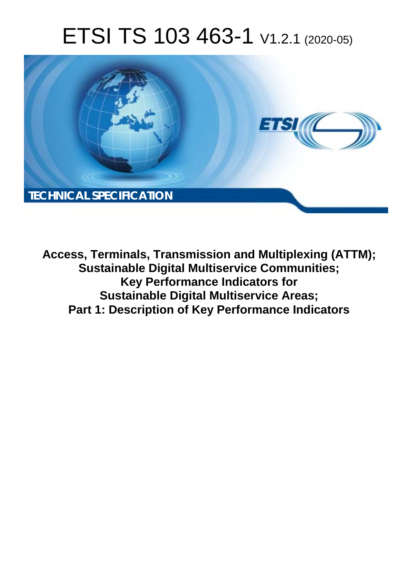# ETSI TS 103 463-1 V1.2.1 (2020-05)



**Access, Terminals, Transmission and Multiplexing (ATTM); Sustainable Digital Multiservice Communities; Key Performance Indicators for Sustainable Digital Multiservice Areas; Part 1: Description of Key Performance Indicators**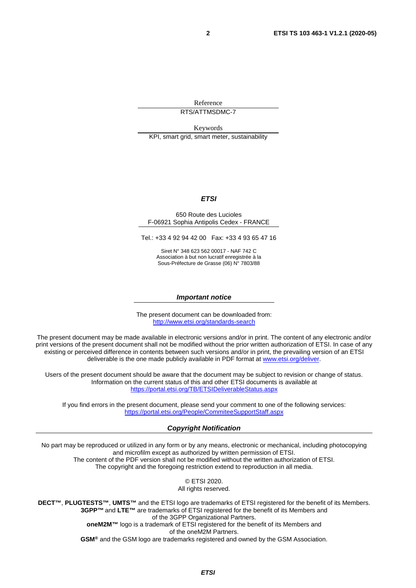Reference

RTS/ATTMSDMC-7

Keywords KPI, smart grid, smart meter, sustainability

#### *ETSI*

#### 650 Route des Lucioles F-06921 Sophia Antipolis Cedex - FRANCE

Tel.: +33 4 92 94 42 00 Fax: +33 4 93 65 47 16

Siret N° 348 623 562 00017 - NAF 742 C Association à but non lucratif enregistrée à la Sous-Préfecture de Grasse (06) N° 7803/88

#### *Important notice*

The present document can be downloaded from: <http://www.etsi.org/standards-search>

The present document may be made available in electronic versions and/or in print. The content of any electronic and/or print versions of the present document shall not be modified without the prior written authorization of ETSI. In case of any existing or perceived difference in contents between such versions and/or in print, the prevailing version of an ETSI deliverable is the one made publicly available in PDF format at [www.etsi.org/deliver](http://www.etsi.org/deliver).

Users of the present document should be aware that the document may be subject to revision or change of status. Information on the current status of this and other ETSI documents is available at <https://portal.etsi.org/TB/ETSIDeliverableStatus.aspx>

If you find errors in the present document, please send your comment to one of the following services: <https://portal.etsi.org/People/CommiteeSupportStaff.aspx>

#### *Copyright Notification*

No part may be reproduced or utilized in any form or by any means, electronic or mechanical, including photocopying and microfilm except as authorized by written permission of ETSI. The content of the PDF version shall not be modified without the written authorization of ETSI. The copyright and the foregoing restriction extend to reproduction in all media.

> © ETSI 2020. All rights reserved.

**DECT™**, **PLUGTESTS™**, **UMTS™** and the ETSI logo are trademarks of ETSI registered for the benefit of its Members. **3GPP™** and **LTE™** are trademarks of ETSI registered for the benefit of its Members and of the 3GPP Organizational Partners. **oneM2M™** logo is a trademark of ETSI registered for the benefit of its Members and of the oneM2M Partners. **GSM®** and the GSM logo are trademarks registered and owned by the GSM Association.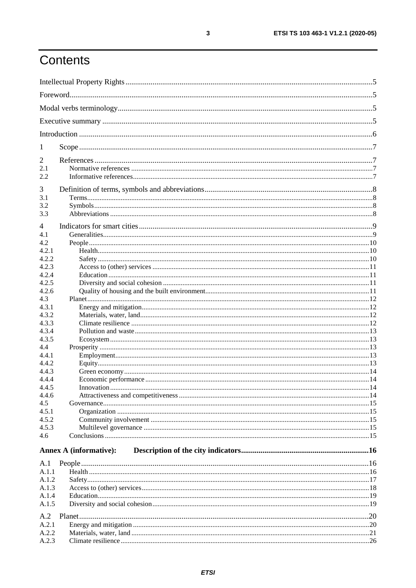## Contents

| 1              |                               |  |
|----------------|-------------------------------|--|
| 2              |                               |  |
| 2.1            |                               |  |
| 2.2            |                               |  |
| 3              |                               |  |
| 3.1            |                               |  |
| 3.2            |                               |  |
| 3.3            |                               |  |
| $\overline{4}$ |                               |  |
| 4.1            |                               |  |
| 4.2            |                               |  |
| 4.2.1          |                               |  |
| 4.2.2          |                               |  |
| 4.2.3          |                               |  |
| 4.2.4          |                               |  |
| 4.2.5          |                               |  |
| 4.2.6          |                               |  |
| 4.3            |                               |  |
| 4.3.1          |                               |  |
| 4.3.2          |                               |  |
| 4.3.3          |                               |  |
| 4.3.4          |                               |  |
| 4.3.5          |                               |  |
| 4.4            |                               |  |
| 4.4.1          |                               |  |
| 4.4.2          |                               |  |
| 4.4.3<br>4.4.4 |                               |  |
| 4.4.5          |                               |  |
| 4.4.6          |                               |  |
| 4.5            |                               |  |
| 4.5.1          |                               |  |
| 4.5.2          |                               |  |
| 4.5.3          |                               |  |
| 4.6            |                               |  |
|                | <b>Annex A (informative):</b> |  |
|                |                               |  |
| A.1            |                               |  |
| A.1.1          |                               |  |
| A.1.2<br>A.1.3 |                               |  |
| A.1.4          |                               |  |
| A.1.5          |                               |  |
|                |                               |  |
| A.2            |                               |  |
| A.2.1          |                               |  |
| A.2.2          |                               |  |
| A.2.3          |                               |  |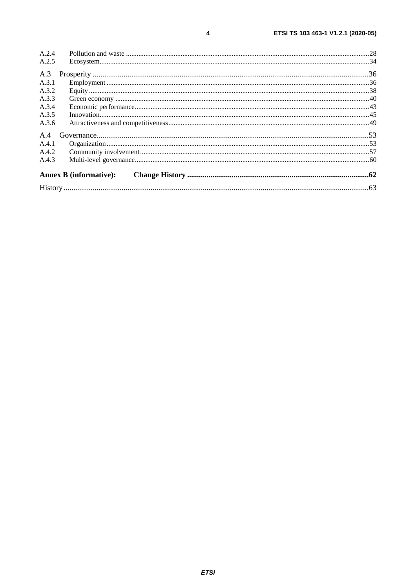| A.2.4 |                               |  |
|-------|-------------------------------|--|
| A.2.5 |                               |  |
| A.3   |                               |  |
| A.3.1 |                               |  |
| A.3.2 |                               |  |
| A.3.3 |                               |  |
| A.3.4 |                               |  |
| A.3.5 |                               |  |
| A.3.6 |                               |  |
| A.4   |                               |  |
| A.4.1 |                               |  |
| A.4.2 |                               |  |
| A.4.3 |                               |  |
|       | <b>Annex B</b> (informative): |  |
|       |                               |  |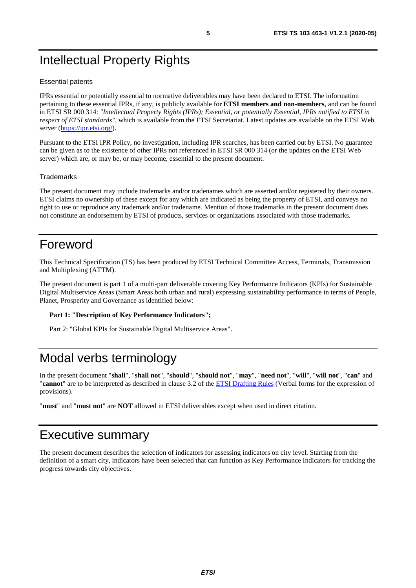## <span id="page-4-0"></span>Intellectual Property Rights

#### Essential patents

IPRs essential or potentially essential to normative deliverables may have been declared to ETSI. The information pertaining to these essential IPRs, if any, is publicly available for **ETSI members and non-members**, and can be found in ETSI SR 000 314: *"Intellectual Property Rights (IPRs); Essential, or potentially Essential, IPRs notified to ETSI in respect of ETSI standards"*, which is available from the ETSI Secretariat. Latest updates are available on the ETSI Web server ([https://ipr.etsi.org/\)](https://ipr.etsi.org/).

Pursuant to the ETSI IPR Policy, no investigation, including IPR searches, has been carried out by ETSI. No guarantee can be given as to the existence of other IPRs not referenced in ETSI SR 000 314 (or the updates on the ETSI Web server) which are, or may be, or may become, essential to the present document.

#### **Trademarks**

The present document may include trademarks and/or tradenames which are asserted and/or registered by their owners. ETSI claims no ownership of these except for any which are indicated as being the property of ETSI, and conveys no right to use or reproduce any trademark and/or tradename. Mention of those trademarks in the present document does not constitute an endorsement by ETSI of products, services or organizations associated with those trademarks.

### Foreword

This Technical Specification (TS) has been produced by ETSI Technical Committee Access, Terminals, Transmission and Multiplexing (ATTM).

The present document is part 1 of a multi-part deliverable covering Key Performance Indicators (KPIs) for Sustainable Digital Multiservice Areas (Smart Areas both urban and rural) expressing sustainability performance in terms of People, Planet, Prosperity and Governance as identified below:

#### **Part 1: "Description of Key Performance Indicators";**

Part 2: "Global KPIs for Sustainable Digital Multiservice Areas".

## Modal verbs terminology

In the present document "**shall**", "**shall not**", "**should**", "**should not**", "**may**", "**need not**", "**will**", "**will not**", "**can**" and "**cannot**" are to be interpreted as described in clause 3.2 of the [ETSI Drafting Rules](https://portal.etsi.org/Services/editHelp!/Howtostart/ETSIDraftingRules.aspx) (Verbal forms for the expression of provisions).

"**must**" and "**must not**" are **NOT** allowed in ETSI deliverables except when used in direct citation.

## Executive summary

The present document describes the selection of indicators for assessing indicators on city level. Starting from the definition of a smart city, indicators have been selected that can function as Key Performance Indicators for tracking the progress towards city objectives.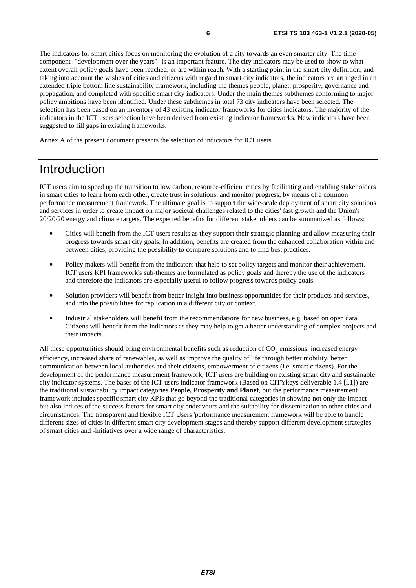<span id="page-5-0"></span>The indicators for smart cities focus on monitoring the evolution of a city towards an even smarter city. The time component -"development over the years"- is an important feature. The city indicators may be used to show to what extent overall policy goals have been reached, or are within reach. With a starting point in the smart city definition, and taking into account the wishes of cities and citizens with regard to smart city indicators, the indicators are arranged in an extended triple bottom line sustainability framework, including the themes people, planet, prosperity, governance and propagation, and completed with specific smart city indicators. Under the main themes subthemes conforming to major policy ambitions have been identified. Under these subthemes in total 73 city indicators have been selected. The selection has been based on an inventory of 43 existing indicator frameworks for cities indicators. The majority of the indicators in the ICT users selection have been derived from existing indicator frameworks. New indicators have been suggested to fill gaps in existing frameworks.

Annex A of the present document presents the selection of indicators for ICT users.

## Introduction

ICT users aim to speed up the transition to low carbon, resource-efficient cities by facilitating and enabling stakeholders in smart cities to learn from each other, create trust in solutions, and monitor progress, by means of a common performance measurement framework. The ultimate goal is to support the wide-scale deployment of smart city solutions and services in order to create impact on major societal challenges related to the cities' fast growth and the Union's 20/20/20 energy and climate targets. The expected benefits for different stakeholders can be summarized as follows:

- Cities will benefit from the ICT users results as they support their strategic planning and allow measuring their progress towards smart city goals. In addition, benefits are created from the enhanced collaboration within and between cities, providing the possibility to compare solutions and to find best practices.
- Policy makers will benefit from the indicators that help to set policy targets and monitor their achievement. ICT users KPI framework's sub-themes are formulated as policy goals and thereby the use of the indicators and therefore the indicators are especially useful to follow progress towards policy goals.
- Solution providers will benefit from better insight into business opportunities for their products and services, and into the possibilities for replication in a different city or context.
- Industrial stakeholders will benefit from the recommendations for new business, e.g. based on open data. Citizens will benefit from the indicators as they may help to get a better understanding of complex projects and their impacts.

All these opportunities should bring environmental benefits such as reduction of  $CO<sub>2</sub>$  emissions, increased energy

efficiency, increased share of renewables, as well as improve the quality of life through better mobility, better communication between local authorities and their citizens, empowerment of citizens (i.e. smart citizens). For the development of the performance measurement framework, ICT users are building on existing smart city and sustainable city indicator systems. The bases of the ICT users indicator framework (Based on CITYkeys deliverable 1.4 [\[i.1](#page-6-0)]) are the traditional sustainability impact categories **People, Prosperity and Planet**, but the performance measurement framework includes specific smart city KPIs that go beyond the traditional categories in showing not only the impact but also indices of the success factors for smart city endeavours and the suitability for dissemination to other cities and circumstances. The transparent and flexible ICT Users 'performance measurement framework will be able to handle different sizes of cities in different smart city development stages and thereby support different development strategies of smart cities and -initiatives over a wide range of characteristics.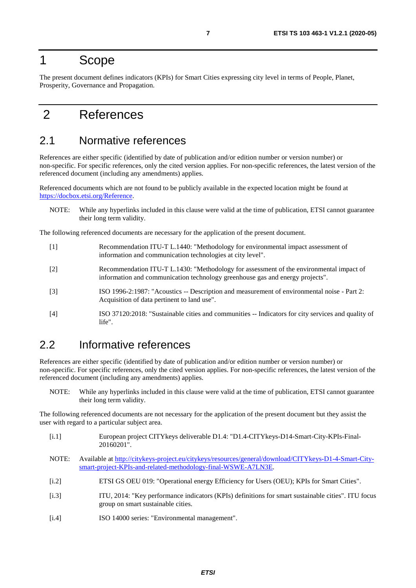### <span id="page-6-0"></span>1 Scope

The present document defines indicators (KPIs) for Smart Cities expressing city level in terms of People, Planet, Prosperity, Governance and Propagation.

## 2 References

### 2.1 Normative references

References are either specific (identified by date of publication and/or edition number or version number) or non-specific. For specific references, only the cited version applies. For non-specific references, the latest version of the referenced document (including any amendments) applies.

Referenced documents which are not found to be publicly available in the expected location might be found at <https://docbox.etsi.org/Reference>.

NOTE: While any hyperlinks included in this clause were valid at the time of publication, ETSI cannot guarantee their long term validity.

The following referenced documents are necessary for the application of the present document.

- [1] Recommendation ITU-T L.1440: "Methodology for environmental impact assessment of information and communication technologies at city level".
- [2] Recommendation ITU-T L.1430: "Methodology for assessment of the environmental impact of information and communication technology greenhouse gas and energy projects".
- [3] ISO 1996-2:1987: "Acoustics -- Description and measurement of environmental noise Part 2: Acquisition of data pertinent to land use".
- [4] ISO 37120:2018: "Sustainable cities and communities -- Indicators for city services and quality of life".

### 2.2 Informative references

References are either specific (identified by date of publication and/or edition number or version number) or non-specific. For specific references, only the cited version applies. For non-specific references, the latest version of the referenced document (including any amendments) applies.

NOTE: While any hyperlinks included in this clause were valid at the time of publication, ETSI cannot guarantee their long term validity.

The following referenced documents are not necessary for the application of the present document but they assist the user with regard to a particular subject area.

- [i.1] European project CITYkeys deliverable D1.4: "D1.4-CITYkeys-D14-Smart-City-KPIs-Final-20160201".
- NOTE: Available at [http://citykeys-project.eu/citykeys/resources/general/download/CITYkeys-D1-4-Smart-City](http://citykeys-project.eu/citykeys/resources/general/download/CITYkeys-D1-4-Smart-City-smart-project-KPIs-and-related-methodology-final-WSWE-A7LN3E)[smart-project-KPIs-and-related-methodology-final-WSWE-A7LN3E.](http://citykeys-project.eu/citykeys/resources/general/download/CITYkeys-D1-4-Smart-City-smart-project-KPIs-and-related-methodology-final-WSWE-A7LN3E)
- [i.2] ETSI GS OEU 019: "Operational energy Efficiency for Users (OEU); KPIs for Smart Cities".
- [i.3] ITU, 2014: "Key performance indicators (KPIs) definitions for smart sustainable cities". ITU focus group on smart sustainable cities.
- [i.4] ISO 14000 series: "Environmental management".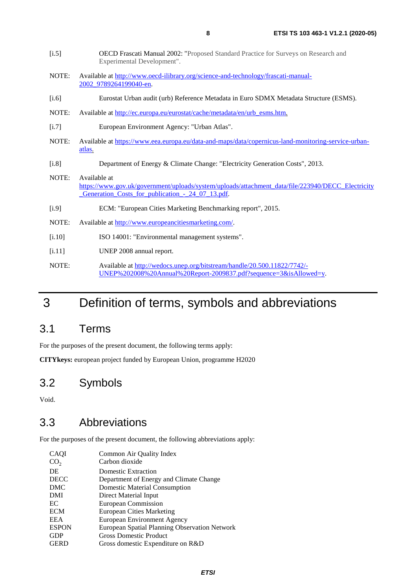- <span id="page-7-0"></span>[i.5] OECD Frascati Manual 2002: "Proposed Standard Practice for Surveys on Research and Experimental Development".
- NOTE: Available at [http://www.oecd-ilibrary.org/science-and-technology/frascati-manual-](http://www.oecd-ilibrary.org/science-and-technology/frascati-manual-2002_9789264199040-en)[2002\\_9789264199040-en](http://www.oecd-ilibrary.org/science-and-technology/frascati-manual-2002_9789264199040-en).
- [i.6] Eurostat Urban audit (urb) Reference Metadata in Euro SDMX Metadata Structure (ESMS).
- NOTE: Available at [http://ec.europa.eu/eurostat/cache/metadata/en/urb\\_esms.htm.](http://ec.europa.eu/eurostat/cache/metadata/en/urb_esms.htm)
- [i.7] European Environment Agency: "Urban Atlas".
- NOTE: Available at [https://www.eea.europa.eu/data-and-maps/data/copernicus-land-monitoring-service-urban](https://www.eea.europa.eu/data-and-maps/data/copernicus-land-monitoring-service-urban-atlas)[atlas.](https://www.eea.europa.eu/data-and-maps/data/copernicus-land-monitoring-service-urban-atlas)
- [i.8] Department of Energy & Climate Change: "Electricity Generation Costs", 2013.
- NOTE: Available at [https://www.gov.uk/government/uploads/system/uploads/attachment\\_data/file/223940/DECC\\_Electricity](https://www.gov.uk/government/uploads/system/uploads/attachment_data/file/223940/DECC_Electricity_Generation_Costs_for_publication_-_24_07_13.pdf) Generation Costs for publication - 24 07 13.pdf.
- [i.9] ECM: "European Cities Marketing Benchmarking report", 2015.
- NOTE: Available at <http://www.europeancitiesmarketing.com/>.
- [i.10] ISO 14001: "Environmental management systems".
- [i.11] UNEP 2008 annual report.
- NOTE: Available at [http://wedocs.unep.org/bitstream/handle/20.500.11822/7742/](http://wedocs.unep.org/bitstream/handle/20.500.11822/7742/-UNEP%202008%20Annual%20Report-2009837.pdf?sequence=3&isAllowed=y) [UNEP%202008%20Annual%20Report-2009837.pdf?sequence=3&isAllowed=y.](http://wedocs.unep.org/bitstream/handle/20.500.11822/7742/-UNEP%202008%20Annual%20Report-2009837.pdf?sequence=3&isAllowed=y)

## 3 Definition of terms, symbols and abbreviations

### 3.1 Terms

For the purposes of the present document, the following terms apply:

**CITYkeys:** european project funded by European Union, programme H2020

### 3.2 Symbols

Void.

### 3.3 Abbreviations

For the purposes of the present document, the following abbreviations apply:

| CAQI            | Common Air Quality Index                      |
|-----------------|-----------------------------------------------|
| CO <sub>2</sub> | Carbon dioxide                                |
| DE              | <b>Domestic Extraction</b>                    |
| <b>DECC</b>     | Department of Energy and Climate Change       |
| <b>DMC</b>      | Domestic Material Consumption                 |
| DMI             | Direct Material Input                         |
| EC              | <b>European Commission</b>                    |
| <b>ECM</b>      | <b>European Cities Marketing</b>              |
| EEA             | European Environment Agency                   |
| <b>ESPON</b>    | European Spatial Planning Observation Network |
| <b>GDP</b>      | <b>Gross Domestic Product</b>                 |
| <b>GERD</b>     | Gross domestic Expenditure on R&D             |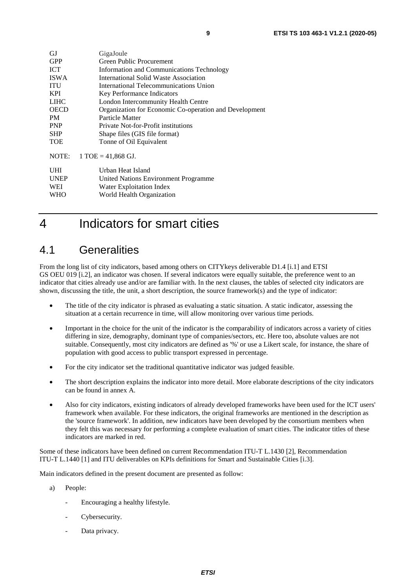<span id="page-8-0"></span>

| GJ   | GigaJoule                                              |
|------|--------------------------------------------------------|
| GPP  | Green Public Procurement                               |
| ICT  | Information and Communications Technology              |
| ISWA | International Solid Waste Association                  |
| ITU  | International Telecommunications Union                 |
| KPI  | Key Performance Indicators                             |
| LIHC | London Intercommunity Health Centre                    |
| OECD | Organization for Economic Co-operation and Development |
| PM   | Particle Matter                                        |
| PNP  | Private Not-for-Profit institutions                    |
| SHP  | Shape files (GIS file format)                          |
| TOE  | Tonne of Oil Equivalent                                |
|      | NOTE: $1 \text{TOE} = 41,868 \text{ GJ}.$              |
| UHI  | Urban Heat Island                                      |
| UNEP | United Nations Environment Programme                   |
| WEI  | Water Exploitation Index                               |
| WHO  | World Health Organization                              |
|      |                                                        |

4 Indicators for smart cities

### 4.1 Generalities

From the long list of city indicators, based among others on CITYkeys deliverable D1.4 [\[i.1\]](#page-6-0) and ETSI GS OEU 019 [[i.2](#page-6-0)], an indicator was chosen. If several indicators were equally suitable, the preference went to an indicator that cities already use and/or are familiar with. In the next clauses, the tables of selected city indicators are shown, discussing the title, the unit, a short description, the source framework(s) and the type of indicator:

- The title of the city indicator is phrased as evaluating a static situation. A static indicator, assessing the situation at a certain recurrence in time, will allow monitoring over various time periods.
- Important in the choice for the unit of the indicator is the comparability of indicators across a variety of cities differing in size, demography, dominant type of companies/sectors, etc. Here too, absolute values are not suitable. Consequently, most city indicators are defined as '%' or use a Likert scale, for instance, the share of population with good access to public transport expressed in percentage.
- For the city indicator set the traditional quantitative indicator was judged feasible.
- The short description explains the indicator into more detail. More elaborate descriptions of the city indicators can be found in annex A.
- Also for city indicators, existing indicators of already developed frameworks have been used for the ICT users' framework when available. For these indicators, the original frameworks are mentioned in the description as the 'source framework'. In addition, new indicators have been developed by the consortium members when they felt this was necessary for performing a complete evaluation of smart cities. The indicator titles of these indicators are marked in red.

Some of these indicators have been defined on current Recommendation ITU-T L.1430 [\[2](#page-6-0)], Recommendation ITU-T L.1440 [[1\]](#page-6-0) and ITU deliverables on KPIs definitions for Smart and Sustainable Cities [[i.3](#page-6-0)].

Main indicators defined in the present document are presented as follow:

- a) People:
	- Encouraging a healthy lifestyle.
	- Cybersecurity.
	- Data privacy.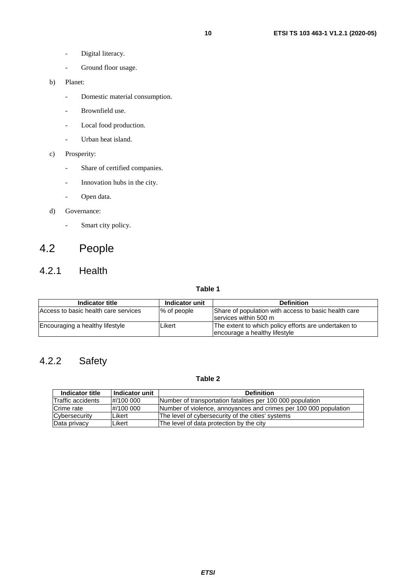- <span id="page-9-0"></span>- Digital literacy.
- Ground floor usage.
- b) Planet:
	- Domestic material consumption.
	- Brownfield use.
	- Local food production.
	- Urban heat island.
- c) Prosperity:
	- Share of certified companies.
	- Innovation hubs in the city.
	- Open data.
- d) Governance:
	- Smart city policy.

## 4.2 People

### 4.2.1 Health

#### **Table 1**

| Indicator title                      | Indicator unit | <b>Definition</b>                                                                     |
|--------------------------------------|----------------|---------------------------------------------------------------------------------------|
| Access to basic health care services | % of people    | Share of population with access to basic health care<br>services within 500 m         |
| Encouraging a healthy lifestyle      | Likert         | The extent to which policy efforts are undertaken to<br>encourage a healthy lifestyle |

### 4.2.2 Safety

#### **Table 2**

| Indicator title    | Indicator unit | <b>Definition</b>                                                |
|--------------------|----------------|------------------------------------------------------------------|
| lTraffic accidents | #/100 000      | Number of transportation fatalities per 100 000 population       |
| lCrime rate        | #/100 000      | Number of violence, annoyances and crimes per 100 000 population |
| Cybersecurity      | Likert         | The level of cybersecurity of the cities' systems                |
| Data privacy       | Likert         | The level of data protection by the city                         |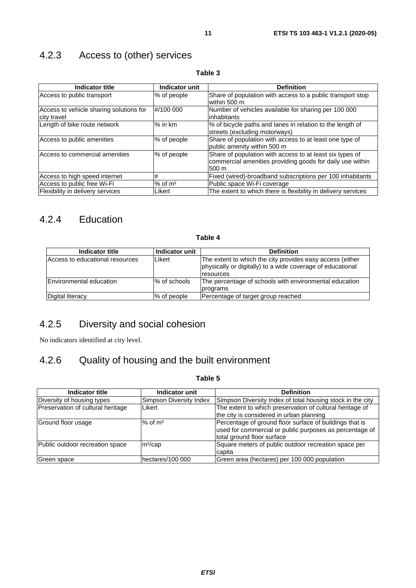### <span id="page-10-0"></span>4.2.3 Access to (other) services

| Indicator title                                        | Indicator unit | <b>Definition</b>                                                                                                              |
|--------------------------------------------------------|----------------|--------------------------------------------------------------------------------------------------------------------------------|
| Access to public transport                             | % of people    | Share of population with access to a public transport stop<br>within 500 m                                                     |
| Access to vehicle sharing solutions for<br>city travel | #/100 000      | Number of vehicles available for sharing per 100 000<br>linhabitants                                                           |
| Length of bike route network                           | $%$ in $km$    | % of bicycle paths and lanes in relation to the length of<br>streets (excluding motorways)                                     |
| Access to public amenities                             | % of people    | Share of population with access to at least one type of<br>public amenity within 500 m                                         |
| Access to commercial amenities                         | % of people    | Share of population with access to at least six types of<br>commercial amenities providing goods for daily use within<br>500 m |
| Access to high speed internet                          | #              | Fixed (wired)-broadband subscriptions per 100 inhabitants                                                                      |
| Access to public free Wi-Fi                            | $%$ of $m2$    | Public space Wi-Fi coverage                                                                                                    |
| Flexibility in delivery services                       | Likert         | The extent to which there is flexibility in delivery services                                                                  |

#### **Table 3**

### 4.2.4 Education

#### **Table 4**

| Indicator title                 | Indicator unit | <b>Definition</b>                                          |
|---------------------------------|----------------|------------------------------------------------------------|
| Access to educational resources | Likert         | The extent to which the city provides easy access (either  |
|                                 |                | physically or digitally) to a wide coverage of educational |
|                                 |                | resources                                                  |
| <b>Environmental education</b>  | % of schools   | The percentage of schools with environmental education     |
|                                 |                | programs                                                   |
| Digital literacy                | % of people    | Percentage of target group reached                         |

### 4.2.5 Diversity and social cohesion

No indicators identified at city level.

### 4.2.6 Quality of housing and the built environment

**Table 5** 

| Indicator title                   | Indicator unit          | <b>Definition</b>                                          |
|-----------------------------------|-------------------------|------------------------------------------------------------|
| Diversity of housing types        | Simpson Diversity Index | Simpson Diversity Index of total housing stock in the city |
| Preservation of cultural heritage | Likert                  | The extent to which preservation of cultural heritage of   |
|                                   |                         | the city is considered in urban planning                   |
| Ground floor usage                | $%$ of $m2$             | Percentage of ground floor surface of buildings that is    |
|                                   |                         | used for commercial or public purposes as percentage of    |
|                                   |                         | total ground floor surface                                 |
| Public outdoor recreation space   | $m^2$ /cap              | Square meters of public outdoor recreation space per       |
|                                   |                         | capita                                                     |
| Green space                       | hectares/100 000        | Green area (hectares) per 100 000 population               |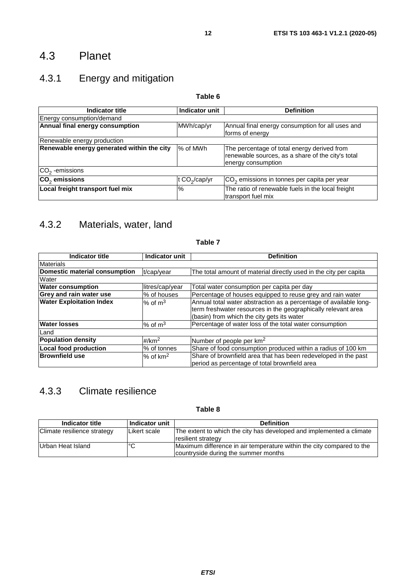## <span id="page-11-0"></span>4.3 Planet

## 4.3.1 Energy and mitigation

**Table 6** 

| Indicator title                            | Indicator unit   | <b>Definition</b>                                                                                                      |
|--------------------------------------------|------------------|------------------------------------------------------------------------------------------------------------------------|
| Energy consumption/demand                  |                  |                                                                                                                        |
| Annual final energy consumption            | MWh/cap/yr       | Annual final energy consumption for all uses and<br>forms of energy                                                    |
| Renewable energy production                |                  |                                                                                                                        |
| Renewable energy generated within the city | % of MWh         | The percentage of total energy derived from<br>renewable sources, as a share of the city's total<br>energy consumption |
| $CO2$ -emissions                           |                  |                                                                                                                        |
| $CO2$ emissions                            | t $CO_2$ /cap/yr | CO <sub>2</sub> emissions in tonnes per capita per year                                                                |
| Local freight transport fuel mix           | $\frac{10}{6}$   | The ratio of renewable fuels in the local freight<br>transport fuel mix                                                |

### 4.3.2 Materials, water, land

| <b>Indicator title</b>          | Indicator unit    | <b>Definition</b>                                                                                                                                                                |
|---------------------------------|-------------------|----------------------------------------------------------------------------------------------------------------------------------------------------------------------------------|
| <b>Materials</b>                |                   |                                                                                                                                                                                  |
| Domestic material consumption   | t/cap/year        | The total amount of material directly used in the city per capita                                                                                                                |
| Water                           |                   |                                                                                                                                                                                  |
| <b>Water consumption</b>        | litres/cap/year   | Total water consumption per capita per day                                                                                                                                       |
| Grey and rain water use         | % of houses       | Percentage of houses equipped to reuse grey and rain water                                                                                                                       |
| <b>Water Exploitation Index</b> | % of $m3$         | Annual total water abstraction as a percentage of available long-<br>term freshwater resources in the geographically relevant area<br>(basin) from which the city gets its water |
| <b>Water losses</b>             | % of $m3$         | Percentage of water loss of the total water consumption                                                                                                                          |
| Land                            |                   |                                                                                                                                                                                  |
| <b>Population density</b>       | #/km <sup>2</sup> | Number of people per $km2$                                                                                                                                                       |
| <b>Local food production</b>    | % of tonnes       | Share of food consumption produced within a radius of 100 km                                                                                                                     |
| <b>Brownfield use</b>           | % of $km^2$       | Share of brownfield area that has been redeveloped in the past<br>period as percentage of total brownfield area                                                                  |

**Table 7** 

## 4.3.3 Climate resilience

**Table 8** 

| Indicator title             | Indicator unit | <b>Definition</b>                                                     |
|-----------------------------|----------------|-----------------------------------------------------------------------|
| Climate resilience strategy | ILikert scale  | The extent to which the city has developed and implemented a climate  |
|                             |                | resilient strategy                                                    |
| Urban Heat Island           | °C             | Maximum difference in air temperature within the city compared to the |
|                             |                | countryside during the summer months                                  |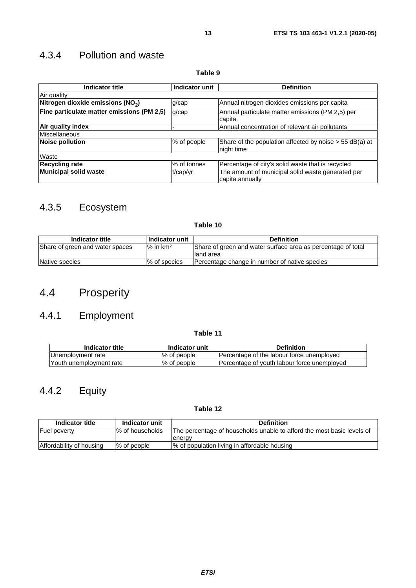### <span id="page-12-0"></span>4.3.4 Pollution and waste

| Indicator title                               | Indicator unit | <b>Definition</b>                                                     |
|-----------------------------------------------|----------------|-----------------------------------------------------------------------|
| Air quality                                   |                |                                                                       |
| Nitrogen dioxide emissions (NO <sub>2</sub> ) | g/cap          | Annual nitrogen dioxides emissions per capita                         |
| Fine particulate matter emissions (PM 2,5)    | g/cap          | Annual particulate matter emissions (PM 2,5) per<br>capita            |
| Air quality index                             |                | Annual concentration of relevant air pollutants                       |
| <b>Miscellaneous</b>                          |                |                                                                       |
| <b>Noise pollution</b>                        | % of people    | Share of the population affected by noise > 55 dB(a) at<br>night time |
| Waste                                         |                |                                                                       |
| <b>Recycling rate</b>                         | % of tonnes    | Percentage of city's solid waste that is recycled                     |
| <b>Municipal solid waste</b>                  | t/cap/yr       | The amount of municipal solid waste generated per<br>capita annually  |

### **Table 9**

## 4.3.5 Ecosystem

#### **Table 10**

| Indicator title                 | Indicator unit                   | <b>Definition</b>                                                          |
|---------------------------------|----------------------------------|----------------------------------------------------------------------------|
| Share of green and water spaces | $\frac{1}{6}$ in km <sup>2</sup> | Share of green and water surface area as percentage of total<br>lland area |
| Native species                  | % of species                     | Percentage change in number of native species                              |

## 4.4 Prosperity

## 4.4.1 Employment

### **Table 11**

| Indicator title         | Indicator unit | <b>Definition</b>                           |
|-------------------------|----------------|---------------------------------------------|
| Unemployment rate       | I% of people   | Percentage of the labour force unemployed   |
| Youth unemployment rate | % of people    | Percentage of youth labour force unemployed |

## 4.4.2 Equity

### **Table 12**

| Indicator title          | Indicator unit   | <b>Definition</b>                                                      |
|--------------------------|------------------|------------------------------------------------------------------------|
| <b>Fuel poverty</b>      | 1% of households | The percentage of households unable to afford the most basic levels of |
|                          |                  | lenergy                                                                |
| Affordability of housing | % of people      | % of population living in affordable housing                           |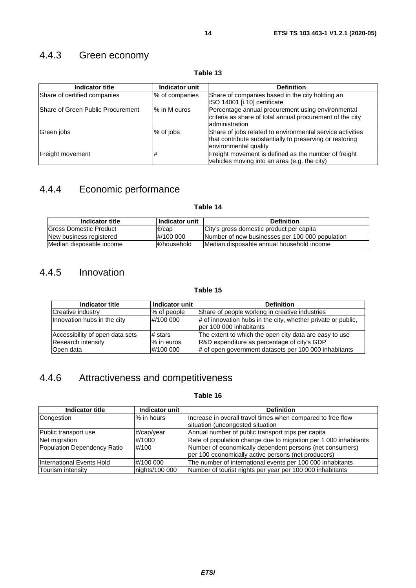### <span id="page-13-0"></span>4.4.3 Green economy

#### **Indicator title Indicator unit Indicator unit Definition** Share of certified companies **8**% of companies Share of companies based in the city holding an ISO 14001 [[i.10\]](#page-7-0) certificate Share of Green Public Procurement % in M euros Percentage annual procurement using environmental criteria as share of total annual procurement of the city administration Green jobs **Share of jobs** Share of jobs related to environmental service activities that contribute substantially to preserving or restoring environmental quality Freight movement  $#$  Freight movement is defined as the number of freight vehicles moving into an area (e.g. the city)

### **Table 13**

### 4.4.4 Economic performance

#### **Table 14**

| Indicator title                | Indicator unit | <b>Definition</b>                               |
|--------------------------------|----------------|-------------------------------------------------|
| <b>IGross Domestic Product</b> | €/cap          | City's gross domestic product per capita        |
| New business registered        | #/100 000      | Number of new businesses per 100 000 population |
| Median disposable income       | l€/household   | Median disposable annual household income       |

### 4.4.5 Innovation

#### **Table 15**

| Indicator title                 | Indicator unit | <b>Definition</b>                                                                          |
|---------------------------------|----------------|--------------------------------------------------------------------------------------------|
| Creative industry               | % of people    | Share of people working in creative industries                                             |
| Innovation hubs in the city     | #/100 000      | $\#$ of innovation hubs in the city, whether private or public,<br>per 100 000 inhabitants |
| Accessibility of open data sets | # stars        | The extent to which the open city data are easy to use                                     |
| <b>Research intensity</b>       | % in euros     | R&D expenditure as percentage of city's GDP                                                |
| Open data                       | #/100 000      | # of open government datasets per 100 000 inhabitants                                      |

### 4.4.6 Attractiveness and competitiveness

#### **Table 16**

| Indicator title             | Indicator unit | <b>Definition</b>                                                                                               |
|-----------------------------|----------------|-----------------------------------------------------------------------------------------------------------------|
| Congestion                  | % in hours     | Increase in overall travel times when compared to free flow<br>situation (uncongested situation                 |
| Public transport use        | #/cap/year     | Annual number of public transport trips per capita                                                              |
| Net migration               | #/1000         | Rate of population change due to migration per 1 000 inhabitants                                                |
| Population Dependency Ratio | #/100          | Number of economically dependent persons (net consumers)<br>per 100 economically active persons (net producers) |
| International Events Hold   | #/100 000      | The number of international events per 100 000 inhabitants                                                      |
| Tourism intensity           | nights/100 000 | Number of tourist nights per year per 100 000 inhabitants                                                       |

*ETSI*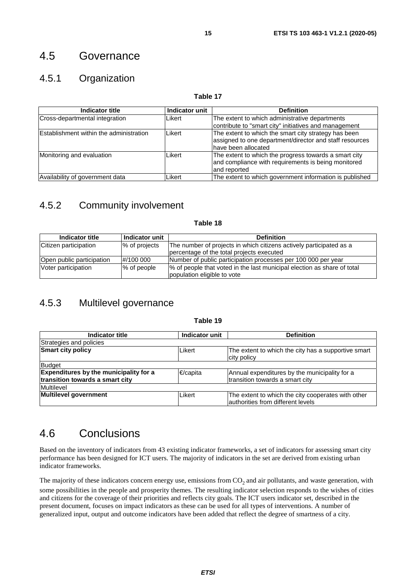### <span id="page-14-0"></span>4.5.1 Organization

#### **Table 17**

| Indicator title                         | Indicator unit | <b>Definition</b>                                                                                                                      |
|-----------------------------------------|----------------|----------------------------------------------------------------------------------------------------------------------------------------|
| Cross-departmental integration          | Likert         | The extent to which administrative departments<br>contribute to "smart city" initiatives and management                                |
| Establishment within the administration | Likert         | The extent to which the smart city strategy has been<br>assigned to one department/director and staff resources<br>have been allocated |
| Monitoring and evaluation               | Likert         | The extent to which the progress towards a smart city<br>and compliance with requirements is being monitored<br>and reported           |
| Availability of government data         | Likert         | The extent to which government information is published                                                                                |

### 4.5.2 Community involvement

**Table 18** 

| Indicator title           | Indicator unit | <b>Definition</b>                                                                                      |
|---------------------------|----------------|--------------------------------------------------------------------------------------------------------|
| Citizen participation     | % of projects  | The number of projects in which citizens actively participated as a                                    |
|                           |                | percentage of the total projects executed                                                              |
| Open public participation | #/100 000      | Number of public participation processes per 100 000 per year                                          |
| Voter participation       | % of people    | % of people that voted in the last municipal election as share of total<br>population eligible to vote |

### 4.5.3 Multilevel governance

#### **Table 19**

| Indicator title                        | Indicator unit | <b>Definition</b>                                                  |
|----------------------------------------|----------------|--------------------------------------------------------------------|
| Strategies and policies                |                |                                                                    |
| <b>Smart city policy</b>               | Likert         | The extent to which the city has a supportive smart<br>city policy |
| Budget                                 |                |                                                                    |
| Expenditures by the municipality for a | €/capita       | Annual expenditures by the municipality for a                      |
| transition towards a smart city        |                | transition towards a smart city                                    |
| Multilevel                             |                |                                                                    |
| <b>Multilevel government</b>           | Likert         | The extent to which the city cooperates with other                 |
|                                        |                | lauthorities from different levels                                 |

### 4.6 Conclusions

Based on the inventory of indicators from 43 existing indicator frameworks, a set of indicators for assessing smart city performance has been designed for ICT users. The majority of indicators in the set are derived from existing urban indicator frameworks.

The majority of these indicators concern energy use, emissions from  $CO<sub>2</sub>$  and air pollutants, and waste generation, with some possibilities in the people and prosperity themes. The resulting indicator selection responds to the wishes of cities and citizens for the coverage of their priorities and reflects city goals. The ICT users indicator set, described in the present document, focuses on impact indicators as these can be used for all types of interventions. A number of generalized input, output and outcome indicators have been added that reflect the degree of smartness of a city.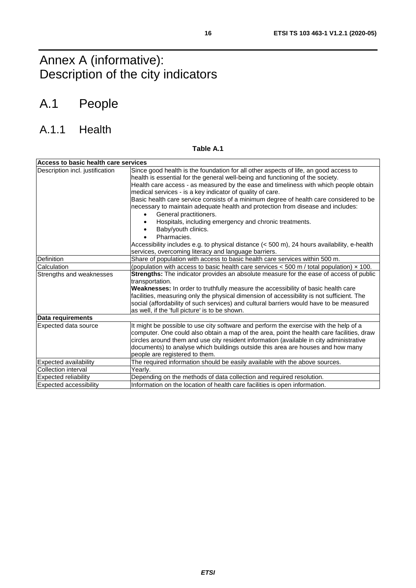## <span id="page-15-0"></span>Annex A (informative): Description of the city indicators

## A.1 People

## A.1.1 Health

**Table A.1** 

| Access to basic health care services |                                                                                                                                                                                                                                                                                                                                                                                                                                                                                                                                                                                                                                                                                                                                   |
|--------------------------------------|-----------------------------------------------------------------------------------------------------------------------------------------------------------------------------------------------------------------------------------------------------------------------------------------------------------------------------------------------------------------------------------------------------------------------------------------------------------------------------------------------------------------------------------------------------------------------------------------------------------------------------------------------------------------------------------------------------------------------------------|
| Description incl. justification      | Since good health is the foundation for all other aspects of life, an good access to<br>health is essential for the general well-being and functioning of the society.<br>Health care access - as measured by the ease and timeliness with which people obtain<br>medical services - is a key indicator of quality of care.<br>Basic health care service consists of a minimum degree of health care considered to be<br>necessary to maintain adequate health and protection from disease and includes:<br>General practitioners.<br>Hospitals, including emergency and chronic treatments.<br>Baby/youth clinics.<br>Pharmacies.<br>Accessibility includes e.g. to physical distance (< 500 m), 24 hours availability, e-health |
| Definition                           | services, overcoming literacy and language barriers.<br>Share of population with access to basic health care services within 500 m.                                                                                                                                                                                                                                                                                                                                                                                                                                                                                                                                                                                               |
| Calculation                          | (population with access to basic health care services $<$ 500 m / total population) $\times$ 100.                                                                                                                                                                                                                                                                                                                                                                                                                                                                                                                                                                                                                                 |
| Strengths and weaknesses             | Strengths: The indicator provides an absolute measure for the ease of access of public<br>transportation.<br><b>Weaknesses:</b> In order to truthfully measure the accessibility of basic health care<br>facilities, measuring only the physical dimension of accessibility is not sufficient. The<br>social (affordability of such services) and cultural barriers would have to be measured<br>as well, if the 'full picture' is to be shown.                                                                                                                                                                                                                                                                                   |
| Data requirements                    |                                                                                                                                                                                                                                                                                                                                                                                                                                                                                                                                                                                                                                                                                                                                   |
| Expected data source                 | It might be possible to use city software and perform the exercise with the help of a<br>computer. One could also obtain a map of the area, point the health care facilities, draw<br>circles around them and use city resident information (available in city administrative<br>documents) to analyse which buildings outside this area are houses and how many<br>people are registered to them.                                                                                                                                                                                                                                                                                                                                |
| <b>Expected availability</b>         | The required information should be easily available with the above sources.                                                                                                                                                                                                                                                                                                                                                                                                                                                                                                                                                                                                                                                       |
| Collection interval                  | Yearlv.                                                                                                                                                                                                                                                                                                                                                                                                                                                                                                                                                                                                                                                                                                                           |
| <b>Expected reliability</b>          | Depending on the methods of data collection and required resolution.                                                                                                                                                                                                                                                                                                                                                                                                                                                                                                                                                                                                                                                              |
| <b>Expected accessibility</b>        | Information on the location of health care facilities is open information.                                                                                                                                                                                                                                                                                                                                                                                                                                                                                                                                                                                                                                                        |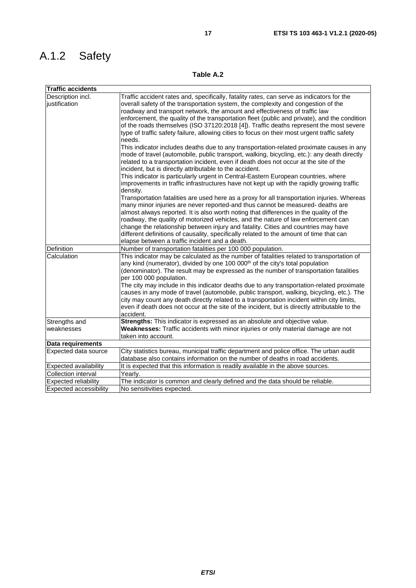## <span id="page-16-0"></span>A.1.2 Safety

| <b>Traffic accidents</b>           |                                                                                                                                                                                                                                                                                                                                                                                                                                                                                                                                                                                                                                                                                                                                                                                                                                                                                                                                                                                                                                                                                                                                                                                                                                                                                                                                                                                                                                                                                                                                                                                                                                                                                                                   |
|------------------------------------|-------------------------------------------------------------------------------------------------------------------------------------------------------------------------------------------------------------------------------------------------------------------------------------------------------------------------------------------------------------------------------------------------------------------------------------------------------------------------------------------------------------------------------------------------------------------------------------------------------------------------------------------------------------------------------------------------------------------------------------------------------------------------------------------------------------------------------------------------------------------------------------------------------------------------------------------------------------------------------------------------------------------------------------------------------------------------------------------------------------------------------------------------------------------------------------------------------------------------------------------------------------------------------------------------------------------------------------------------------------------------------------------------------------------------------------------------------------------------------------------------------------------------------------------------------------------------------------------------------------------------------------------------------------------------------------------------------------------|
| Description incl.<br>iustification | Traffic accident rates and, specifically, fatality rates, can serve as indicators for the<br>overall safety of the transportation system, the complexity and congestion of the<br>roadway and transport network, the amount and effectiveness of traffic law<br>enforcement, the quality of the transportation fleet (public and private), and the condition<br>of the roads themselves (ISO 37120:2018 [4]). Traffic deaths represent the most severe<br>type of traffic safety failure, allowing cities to focus on their most urgent traffic safety<br>needs.<br>This indicator includes deaths due to any transportation-related proximate causes in any<br>mode of travel (automobile, public transport, walking, bicycling, etc.): any death directly<br>related to a transportation incident, even if death does not occur at the site of the<br>incident, but is directly attributable to the accident.<br>This indicator is particularly urgent in Central-Eastern European countries, where<br>improvements in traffic infrastructures have not kept up with the rapidly growing traffic<br>density.<br>Transportation fatalities are used here as a proxy for all transportation injuries. Whereas<br>many minor injuries are never reported-and thus cannot be measured- deaths are<br>almost always reported. It is also worth noting that differences in the quality of the<br>roadway, the quality of motorized vehicles, and the nature of law enforcement can<br>change the relationship between injury and fatality. Cities and countries may have<br>different definitions of causality, specifically related to the amount of time that can<br>elapse between a traffic incident and a death. |
| <b>Definition</b>                  | Number of transportation fatalities per 100 000 population.                                                                                                                                                                                                                                                                                                                                                                                                                                                                                                                                                                                                                                                                                                                                                                                                                                                                                                                                                                                                                                                                                                                                                                                                                                                                                                                                                                                                                                                                                                                                                                                                                                                       |
| Calculation                        | This indicator may be calculated as the number of fatalities related to transportation of<br>any kind (numerator), divided by one 100 000 <sup>th</sup> of the city's total population<br>(denominator). The result may be expressed as the number of transportation fatalities<br>per 100 000 population.<br>The city may include in this indicator deaths due to any transportation-related proximate<br>causes in any mode of travel (automobile, public transport, walking, bicycling, etc.). The<br>city may count any death directly related to a transportation incident within city limits,<br>even if death does not occur at the site of the incident, but is directly attributable to the<br>accident.                                                                                                                                                                                                                                                                                                                                                                                                                                                                                                                                                                                                                                                                                                                                                                                                                                                                                                                                                                                                 |
| Strengths and                      | Strengths: This indicator is expressed as an absolute and objective value.                                                                                                                                                                                                                                                                                                                                                                                                                                                                                                                                                                                                                                                                                                                                                                                                                                                                                                                                                                                                                                                                                                                                                                                                                                                                                                                                                                                                                                                                                                                                                                                                                                        |
| weaknesses                         | Weaknesses: Traffic accidents with minor injuries or only material damage are not<br>taken into account.                                                                                                                                                                                                                                                                                                                                                                                                                                                                                                                                                                                                                                                                                                                                                                                                                                                                                                                                                                                                                                                                                                                                                                                                                                                                                                                                                                                                                                                                                                                                                                                                          |
| Data requirements                  |                                                                                                                                                                                                                                                                                                                                                                                                                                                                                                                                                                                                                                                                                                                                                                                                                                                                                                                                                                                                                                                                                                                                                                                                                                                                                                                                                                                                                                                                                                                                                                                                                                                                                                                   |
| Expected data source               | City statistics bureau, municipal traffic department and police office. The urban audit<br>database also contains information on the number of deaths in road accidents.                                                                                                                                                                                                                                                                                                                                                                                                                                                                                                                                                                                                                                                                                                                                                                                                                                                                                                                                                                                                                                                                                                                                                                                                                                                                                                                                                                                                                                                                                                                                          |
| Expected availability              | It is expected that this information is readily available in the above sources.                                                                                                                                                                                                                                                                                                                                                                                                                                                                                                                                                                                                                                                                                                                                                                                                                                                                                                                                                                                                                                                                                                                                                                                                                                                                                                                                                                                                                                                                                                                                                                                                                                   |
| Collection interval                | Yearly.                                                                                                                                                                                                                                                                                                                                                                                                                                                                                                                                                                                                                                                                                                                                                                                                                                                                                                                                                                                                                                                                                                                                                                                                                                                                                                                                                                                                                                                                                                                                                                                                                                                                                                           |
| Expected reliability               | The indicator is common and clearly defined and the data should be reliable.                                                                                                                                                                                                                                                                                                                                                                                                                                                                                                                                                                                                                                                                                                                                                                                                                                                                                                                                                                                                                                                                                                                                                                                                                                                                                                                                                                                                                                                                                                                                                                                                                                      |
| Expected accessibility             | No sensitivities expected.                                                                                                                                                                                                                                                                                                                                                                                                                                                                                                                                                                                                                                                                                                                                                                                                                                                                                                                                                                                                                                                                                                                                                                                                                                                                                                                                                                                                                                                                                                                                                                                                                                                                                        |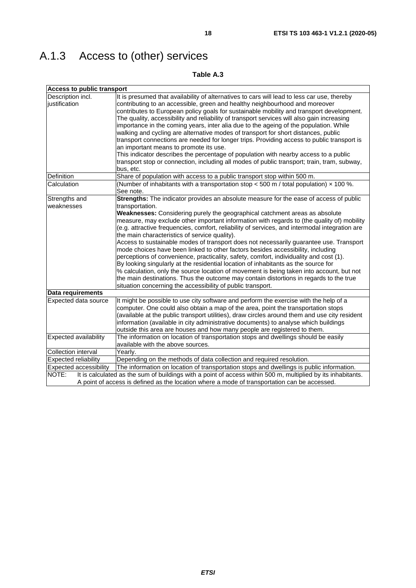## <span id="page-17-0"></span>A.1.3 Access to (other) services

| <b>Access to public transport</b>  |                                                                                                                                                                                                                                                                                                                                                                                                                                                                                                                                                                                                                                                                                                                                                                                                                                                                                                                                                                   |  |
|------------------------------------|-------------------------------------------------------------------------------------------------------------------------------------------------------------------------------------------------------------------------------------------------------------------------------------------------------------------------------------------------------------------------------------------------------------------------------------------------------------------------------------------------------------------------------------------------------------------------------------------------------------------------------------------------------------------------------------------------------------------------------------------------------------------------------------------------------------------------------------------------------------------------------------------------------------------------------------------------------------------|--|
| Description incl.<br>iustification | It is presumed that availability of alternatives to cars will lead to less car use, thereby<br>contributing to an accessible, green and healthy neighbourhood and moreover<br>contributes to European policy goals for sustainable mobility and transport development.<br>The quality, accessibility and reliability of transport services will also gain increasing<br>importance in the coming years, inter alia due to the ageing of the population. While<br>walking and cycling are alternative modes of transport for short distances, public<br>transport connections are needed for longer trips. Providing access to public transport is<br>an important means to promote its use.<br>This indicator describes the percentage of population with nearby access to a public<br>transport stop or connection, including all modes of public transport; train, tram, subway,<br>bus, etc.                                                                   |  |
| Definition                         | Share of population with access to a public transport stop within 500 m.                                                                                                                                                                                                                                                                                                                                                                                                                                                                                                                                                                                                                                                                                                                                                                                                                                                                                          |  |
| Calculation                        | (Number of inhabitants with a transportation stop $<$ 500 m / total population) $\times$ 100 %.<br>See note.                                                                                                                                                                                                                                                                                                                                                                                                                                                                                                                                                                                                                                                                                                                                                                                                                                                      |  |
| Strengths and                      | Strengths: The indicator provides an absolute measure for the ease of access of public                                                                                                                                                                                                                                                                                                                                                                                                                                                                                                                                                                                                                                                                                                                                                                                                                                                                            |  |
| weaknesses                         | transportation.<br>Weaknesses: Considering purely the geographical catchment areas as absolute<br>measure, may exclude other important information with regards to (the quality of) mobility<br>(e.g. attractive frequencies, comfort, reliability of services, and intermodal integration are<br>the main characteristics of service quality).<br>Access to sustainable modes of transport does not necessarily guarantee use. Transport<br>mode choices have been linked to other factors besides accessibility, including<br>perceptions of convenience, practicality, safety, comfort, individuality and cost (1).<br>By looking singularly at the residential location of inhabitants as the source for<br>% calculation, only the source location of movement is being taken into account, but not<br>the main destinations. Thus the outcome may contain distortions in regards to the true<br>situation concerning the accessibility of public transport. |  |
| Data requirements                  |                                                                                                                                                                                                                                                                                                                                                                                                                                                                                                                                                                                                                                                                                                                                                                                                                                                                                                                                                                   |  |
| Expected data source               | It might be possible to use city software and perform the exercise with the help of a<br>computer. One could also obtain a map of the area, point the transportation stops<br>(available at the public transport utilities), draw circles around them and use city resident<br>information (available in city administrative documents) to analyse which buildings<br>outside this area are houses and how many people are registered to them.                                                                                                                                                                                                                                                                                                                                                                                                                                                                                                                    |  |
| Expected availability              | The information on location of transportation stops and dwellings should be easily<br>available with the above sources.                                                                                                                                                                                                                                                                                                                                                                                                                                                                                                                                                                                                                                                                                                                                                                                                                                           |  |
| Collection interval                | Yearly.                                                                                                                                                                                                                                                                                                                                                                                                                                                                                                                                                                                                                                                                                                                                                                                                                                                                                                                                                           |  |
| Expected reliability               | Depending on the methods of data collection and required resolution.                                                                                                                                                                                                                                                                                                                                                                                                                                                                                                                                                                                                                                                                                                                                                                                                                                                                                              |  |
| Expected accessibility             | The information on location of transportation stops and dwellings is public information.                                                                                                                                                                                                                                                                                                                                                                                                                                                                                                                                                                                                                                                                                                                                                                                                                                                                          |  |
| NOTE:                              | It is calculated as the sum of buildings with a point of access within 500 m, multiplied by its inhabitants.<br>A point of access is defined as the location where a mode of transportation can be accessed.                                                                                                                                                                                                                                                                                                                                                                                                                                                                                                                                                                                                                                                                                                                                                      |  |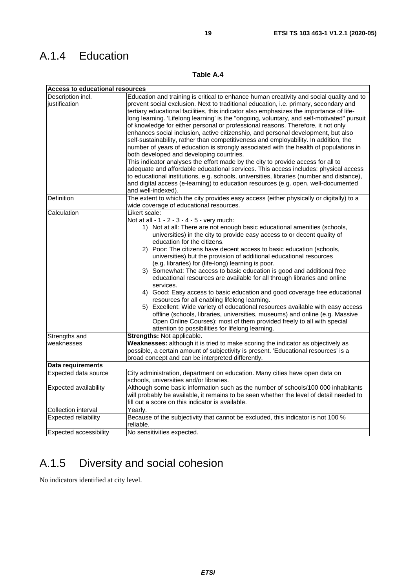## <span id="page-18-0"></span>A.1.4 Education

**Table A.4** 

| <b>Access to educational resources</b> |                                                                                                                                                                                                                                                                                                                                                                                                                                                                                                                                                                                                                                                                                                                                                                                                                                                                                                                                                                                                                                                                                                                                                                     |  |
|----------------------------------------|---------------------------------------------------------------------------------------------------------------------------------------------------------------------------------------------------------------------------------------------------------------------------------------------------------------------------------------------------------------------------------------------------------------------------------------------------------------------------------------------------------------------------------------------------------------------------------------------------------------------------------------------------------------------------------------------------------------------------------------------------------------------------------------------------------------------------------------------------------------------------------------------------------------------------------------------------------------------------------------------------------------------------------------------------------------------------------------------------------------------------------------------------------------------|--|
| Description incl.<br>iustification     | Education and training is critical to enhance human creativity and social quality and to<br>prevent social exclusion. Next to traditional education, i.e. primary, secondary and<br>tertiary educational facilities, this indicator also emphasizes the importance of life-<br>long learning. 'Lifelong learning' is the "ongoing, voluntary, and self-motivated" pursuit<br>of knowledge for either personal or professional reasons. Therefore, it not only<br>enhances social inclusion, active citizenship, and personal development, but also<br>self-sustainability, rather than competitiveness and employability. In addition, the<br>number of years of education is strongly associated with the health of populations in<br>both developed and developing countries.<br>This indicator analyses the effort made by the city to provide access for all to<br>adequate and affordable educational services. This access includes: physical access<br>to educational institutions, e.g. schools, universities, libraries (number and distance),<br>and digital access (e-learning) to education resources (e.g. open, well-documented<br>and well-indexed). |  |
| <b>Definition</b>                      | The extent to which the city provides easy access (either physically or digitally) to a<br>wide coverage of educational resources.                                                                                                                                                                                                                                                                                                                                                                                                                                                                                                                                                                                                                                                                                                                                                                                                                                                                                                                                                                                                                                  |  |
| Calculation                            | Likert scale:<br>Not at all - 1 - 2 - 3 - 4 - 5 - very much:<br>1) Not at all: There are not enough basic educational amenities (schools,<br>universities) in the city to provide easy access to or decent quality of<br>education for the citizens.<br>2) Poor: The citizens have decent access to basic education (schools,<br>universities) but the provision of additional educational resources<br>(e.g. libraries) for (life-long) learning is poor.<br>3) Somewhat: The access to basic education is good and additional free<br>educational resources are available for all through libraries and online<br>services.<br>4) Good: Easy access to basic education and good coverage free educational<br>resources for all enabling lifelong learning.<br>5) Excellent: Wide variety of educational resources available with easy access<br>offline (schools, libraries, universities, museums) and online (e.g. Massive<br>Open Online Courses); most of them provided freely to all with special<br>attention to possibilities for lifelong learning.                                                                                                       |  |
| Strengths and<br>weaknesses            | Strengths: Not applicable.<br>Weaknesses: although it is tried to make scoring the indicator as objectively as<br>possible, a certain amount of subjectivity is present. 'Educational resources' is a<br>broad concept and can be interpreted differently.                                                                                                                                                                                                                                                                                                                                                                                                                                                                                                                                                                                                                                                                                                                                                                                                                                                                                                          |  |
| Data requirements                      |                                                                                                                                                                                                                                                                                                                                                                                                                                                                                                                                                                                                                                                                                                                                                                                                                                                                                                                                                                                                                                                                                                                                                                     |  |
| Expected data source                   | City administration, department on education. Many cities have open data on<br>schools, universities and/or libraries.                                                                                                                                                                                                                                                                                                                                                                                                                                                                                                                                                                                                                                                                                                                                                                                                                                                                                                                                                                                                                                              |  |
| Expected availability                  | Although some basic information such as the number of schools/100 000 inhabitants<br>will probably be available, it remains to be seen whether the level of detail needed to<br>fill out a score on this indicator is available.                                                                                                                                                                                                                                                                                                                                                                                                                                                                                                                                                                                                                                                                                                                                                                                                                                                                                                                                    |  |
| Collection interval                    | $\overline{Y}$ early.                                                                                                                                                                                                                                                                                                                                                                                                                                                                                                                                                                                                                                                                                                                                                                                                                                                                                                                                                                                                                                                                                                                                               |  |
| Expected reliability                   | Because of the subjectivity that cannot be excluded, this indicator is not 100 %<br>reliable.                                                                                                                                                                                                                                                                                                                                                                                                                                                                                                                                                                                                                                                                                                                                                                                                                                                                                                                                                                                                                                                                       |  |
| Expected accessibility                 | No sensitivities expected.                                                                                                                                                                                                                                                                                                                                                                                                                                                                                                                                                                                                                                                                                                                                                                                                                                                                                                                                                                                                                                                                                                                                          |  |

## A.1.5 Diversity and social cohesion

No indicators identified at city level.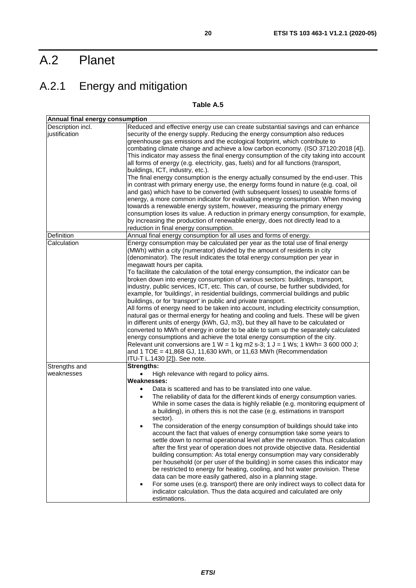## <span id="page-19-0"></span>A.2 Planet

## A.2.1 Energy and mitigation

| Annual final energy consumption    |                                                                                                                                                                                                                                                                                                                                                                                                                                                                                                                                                                                                                                                                                                                                                                                                                                                                                                                                                                                                                                                                                                                                                                                                                                  |  |
|------------------------------------|----------------------------------------------------------------------------------------------------------------------------------------------------------------------------------------------------------------------------------------------------------------------------------------------------------------------------------------------------------------------------------------------------------------------------------------------------------------------------------------------------------------------------------------------------------------------------------------------------------------------------------------------------------------------------------------------------------------------------------------------------------------------------------------------------------------------------------------------------------------------------------------------------------------------------------------------------------------------------------------------------------------------------------------------------------------------------------------------------------------------------------------------------------------------------------------------------------------------------------|--|
| Description incl.<br>justification | Reduced and effective energy use can create substantial savings and can enhance<br>security of the energy supply. Reducing the energy consumption also reduces<br>greenhouse gas emissions and the ecological footprint, which contribute to<br>combating climate change and achieve a low carbon economy. (ISO 37120:2018 [4]).<br>This indicator may assess the final energy consumption of the city taking into account                                                                                                                                                                                                                                                                                                                                                                                                                                                                                                                                                                                                                                                                                                                                                                                                       |  |
|                                    | all forms of energy (e.g. electricity, gas, fuels) and for all functions (transport,<br>buildings, ICT, industry, etc.).                                                                                                                                                                                                                                                                                                                                                                                                                                                                                                                                                                                                                                                                                                                                                                                                                                                                                                                                                                                                                                                                                                         |  |
|                                    | The final energy consumption is the energy actually consumed by the end-user. This<br>in contrast with primary energy use, the energy forms found in nature (e.g. coal, oil<br>and gas) which have to be converted (with subsequent losses) to useable forms of<br>energy, a more common indicator for evaluating energy consumption. When moving<br>towards a renewable energy system, however, measuring the primary energy<br>consumption loses its value. A reduction in primary energy consumption, for example,<br>by increasing the production of renewable energy, does not directly lead to a<br>reduction in final energy consumption.                                                                                                                                                                                                                                                                                                                                                                                                                                                                                                                                                                                 |  |
| Definition                         | Annual final energy consumption for all uses and forms of energy.                                                                                                                                                                                                                                                                                                                                                                                                                                                                                                                                                                                                                                                                                                                                                                                                                                                                                                                                                                                                                                                                                                                                                                |  |
| Calculation                        | Energy consumption may be calculated per year as the total use of final energy<br>(MWh) within a city (numerator) divided by the amount of residents in city<br>(denominator). The result indicates the total energy consumption per year in<br>megawatt hours per capita.<br>To facilitate the calculation of the total energy consumption, the indicator can be<br>broken down into energy consumption of various sectors: buildings, transport,<br>industry, public services, ICT, etc. This can, of course, be further subdivided, for<br>example, for 'buildings', in residential buildings, commercial buildings and public<br>buildings, or for 'transport' in public and private transport.<br>All forms of energy need to be taken into account, including electricity consumption,<br>natural gas or thermal energy for heating and cooling and fuels. These will be given<br>in different units of energy (kWh, GJ, m3), but they all have to be calculated or<br>converted to MWh of energy in order to be able to sum up the separately calculated<br>energy consumptions and achieve the total energy consumption of the city.<br>Relevant unit conversions are 1 W = 1 kg m2 s-3; 1 J = 1 Ws; 1 kWh= 3 600 000 J; |  |
|                                    | and 1 TOE = 41,868 GJ, 11,630 kWh, or 11,63 MWh (Recommendation<br>ITU-T L.1430 [2]). See note.                                                                                                                                                                                                                                                                                                                                                                                                                                                                                                                                                                                                                                                                                                                                                                                                                                                                                                                                                                                                                                                                                                                                  |  |
| Strengths and                      | <b>Strengths:</b>                                                                                                                                                                                                                                                                                                                                                                                                                                                                                                                                                                                                                                                                                                                                                                                                                                                                                                                                                                                                                                                                                                                                                                                                                |  |
| weaknesses                         | High relevance with regard to policy aims.<br>$\bullet$                                                                                                                                                                                                                                                                                                                                                                                                                                                                                                                                                                                                                                                                                                                                                                                                                                                                                                                                                                                                                                                                                                                                                                          |  |
|                                    | Weaknesses:                                                                                                                                                                                                                                                                                                                                                                                                                                                                                                                                                                                                                                                                                                                                                                                                                                                                                                                                                                                                                                                                                                                                                                                                                      |  |
|                                    | Data is scattered and has to be translated into one value.<br>$\bullet$<br>The reliability of data for the different kinds of energy consumption varies.<br>$\bullet$<br>While in some cases the data is highly reliable (e.g. monitoring equipment of<br>a building), in others this is not the case (e.g. estimations in transport<br>sector).<br>The consideration of the energy consumption of buildings should take into<br>account the fact that values of energy consumption take some years to<br>settle down to normal operational level after the renovation. Thus calculation<br>after the first year of operation does not provide objective data. Residential<br>building consumption: As total energy consumption may vary considerably<br>per household (or per user of the building) in some cases this indicator may<br>be restricted to energy for heating, cooling, and hot water provision. These<br>data can be more easily gathered, also in a planning stage.<br>For some uses (e.g. transport) there are only indirect ways to collect data for<br>indicator calculation. Thus the data acquired and calculated are only<br>estimations.                                                                 |  |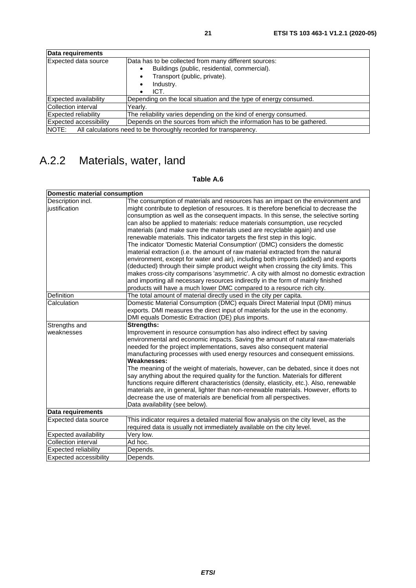٦

<span id="page-20-0"></span>

| Data requirements           |                                                                         |
|-----------------------------|-------------------------------------------------------------------------|
| Expected data source        | Data has to be collected from many different sources:                   |
|                             | Buildings (public, residential, commercial).                            |
|                             | Transport (public, private).                                            |
|                             | Industry.<br>٠                                                          |
|                             | ICT.                                                                    |
| Expected availability       | Depending on the local situation and the type of energy consumed.       |
| Collection interval         | Yearlv.                                                                 |
| <b>Expected reliability</b> | The reliability varies depending on the kind of energy consumed.        |
| Expected accessibility      | Depends on the sources from which the information has to be gathered.   |
|                             | NOTE: All calculations need to be thoroughly recorded for transparency. |

## A.2.2 Materials, water, land

| Domestic material consumption |                                                                                          |  |
|-------------------------------|------------------------------------------------------------------------------------------|--|
| Description incl.             | The consumption of materials and resources has an impact on the environment and          |  |
| iustification                 | might contribute to depletion of resources. It is therefore beneficial to decrease the   |  |
|                               | consumption as well as the consequent impacts. In this sense, the selective sorting      |  |
|                               | can also be applied to materials: reduce materials consumption, use recycled             |  |
|                               | materials (and make sure the materials used are recyclable again) and use                |  |
|                               | renewable materials. This indicator targets the first step in this logic.                |  |
|                               | The indicator 'Domestic Material Consumption' (DMC) considers the domestic               |  |
|                               | material extraction (i.e. the amount of raw material extracted from the natural          |  |
|                               | environment, except for water and air), including both imports (added) and exports       |  |
|                               | (deducted) through their simple product weight when crossing the city limits. This       |  |
|                               | makes cross-city comparisons 'asymmetric'. A city with almost no domestic extraction     |  |
|                               | and importing all necessary resources indirectly in the form of mainly finished          |  |
|                               | products will have a much lower DMC compared to a resource rich city.                    |  |
| Definition                    | The total amount of material directly used in the city per capita.                       |  |
| Calculation                   | Domestic Material Consumption (DMC) equals Direct Material Input (DMI) minus             |  |
|                               | exports. DMI measures the direct input of materials for the use in the economy.          |  |
|                               | DMI equals Domestic Extraction (DE) plus imports.                                        |  |
| Strengths and                 | <b>Strengths:</b>                                                                        |  |
| weaknesses                    | Improvement in resource consumption has also indirect effect by saving                   |  |
|                               | environmental and economic impacts. Saving the amount of natural raw-materials           |  |
|                               | needed for the project implementations, saves also consequent material                   |  |
|                               | manufacturing processes with used energy resources and consequent emissions.             |  |
|                               | Weaknesses:                                                                              |  |
|                               | The meaning of the weight of materials, however, can be debated, since it does not       |  |
|                               | say anything about the required quality for the function. Materials for different        |  |
|                               | functions require different characteristics (density, elasticity, etc.). Also, renewable |  |
|                               | materials are, in general, lighter than non-renewable materials. However, efforts to     |  |
|                               | decrease the use of materials are beneficial from all perspectives.                      |  |
|                               | Data availability (see below).                                                           |  |
| Data requirements             |                                                                                          |  |
| Expected data source          | This indicator requires a detailed material flow analysis on the city level, as the      |  |
|                               | required data is usually not immediately available on the city level.                    |  |
| Expected availability         | Very low.                                                                                |  |
| Collection interval           | Ad hoc.                                                                                  |  |
| <b>Expected reliability</b>   | Depends.                                                                                 |  |
| Expected accessibility        | Depends.                                                                                 |  |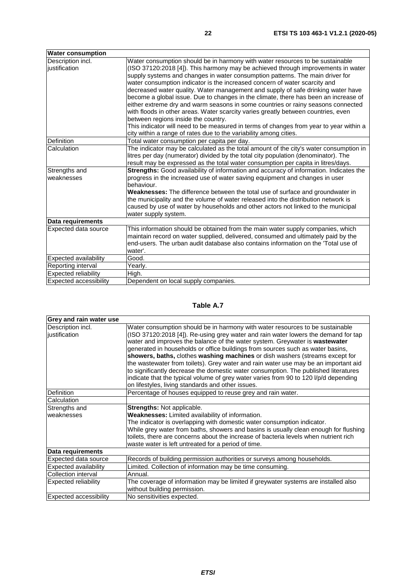| <b>Water consumption</b>           |                                                                                                                                                                                                                                                    |
|------------------------------------|----------------------------------------------------------------------------------------------------------------------------------------------------------------------------------------------------------------------------------------------------|
| Description incl.<br>justification | Water consumption should be in harmony with water resources to be sustainable<br>(ISO 37120:2018 [4]). This harmony may be achieved through improvements in water<br>supply systems and changes in water consumption patterns. The main driver for |
|                                    | water consumption indicator is the increased concern of water scarcity and                                                                                                                                                                         |
|                                    | decreased water quality. Water management and supply of safe drinking water have                                                                                                                                                                   |
|                                    | become a global issue. Due to changes in the climate, there has been an increase of                                                                                                                                                                |
|                                    | either extreme dry and warm seasons in some countries or rainy seasons connected                                                                                                                                                                   |
|                                    | with floods in other areas. Water scarcity varies greatly between countries, even                                                                                                                                                                  |
|                                    | between regions inside the country.                                                                                                                                                                                                                |
|                                    | This indicator will need to be measured in terms of changes from year to year within a                                                                                                                                                             |
|                                    | city within a range of rates due to the variability among cities.                                                                                                                                                                                  |
| Definition                         | Total water consumption per capita per day.                                                                                                                                                                                                        |
| Calculation                        | The indicator may be calculated as the total amount of the city's water consumption in<br>litres per day (numerator) divided by the total city population (denominator). The                                                                       |
|                                    | result may be expressed as the total water consumption per capita in litres/days.                                                                                                                                                                  |
| Strengths and                      | Strengths: Good availability of information and accuracy of information. Indicates the                                                                                                                                                             |
| weaknesses                         | progress in the increased use of water saving equipment and changes in user<br>behaviour.                                                                                                                                                          |
|                                    | <b>Weaknesses:</b> The difference between the total use of surface and groundwater in<br>the municipality and the volume of water released into the distribution network is                                                                        |
|                                    | caused by use of water by households and other actors not linked to the municipal<br>water supply system.                                                                                                                                          |
| Data requirements                  |                                                                                                                                                                                                                                                    |
| Expected data source               | This information should be obtained from the main water supply companies, which                                                                                                                                                                    |
|                                    | maintain record on water supplied, delivered, consumed and ultimately paid by the                                                                                                                                                                  |
|                                    | end-users. The urban audit database also contains information on the 'Total use of                                                                                                                                                                 |
|                                    | water'.                                                                                                                                                                                                                                            |
| Expected availability              | Good.                                                                                                                                                                                                                                              |
| Reporting interval                 | Yearly.                                                                                                                                                                                                                                            |
| <b>Expected reliability</b>        | High.                                                                                                                                                                                                                                              |
| Expected accessibility             | Dependent on local supply companies.                                                                                                                                                                                                               |

| Grey and rain water use            |                                                                                                                                                                                                                                                                                                                                                                                                                                                                                                                                                                                                                                                                                                                                                 |
|------------------------------------|-------------------------------------------------------------------------------------------------------------------------------------------------------------------------------------------------------------------------------------------------------------------------------------------------------------------------------------------------------------------------------------------------------------------------------------------------------------------------------------------------------------------------------------------------------------------------------------------------------------------------------------------------------------------------------------------------------------------------------------------------|
| Description incl.<br>justification | Water consumption should be in harmony with water resources to be sustainable<br>(ISO 37120:2018 [4]). Re-using grey water and rain water lowers the demand for tap<br>water and improves the balance of the water system. Greywater is wastewater<br>generated in households or office buildings from sources such as water basins,<br>showers, baths, clothes washing machines or dish washers (streams except for<br>the wastewater from toilets). Grey water and rain water use may be an important aid<br>to significantly decrease the domestic water consumption. The published literatures<br>indicate that the typical volume of grey water varies from 90 to 120 l/p/d depending<br>on lifestyles, living standards and other issues. |
| <b>Definition</b>                  | Percentage of houses equipped to reuse grey and rain water.                                                                                                                                                                                                                                                                                                                                                                                                                                                                                                                                                                                                                                                                                     |
| Calculation                        |                                                                                                                                                                                                                                                                                                                                                                                                                                                                                                                                                                                                                                                                                                                                                 |
| Strengths and<br>weaknesses        | <b>Strengths: Not applicable.</b><br>Weaknesses: Limited availability of information.<br>The indicator is overlapping with domestic water consumption indicator.<br>While grey water from baths, showers and basins is usually clean enough for flushing<br>toilets, there are concerns about the increase of bacteria levels when nutrient rich<br>waste water is left untreated for a period of time.                                                                                                                                                                                                                                                                                                                                         |
| <b>Data requirements</b>           |                                                                                                                                                                                                                                                                                                                                                                                                                                                                                                                                                                                                                                                                                                                                                 |
| Expected data source               | Records of building permission authorities or surveys among households.                                                                                                                                                                                                                                                                                                                                                                                                                                                                                                                                                                                                                                                                         |
| Expected availability              | Limited. Collection of information may be time consuming.                                                                                                                                                                                                                                                                                                                                                                                                                                                                                                                                                                                                                                                                                       |
| Collection interval                | Annual.                                                                                                                                                                                                                                                                                                                                                                                                                                                                                                                                                                                                                                                                                                                                         |
| Expected reliability               | The coverage of information may be limited if greywater systems are installed also<br>without building permission.                                                                                                                                                                                                                                                                                                                                                                                                                                                                                                                                                                                                                              |
| Expected accessibility             | No sensitivities expected.                                                                                                                                                                                                                                                                                                                                                                                                                                                                                                                                                                                                                                                                                                                      |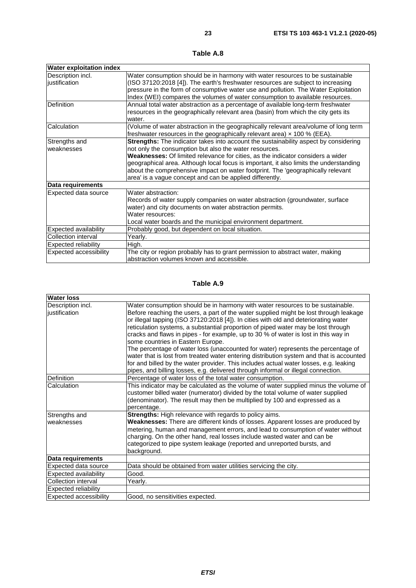| Table A.8 |  |
|-----------|--|
|-----------|--|

| Water exploitation index           |                                                                                                                                                                                                                                                                                                                                                                                                                                                                                   |
|------------------------------------|-----------------------------------------------------------------------------------------------------------------------------------------------------------------------------------------------------------------------------------------------------------------------------------------------------------------------------------------------------------------------------------------------------------------------------------------------------------------------------------|
| Description incl.<br>justification | Water consumption should be in harmony with water resources to be sustainable<br>(ISO 37120:2018 [4]). The earth's freshwater resources are subject to increasing<br>pressure in the form of consumptive water use and pollution. The Water Exploitation<br>Index (WEI) compares the volumes of water consumption to available resources.                                                                                                                                         |
| <b>Definition</b>                  | Annual total water abstraction as a percentage of available long-term freshwater<br>resources in the geographically relevant area (basin) from which the city gets its<br>water.                                                                                                                                                                                                                                                                                                  |
| Calculation                        | (Volume of water abstraction in the geographically relevant area/volume of long term<br>freshwater resources in the geographically relevant area) $\times$ 100 % (EEA).                                                                                                                                                                                                                                                                                                           |
| Strengths and<br>weaknesses        | <b>Strengths:</b> The indicator takes into account the sustainability aspect by considering<br>not only the consumption but also the water resources.<br>Weaknesses: Of limited relevance for cities, as the indicator considers a wider<br>geographical area. Although local focus is important, it also limits the understanding<br>about the comprehensive impact on water footprint. The 'geographically relevant<br>area' is a vague concept and can be applied differently. |
| Data requirements                  |                                                                                                                                                                                                                                                                                                                                                                                                                                                                                   |
| Expected data source               | Water abstraction:<br>Records of water supply companies on water abstraction (groundwater, surface<br>water) and city documents on water abstraction permits.<br>Water resources:<br>Local water boards and the municipal environment department.                                                                                                                                                                                                                                 |
| Expected availability              | Probably good, but dependent on local situation.                                                                                                                                                                                                                                                                                                                                                                                                                                  |
| Collection interval                | Yearly.                                                                                                                                                                                                                                                                                                                                                                                                                                                                           |
| <b>Expected reliability</b>        | High.                                                                                                                                                                                                                                                                                                                                                                                                                                                                             |
| Expected accessibility             | The city or region probably has to grant permission to abstract water, making<br>abstraction volumes known and accessible.                                                                                                                                                                                                                                                                                                                                                        |

| <b>Water loss</b>                  |                                                                                                                                                                                                                                                                                                                                                                                                                                                                                                                                                                                                                                                                                                                                                                                                                                                |
|------------------------------------|------------------------------------------------------------------------------------------------------------------------------------------------------------------------------------------------------------------------------------------------------------------------------------------------------------------------------------------------------------------------------------------------------------------------------------------------------------------------------------------------------------------------------------------------------------------------------------------------------------------------------------------------------------------------------------------------------------------------------------------------------------------------------------------------------------------------------------------------|
| Description incl.<br>justification | Water consumption should be in harmony with water resources to be sustainable.<br>Before reaching the users, a part of the water supplied might be lost through leakage<br>or illegal tapping (ISO 37120:2018 [4]). In cities with old and deteriorating water<br>reticulation systems, a substantial proportion of piped water may be lost through<br>cracks and flaws in pipes - for example, up to 30 % of water is lost in this way in<br>some countries in Eastern Europe.<br>The percentage of water loss (unaccounted for water) represents the percentage of<br>water that is lost from treated water entering distribution system and that is accounted<br>for and billed by the water provider. This includes actual water losses, e.g. leaking<br>pipes, and billing losses, e.g. delivered through informal or illegal connection. |
| Definition                         | Percentage of water loss of the total water consumption.                                                                                                                                                                                                                                                                                                                                                                                                                                                                                                                                                                                                                                                                                                                                                                                       |
| Calculation                        | This indicator may be calculated as the volume of water supplied minus the volume of<br>customer billed water (numerator) divided by the total volume of water supplied<br>(denominator). The result may then be multiplied by 100 and expressed as a<br>percentage.                                                                                                                                                                                                                                                                                                                                                                                                                                                                                                                                                                           |
| Strengths and<br>weaknesses        | Strengths: High relevance with regards to policy aims.<br><b>Weaknesses:</b> There are different kinds of losses. Apparent losses are produced by<br>metering, human and management errors, and lead to consumption of water without<br>charging. On the other hand, real losses include wasted water and can be<br>categorized to pipe system leakage (reported and unreported bursts, and<br>background.                                                                                                                                                                                                                                                                                                                                                                                                                                     |
| Data requirements                  |                                                                                                                                                                                                                                                                                                                                                                                                                                                                                                                                                                                                                                                                                                                                                                                                                                                |
| Expected data source               | Data should be obtained from water utilities servicing the city.                                                                                                                                                                                                                                                                                                                                                                                                                                                                                                                                                                                                                                                                                                                                                                               |
| Expected availability              | Good.                                                                                                                                                                                                                                                                                                                                                                                                                                                                                                                                                                                                                                                                                                                                                                                                                                          |
| Collection interval                | Yearly.                                                                                                                                                                                                                                                                                                                                                                                                                                                                                                                                                                                                                                                                                                                                                                                                                                        |
| <b>Expected reliability</b>        |                                                                                                                                                                                                                                                                                                                                                                                                                                                                                                                                                                                                                                                                                                                                                                                                                                                |
| Expected accessibility             | Good, no sensitivities expected.                                                                                                                                                                                                                                                                                                                                                                                                                                                                                                                                                                                                                                                                                                                                                                                                               |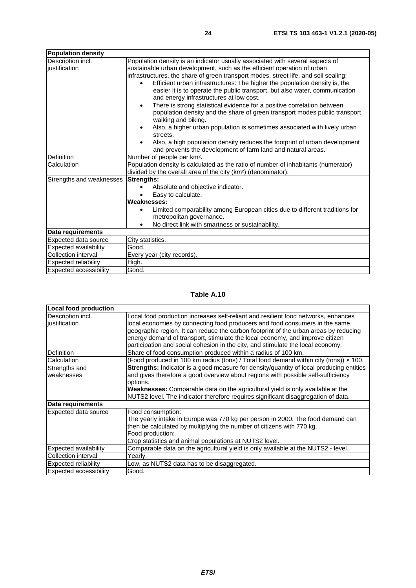| <b>Population density</b>  |                                                                                                                        |  |
|----------------------------|------------------------------------------------------------------------------------------------------------------------|--|
| Description incl.          | Population density is an indicator usually associated with several aspects of                                          |  |
| iustification              | sustainable urban development, such as the efficient operation of urban                                                |  |
|                            | infrastructures, the share of green transport modes, street life, and soil sealing:                                    |  |
|                            | Efficient urban infrastructures: The higher the population density is, the                                             |  |
|                            | easier it is to operate the public transport, but also water, communication<br>and energy infrastructures at low cost. |  |
|                            | There is strong statistical evidence for a positive correlation between<br>$\bullet$                                   |  |
|                            | population density and the share of green transport modes public transport,<br>walking and biking.                     |  |
|                            | Also, a higher urban population is sometimes associated with lively urban                                              |  |
|                            | streets.                                                                                                               |  |
|                            | Also, a high population density reduces the footprint of urban development                                             |  |
|                            | and prevents the development of farm land and natural areas.                                                           |  |
| Definition                 | Number of people per km <sup>2</sup> .                                                                                 |  |
| Calculation                | Population density is calculated as the ratio of number of inhabitants (numerator)                                     |  |
|                            | divided by the overall area of the city (km <sup>2</sup> ) (denominator).                                              |  |
| Strengths and weaknesses   | <b>Strengths:</b>                                                                                                      |  |
|                            | Absolute and objective indicator.                                                                                      |  |
|                            | Easy to calculate.                                                                                                     |  |
|                            | Weaknesses:                                                                                                            |  |
|                            | Limited comparability among European cities due to different traditions for<br>$\bullet$                               |  |
|                            | metropolitan governance.                                                                                               |  |
|                            | No direct link with smartness or sustainability.                                                                       |  |
| Data requirements          |                                                                                                                        |  |
| Expected data source       | City statistics.                                                                                                       |  |
| Expected availability      | Good.                                                                                                                  |  |
| <b>Collection interval</b> | Every year (city records).                                                                                             |  |
| Expected reliability       | High.                                                                                                                  |  |
| Expected accessibility     | Good.                                                                                                                  |  |

| Local food production       |                                                                                                |
|-----------------------------|------------------------------------------------------------------------------------------------|
| Description incl.           | Local food production increases self-reliant and resilient food networks, enhances             |
| justification               | local economies by connecting food producers and food consumers in the same                    |
|                             | geographic region. It can reduce the carbon footprint of the urban areas by reducing           |
|                             | energy demand of transport, stimulate the local economy, and improve citizen                   |
|                             | participation and social cohesion in the city, and stimulate the local economy.                |
| <b>Definition</b>           | Share of food consumption produced within a radius of 100 km.                                  |
| Calculation                 | (Food produced in 100 km radius (tons) / Total food demand within city (tons)) $\times$ 100.   |
| Strengths and               | <b>Strengths:</b> Indicator is a good measure for density/guantity of local producing entities |
| weaknesses                  | and gives therefore a good overview about regions with possible self-sufficiency               |
|                             | options.                                                                                       |
|                             | <b>Weaknesses:</b> Comparable data on the agricultural yield is only available at the          |
|                             | NUTS2 level. The indicator therefore requires significant disaggregation of data.              |
| Data requirements           |                                                                                                |
| Expected data source        | Food consumption:                                                                              |
|                             | The yearly intake in Europe was 770 kg per person in 2000. The food demand can                 |
|                             | then be calculated by multiplying the number of citizens with 770 kg.                          |
|                             | Food production:                                                                               |
|                             | Crop statistics and animal populations at NUTS2 level.                                         |
| Expected availability       | Comparable data on the agricultural yield is only available at the NUTS2 - level.              |
| Collection interval         | Yearly.                                                                                        |
| <b>Expected reliability</b> | Low, as NUTS2 data has to be disaggregated.                                                    |
| Expected accessibility      | Good.                                                                                          |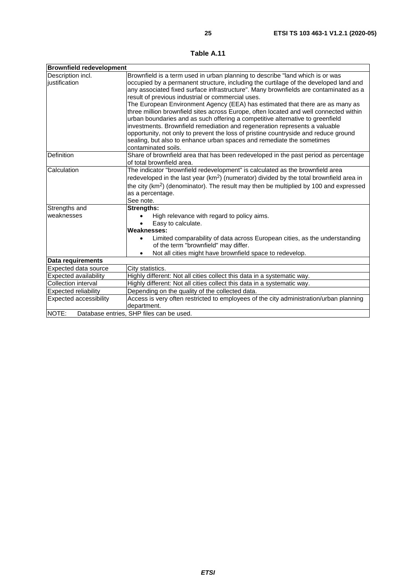**Table A.11** 

| Description incl.<br>Brownfield is a term used in urban planning to describe "land which is or was<br>iustification<br>occupied by a permanent structure, including the curtilage of the developed land and<br>any associated fixed surface infrastructure". Many brownfields are contaminated as a<br>result of previous industrial or commercial uses.<br>The European Environment Agency (EEA) has estimated that there are as many as<br>three million brownfield sites across Europe, often located and well connected within |
|------------------------------------------------------------------------------------------------------------------------------------------------------------------------------------------------------------------------------------------------------------------------------------------------------------------------------------------------------------------------------------------------------------------------------------------------------------------------------------------------------------------------------------|
| urban boundaries and as such offering a competitive alternative to greenfield<br>investments. Brownfield remediation and regeneration represents a valuable<br>opportunity, not only to prevent the loss of pristine countryside and reduce ground<br>sealing, but also to enhance urban spaces and remediate the sometimes<br>contaminated soils.                                                                                                                                                                                 |
| Definition<br>Share of brownfield area that has been redeveloped in the past period as percentage<br>of total brownfield area.                                                                                                                                                                                                                                                                                                                                                                                                     |
| The indicator "brownfield redevelopment" is calculated as the brownfield area<br>Calculation<br>redeveloped in the last year $(km2)$ (numerator) divided by the total brownfield area in<br>the city ( $km2$ ) (denominator). The result may then be multiplied by 100 and expressed<br>as a percentage.<br>See note.                                                                                                                                                                                                              |
| Strengths and<br>Strengths:<br>weaknesses<br>High relevance with regard to policy aims.<br>Easy to calculate.<br>Weaknesses:<br>Limited comparability of data across European cities, as the understanding<br>$\bullet$<br>of the term "brownfield" may differ.<br>Not all cities might have brownfield space to redevelop.                                                                                                                                                                                                        |
| <b>Data requirements</b>                                                                                                                                                                                                                                                                                                                                                                                                                                                                                                           |
| Expected data source<br>City statistics.                                                                                                                                                                                                                                                                                                                                                                                                                                                                                           |
| Expected availability<br>Highly different: Not all cities collect this data in a systematic way.                                                                                                                                                                                                                                                                                                                                                                                                                                   |
| Collection interval<br>Highly different: Not all cities collect this data in a systematic way.                                                                                                                                                                                                                                                                                                                                                                                                                                     |
| Depending on the quality of the collected data.<br><b>Expected reliability</b>                                                                                                                                                                                                                                                                                                                                                                                                                                                     |
| Expected accessibility<br>Access is very often restricted to employees of the city administration/urban planning<br>department.<br>NOTE:<br>Database entries. SHP files can be used.                                                                                                                                                                                                                                                                                                                                               |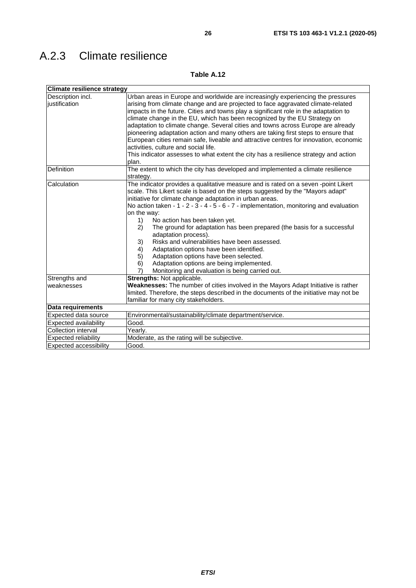## <span id="page-25-0"></span>A.2.3 Climate resilience

| <b>Climate resilience strategy</b> |                                                                                                                                                                                                                                                                                                                                                                                                                                                                                                                                                                                                                                                                                                                                                                   |  |
|------------------------------------|-------------------------------------------------------------------------------------------------------------------------------------------------------------------------------------------------------------------------------------------------------------------------------------------------------------------------------------------------------------------------------------------------------------------------------------------------------------------------------------------------------------------------------------------------------------------------------------------------------------------------------------------------------------------------------------------------------------------------------------------------------------------|--|
| Description incl.<br>justification | Urban areas in Europe and worldwide are increasingly experiencing the pressures<br>arising from climate change and are projected to face aggravated climate-related<br>impacts in the future. Cities and towns play a significant role in the adaptation to<br>climate change in the EU, which has been recognized by the EU Strategy on<br>adaptation to climate change. Several cities and towns across Europe are already<br>pioneering adaptation action and many others are taking first steps to ensure that<br>European cities remain safe, liveable and attractive centres for innovation, economic<br>activities, culture and social life.<br>This indicator assesses to what extent the city has a resilience strategy and action<br>plan.              |  |
| Definition                         | The extent to which the city has developed and implemented a climate resilience<br>strategy.                                                                                                                                                                                                                                                                                                                                                                                                                                                                                                                                                                                                                                                                      |  |
| Calculation                        | The indicator provides a qualitative measure and is rated on a seven -point Likert<br>scale. This Likert scale is based on the steps suggested by the "Mayors adapt"<br>initiative for climate change adaptation in urban areas.<br>No action taken - $1 - 2 - 3 - 4 - 5 - 6 - 7$ - implementation, monitoring and evaluation<br>on the way:<br>No action has been taken yet.<br>1)<br>2)<br>The ground for adaptation has been prepared (the basis for a successful<br>adaptation process).<br>Risks and vulnerabilities have been assessed.<br>3)<br>Adaptation options have been identified.<br>4)<br>Adaptation options have been selected.<br>5)<br>Adaptation options are being implemented.<br>6)<br>7)<br>Monitoring and evaluation is being carried out. |  |
| Strengths and                      | Strengths: Not applicable.                                                                                                                                                                                                                                                                                                                                                                                                                                                                                                                                                                                                                                                                                                                                        |  |
| weaknesses                         | Weaknesses: The number of cities involved in the Mayors Adapt Initiative is rather<br>limited. Therefore, the steps described in the documents of the initiative may not be<br>familiar for many city stakeholders.                                                                                                                                                                                                                                                                                                                                                                                                                                                                                                                                               |  |
| Data requirements                  |                                                                                                                                                                                                                                                                                                                                                                                                                                                                                                                                                                                                                                                                                                                                                                   |  |
| Expected data source               | Environmental/sustainability/climate department/service.                                                                                                                                                                                                                                                                                                                                                                                                                                                                                                                                                                                                                                                                                                          |  |
| Expected availability              | Good.                                                                                                                                                                                                                                                                                                                                                                                                                                                                                                                                                                                                                                                                                                                                                             |  |
| Collection interval                | Yearly.                                                                                                                                                                                                                                                                                                                                                                                                                                                                                                                                                                                                                                                                                                                                                           |  |
| <b>Expected reliability</b>        | Moderate, as the rating will be subjective.                                                                                                                                                                                                                                                                                                                                                                                                                                                                                                                                                                                                                                                                                                                       |  |
| Expected accessibility             | Good.                                                                                                                                                                                                                                                                                                                                                                                                                                                                                                                                                                                                                                                                                                                                                             |  |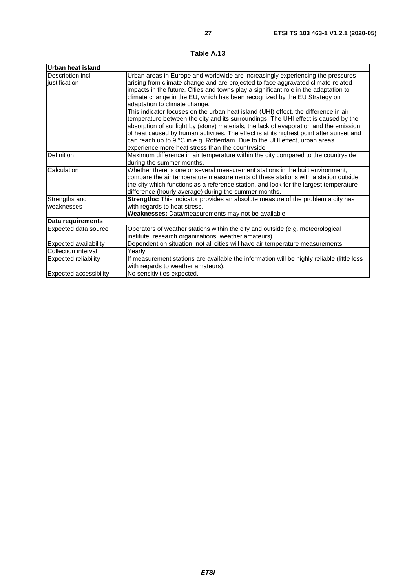**Table A.13**

| Urban heat island                  |                                                                                                                                                                                                                                                                                                                                                                                                                                                                                                                                                                                                                                                                                                                                                                                                                                                                               |
|------------------------------------|-------------------------------------------------------------------------------------------------------------------------------------------------------------------------------------------------------------------------------------------------------------------------------------------------------------------------------------------------------------------------------------------------------------------------------------------------------------------------------------------------------------------------------------------------------------------------------------------------------------------------------------------------------------------------------------------------------------------------------------------------------------------------------------------------------------------------------------------------------------------------------|
| Description incl.<br>iustification | Urban areas in Europe and worldwide are increasingly experiencing the pressures<br>arising from climate change and are projected to face aggravated climate-related<br>impacts in the future. Cities and towns play a significant role in the adaptation to<br>climate change in the EU, which has been recognized by the EU Strategy on<br>adaptation to climate change.<br>This indicator focuses on the urban heat island (UHI) effect, the difference in air<br>temperature between the city and its surroundings. The UHI effect is caused by the<br>absorption of sunlight by (stony) materials, the lack of evaporation and the emission<br>of heat caused by human activities. The effect is at its highest point after sunset and<br>can reach up to 9 °C in e.g. Rotterdam. Due to the UHI effect, urban areas<br>experience more heat stress than the countryside. |
| Definition                         | Maximum difference in air temperature within the city compared to the countryside<br>during the summer months.                                                                                                                                                                                                                                                                                                                                                                                                                                                                                                                                                                                                                                                                                                                                                                |
| Calculation                        | Whether there is one or several measurement stations in the built environment,<br>compare the air temperature measurements of these stations with a station outside<br>the city which functions as a reference station, and look for the largest temperature<br>difference (hourly average) during the summer months.                                                                                                                                                                                                                                                                                                                                                                                                                                                                                                                                                         |
| Strengths and                      | Strengths: This indicator provides an absolute measure of the problem a city has                                                                                                                                                                                                                                                                                                                                                                                                                                                                                                                                                                                                                                                                                                                                                                                              |
| weaknesses                         | with regards to heat stress.<br>Weaknesses: Data/measurements may not be available.                                                                                                                                                                                                                                                                                                                                                                                                                                                                                                                                                                                                                                                                                                                                                                                           |
| Data requirements                  |                                                                                                                                                                                                                                                                                                                                                                                                                                                                                                                                                                                                                                                                                                                                                                                                                                                                               |
| Expected data source               | Operators of weather stations within the city and outside (e.g. meteorological<br>institute, research organizations, weather amateurs).                                                                                                                                                                                                                                                                                                                                                                                                                                                                                                                                                                                                                                                                                                                                       |
| <b>Expected availability</b>       | Dependent on situation, not all cities will have air temperature measurements.                                                                                                                                                                                                                                                                                                                                                                                                                                                                                                                                                                                                                                                                                                                                                                                                |
| Collection interval                | Yearly.                                                                                                                                                                                                                                                                                                                                                                                                                                                                                                                                                                                                                                                                                                                                                                                                                                                                       |
| Expected reliability               | If measurement stations are available the information will be highly reliable (little less<br>with regards to weather amateurs).                                                                                                                                                                                                                                                                                                                                                                                                                                                                                                                                                                                                                                                                                                                                              |
| Expected accessibility             | No sensitivities expected.                                                                                                                                                                                                                                                                                                                                                                                                                                                                                                                                                                                                                                                                                                                                                                                                                                                    |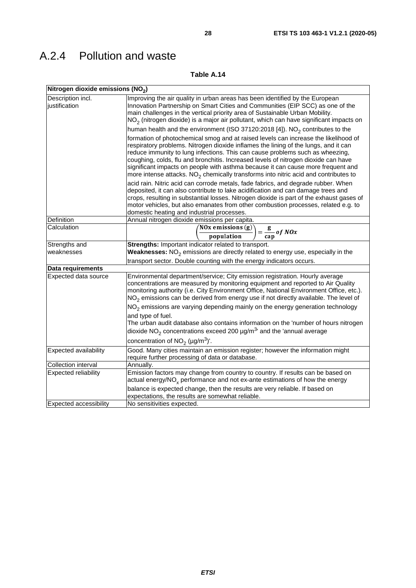## <span id="page-27-0"></span>A.2.4 Pollution and waste

| Nitrogen dioxide emissions (NO <sub>2</sub> ) |                                                                                                                                                                                                                                                                                                                                                                                                                                                                                                                                                                                                                                                                                                                                                                                                                                                                                                                                                                                                                                                                                                                                                                                                                                                                                                                                      |  |
|-----------------------------------------------|--------------------------------------------------------------------------------------------------------------------------------------------------------------------------------------------------------------------------------------------------------------------------------------------------------------------------------------------------------------------------------------------------------------------------------------------------------------------------------------------------------------------------------------------------------------------------------------------------------------------------------------------------------------------------------------------------------------------------------------------------------------------------------------------------------------------------------------------------------------------------------------------------------------------------------------------------------------------------------------------------------------------------------------------------------------------------------------------------------------------------------------------------------------------------------------------------------------------------------------------------------------------------------------------------------------------------------------|--|
| Description incl.<br>justification            | Improving the air quality in urban areas has been identified by the European<br>Innovation Partnership on Smart Cities and Communities (EIP SCC) as one of the<br>main challenges in the vertical priority area of Sustainable Urban Mobility.<br>$NO2$ (nitrogen dioxide) is a major air pollutant, which can have significant impacts on<br>human health and the environment (ISO 37120:2018 [4]). NO <sub>2</sub> contributes to the<br>formation of photochemical smog and at raised levels can increase the likelihood of<br>respiratory problems. Nitrogen dioxide inflames the lining of the lungs, and it can<br>reduce immunity to lung infections. This can cause problems such as wheezing,<br>coughing, colds, flu and bronchitis. Increased levels of nitrogen dioxide can have<br>significant impacts on people with asthma because it can cause more frequent and<br>more intense attacks. $NO2$ chemically transforms into nitric acid and contributes to<br>acid rain. Nitric acid can corrode metals, fade fabrics, and degrade rubber. When<br>deposited, it can also contribute to lake acidification and can damage trees and<br>crops, resulting in substantial losses. Nitrogen dioxide is part of the exhaust gases of<br>motor vehicles, but also emanates from other combustion processes, related e.g. to |  |
|                                               | domestic heating and industrial processes.                                                                                                                                                                                                                                                                                                                                                                                                                                                                                                                                                                                                                                                                                                                                                                                                                                                                                                                                                                                                                                                                                                                                                                                                                                                                                           |  |
| Definition                                    | Annual nitrogen dioxide emissions per capita.                                                                                                                                                                                                                                                                                                                                                                                                                                                                                                                                                                                                                                                                                                                                                                                                                                                                                                                                                                                                                                                                                                                                                                                                                                                                                        |  |
| Calculation                                   | $\sqrt{\rm N}$ Ox emissions $(\rm g)$<br>$\frac{g}{cap}$ of NOx<br>population                                                                                                                                                                                                                                                                                                                                                                                                                                                                                                                                                                                                                                                                                                                                                                                                                                                                                                                                                                                                                                                                                                                                                                                                                                                        |  |
| Strengths and                                 | Strengths: Important indicator related to transport.                                                                                                                                                                                                                                                                                                                                                                                                                                                                                                                                                                                                                                                                                                                                                                                                                                                                                                                                                                                                                                                                                                                                                                                                                                                                                 |  |
| weaknesses                                    | Weaknesses: $NO2$ emissions are directly related to energy use, especially in the                                                                                                                                                                                                                                                                                                                                                                                                                                                                                                                                                                                                                                                                                                                                                                                                                                                                                                                                                                                                                                                                                                                                                                                                                                                    |  |
|                                               | transport sector. Double counting with the energy indicators occurs.                                                                                                                                                                                                                                                                                                                                                                                                                                                                                                                                                                                                                                                                                                                                                                                                                                                                                                                                                                                                                                                                                                                                                                                                                                                                 |  |
| Data requirements                             |                                                                                                                                                                                                                                                                                                                                                                                                                                                                                                                                                                                                                                                                                                                                                                                                                                                                                                                                                                                                                                                                                                                                                                                                                                                                                                                                      |  |
| Expected data source                          | Environmental department/service; City emission registration. Hourly average<br>concentrations are measured by monitoring equipment and reported to Air Quality<br>monitoring authority (i.e. City Environment Office, National Environment Office, etc.).<br>$NO2$ emissions can be derived from energy use if not directly available. The level of<br>NO <sub>2</sub> emissions are varying depending mainly on the energy generation technology<br>and type of fuel.<br>The urban audit database also contains information on the 'number of hours nitrogen<br>dioxide $NO2$ concentrations exceed 200 $\mu$ g/m <sup>3</sup> ' and the 'annual average                                                                                                                                                                                                                                                                                                                                                                                                                                                                                                                                                                                                                                                                           |  |
|                                               | concentration of $NO2$ (µg/m <sup>3</sup> )'.                                                                                                                                                                                                                                                                                                                                                                                                                                                                                                                                                                                                                                                                                                                                                                                                                                                                                                                                                                                                                                                                                                                                                                                                                                                                                        |  |
| Expected availability                         | Good. Many cities maintain an emission register; however the information might<br>require further processing of data or database.                                                                                                                                                                                                                                                                                                                                                                                                                                                                                                                                                                                                                                                                                                                                                                                                                                                                                                                                                                                                                                                                                                                                                                                                    |  |
| Collection interval                           | Annually.                                                                                                                                                                                                                                                                                                                                                                                                                                                                                                                                                                                                                                                                                                                                                                                                                                                                                                                                                                                                                                                                                                                                                                                                                                                                                                                            |  |
| <b>Expected reliability</b>                   | Emission factors may change from country to country. If results can be based on<br>actual energy/ $NO_x$ performance and not ex-ante estimations of how the energy<br>balance is expected change, then the results are very reliable. If based on                                                                                                                                                                                                                                                                                                                                                                                                                                                                                                                                                                                                                                                                                                                                                                                                                                                                                                                                                                                                                                                                                    |  |
|                                               | expectations, the results are somewhat reliable.                                                                                                                                                                                                                                                                                                                                                                                                                                                                                                                                                                                                                                                                                                                                                                                                                                                                                                                                                                                                                                                                                                                                                                                                                                                                                     |  |
| <b>Expected accessibility</b>                 | No sensitivities expected.                                                                                                                                                                                                                                                                                                                                                                                                                                                                                                                                                                                                                                                                                                                                                                                                                                                                                                                                                                                                                                                                                                                                                                                                                                                                                                           |  |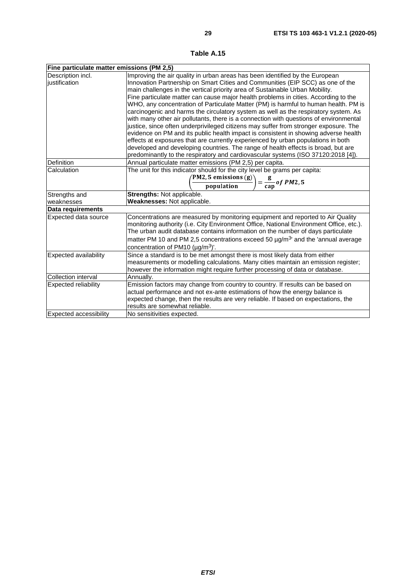**Table A.15** 

| Fine particulate matter emissions (PM 2,5) |                                                                                                                                                                            |  |  |
|--------------------------------------------|----------------------------------------------------------------------------------------------------------------------------------------------------------------------------|--|--|
| Description incl.<br>justification         | Improving the air quality in urban areas has been identified by the European<br>Innovation Partnership on Smart Cities and Communities (EIP SCC) as one of the             |  |  |
|                                            | main challenges in the vertical priority area of Sustainable Urban Mobility.                                                                                               |  |  |
|                                            | Fine particulate matter can cause major health problems in cities. According to the                                                                                        |  |  |
|                                            | WHO, any concentration of Particulate Matter (PM) is harmful to human health. PM is                                                                                        |  |  |
|                                            | carcinogenic and harms the circulatory system as well as the respiratory system. As                                                                                        |  |  |
|                                            | with many other air pollutants, there is a connection with questions of environmental                                                                                      |  |  |
|                                            | justice, since often underprivileged citizens may suffer from stronger exposure. The                                                                                       |  |  |
|                                            | evidence on PM and its public health impact is consistent in showing adverse health                                                                                        |  |  |
|                                            | effects at exposures that are currently experienced by urban populations in both                                                                                           |  |  |
|                                            | developed and developing countries. The range of health effects is broad, but are<br>predominantly to the respiratory and cardiovascular systems (ISO 37120:2018 [4]).     |  |  |
| Definition                                 | Annual particulate matter emissions (PM 2,5) per capita.                                                                                                                   |  |  |
| Calculation                                | The unit for this indicator should for the city level be grams per capita:                                                                                                 |  |  |
|                                            | $'$ PM2, 5 emissions $({\bf g})^\vee$                                                                                                                                      |  |  |
|                                            | $\frac{g}{cap}$ of PM2, 5                                                                                                                                                  |  |  |
|                                            | population                                                                                                                                                                 |  |  |
| Strengths and                              | Strengths: Not applicable.                                                                                                                                                 |  |  |
| weaknesses                                 | Weaknesses: Not applicable.                                                                                                                                                |  |  |
| Data requirements                          |                                                                                                                                                                            |  |  |
| Expected data source                       | Concentrations are measured by monitoring equipment and reported to Air Quality                                                                                            |  |  |
|                                            | monitoring authority (i.e. City Environment Office, National Environment Office, etc.).<br>The urban audit database contains information on the number of days particulate |  |  |
|                                            |                                                                                                                                                                            |  |  |
|                                            | matter PM 10 and PM 2,5 concentrations exceed 50 $\mu$ g/m <sup>3</sup> and the 'annual average                                                                            |  |  |
|                                            | concentration of PM10 ( $\mu$ g/m <sup>3</sup> )'.                                                                                                                         |  |  |
| Expected availability                      | Since a standard is to be met amongst there is most likely data from either                                                                                                |  |  |
|                                            | measurements or modelling calculations. Many cities maintain an emission register;<br>however the information might require further processing of data or database.        |  |  |
| Collection interval                        | Annually.                                                                                                                                                                  |  |  |
| <b>Expected reliability</b>                | Emission factors may change from country to country. If results can be based on                                                                                            |  |  |
|                                            | actual performance and not ex-ante estimations of how the energy balance is                                                                                                |  |  |
|                                            | expected change, then the results are very reliable. If based on expectations, the                                                                                         |  |  |
|                                            | results are somewhat reliable.                                                                                                                                             |  |  |
| <b>Expected accessibility</b>              | No sensitivities expected.                                                                                                                                                 |  |  |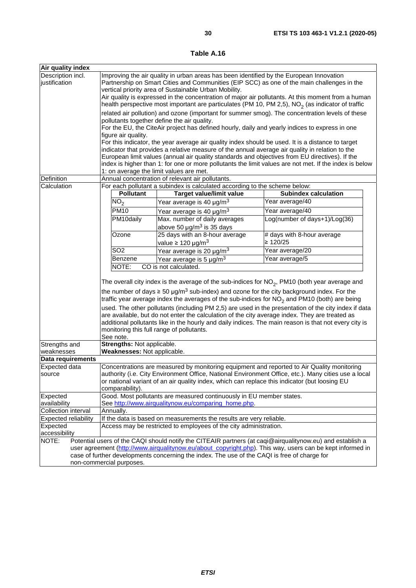| Table A.16 |  |
|------------|--|
|------------|--|

| Air quality index                                                                                         |                                                                                                                                                                                                                                                                                                                                                                                                                                                                                                                                                                                                                                                                                               |                                                                                                                                          |                                                                                                           |
|-----------------------------------------------------------------------------------------------------------|-----------------------------------------------------------------------------------------------------------------------------------------------------------------------------------------------------------------------------------------------------------------------------------------------------------------------------------------------------------------------------------------------------------------------------------------------------------------------------------------------------------------------------------------------------------------------------------------------------------------------------------------------------------------------------------------------|------------------------------------------------------------------------------------------------------------------------------------------|-----------------------------------------------------------------------------------------------------------|
| Description incl.<br>justification                                                                        | Improving the air quality in urban areas has been identified by the European Innovation<br>Partnership on Smart Cities and Communities (EIP SCC) as one of the main challenges in the<br>vertical priority area of Sustainable Urban Mobility.<br>Air quality is expressed in the concentration of major air pollutants. At this moment from a human<br>health perspective most important are particulates (PM 10, PM 2,5), $NO2$ (as indicator of traffic                                                                                                                                                                                                                                    |                                                                                                                                          |                                                                                                           |
|                                                                                                           | related air pollution) and ozone (important for summer smog). The concentration levels of these<br>pollutants together define the air quality.<br>For the EU, the CiteAir project has defined hourly, daily and yearly indices to express in one                                                                                                                                                                                                                                                                                                                                                                                                                                              |                                                                                                                                          |                                                                                                           |
|                                                                                                           | figure air quality.                                                                                                                                                                                                                                                                                                                                                                                                                                                                                                                                                                                                                                                                           |                                                                                                                                          |                                                                                                           |
|                                                                                                           |                                                                                                                                                                                                                                                                                                                                                                                                                                                                                                                                                                                                                                                                                               | For this indicator, the year average air quality index should be used. It is a distance to target                                        |                                                                                                           |
|                                                                                                           |                                                                                                                                                                                                                                                                                                                                                                                                                                                                                                                                                                                                                                                                                               | indicator that provides a relative measure of the annual average air quality in relation to the                                          |                                                                                                           |
|                                                                                                           |                                                                                                                                                                                                                                                                                                                                                                                                                                                                                                                                                                                                                                                                                               | European limit values (annual air quality standards and objectives from EU directives). If the                                           | index is higher than 1: for one or more pollutants the limit values are not met. If the index is below    |
|                                                                                                           |                                                                                                                                                                                                                                                                                                                                                                                                                                                                                                                                                                                                                                                                                               | 1: on average the limit values are met.                                                                                                  |                                                                                                           |
| Definition                                                                                                |                                                                                                                                                                                                                                                                                                                                                                                                                                                                                                                                                                                                                                                                                               | Annual concentration of relevant air pollutants.                                                                                         |                                                                                                           |
| Calculation                                                                                               |                                                                                                                                                                                                                                                                                                                                                                                                                                                                                                                                                                                                                                                                                               | For each pollutant a subindex is calculated according to the scheme below:                                                               |                                                                                                           |
|                                                                                                           | <b>Pollutant</b>                                                                                                                                                                                                                                                                                                                                                                                                                                                                                                                                                                                                                                                                              | <b>Target value/limit value</b>                                                                                                          | <b>Subindex calculation</b>                                                                               |
|                                                                                                           | $\overline{NO}_2$                                                                                                                                                                                                                                                                                                                                                                                                                                                                                                                                                                                                                                                                             | Year average is 40 µg/m <sup>3</sup>                                                                                                     | Year average/40                                                                                           |
|                                                                                                           | <b>PM10</b>                                                                                                                                                                                                                                                                                                                                                                                                                                                                                                                                                                                                                                                                                   | Year average is 40 $\mu$ g/m <sup>3</sup>                                                                                                | Year average/40                                                                                           |
|                                                                                                           | PM10daily                                                                                                                                                                                                                                                                                                                                                                                                                                                                                                                                                                                                                                                                                     | Max. number of daily averages<br>above 50 $\mu$ g/m <sup>3</sup> is 35 days                                                              | Log(number of days+1)/Log(36)                                                                             |
|                                                                                                           | Ozone                                                                                                                                                                                                                                                                                                                                                                                                                                                                                                                                                                                                                                                                                         | 25 days with an 8-hour average<br>value $\geq 120 \mu g/m^3$                                                                             | # days with 8-hour average<br>$\geq 120/25$                                                               |
|                                                                                                           | SO <sub>2</sub>                                                                                                                                                                                                                                                                                                                                                                                                                                                                                                                                                                                                                                                                               | Year average is 20 $\mu$ g/m <sup>3</sup>                                                                                                | Year average/20                                                                                           |
|                                                                                                           | Benzene                                                                                                                                                                                                                                                                                                                                                                                                                                                                                                                                                                                                                                                                                       | Year average is 5 $\mu$ g/m <sup>3</sup>                                                                                                 | Year average/5                                                                                            |
|                                                                                                           | NOTE:                                                                                                                                                                                                                                                                                                                                                                                                                                                                                                                                                                                                                                                                                         | CO is not calculated.                                                                                                                    |                                                                                                           |
|                                                                                                           | The overall city index is the average of the sub-indices for $NO2$ , PM10 (both year average and<br>the number of days $\geq$ 50 µg/m <sup>3</sup> sub-index) and ozone for the city background index. For the<br>traffic year average index the averages of the sub-indices for $NO2$ and PM10 (both) are being<br>used. The other pollutants (including PM 2,5) are used in the presentation of the city index if data<br>are available, but do not enter the calculation of the city average index. They are treated as<br>additional pollutants like in the hourly and daily indices. The main reason is that not every city is<br>monitoring this full range of pollutants.<br>See note. |                                                                                                                                          |                                                                                                           |
| Strengths and                                                                                             | Strengths: Not applicable.                                                                                                                                                                                                                                                                                                                                                                                                                                                                                                                                                                                                                                                                    |                                                                                                                                          |                                                                                                           |
| Data requirements                                                                                         | Weaknesses: Not applicable.<br>weaknesses                                                                                                                                                                                                                                                                                                                                                                                                                                                                                                                                                                                                                                                     |                                                                                                                                          |                                                                                                           |
| Expected data                                                                                             |                                                                                                                                                                                                                                                                                                                                                                                                                                                                                                                                                                                                                                                                                               |                                                                                                                                          |                                                                                                           |
| source                                                                                                    | Concentrations are measured by monitoring equipment and reported to Air Quality monitoring<br>authority (i.e. City Environment Office, National Environment Office, etc.). Many cities use a local<br>or national variant of an air quality index, which can replace this indicator (but loosing EU<br>comparability).                                                                                                                                                                                                                                                                                                                                                                        |                                                                                                                                          |                                                                                                           |
| Expected                                                                                                  |                                                                                                                                                                                                                                                                                                                                                                                                                                                                                                                                                                                                                                                                                               | Good. Most pollutants are measured continuously in EU member states.                                                                     |                                                                                                           |
| availability                                                                                              |                                                                                                                                                                                                                                                                                                                                                                                                                                                                                                                                                                                                                                                                                               | See http://www.airqualitynow.eu/comparing home.php.                                                                                      |                                                                                                           |
| Collection interval                                                                                       | Annually.                                                                                                                                                                                                                                                                                                                                                                                                                                                                                                                                                                                                                                                                                     |                                                                                                                                          |                                                                                                           |
| <b>Expected reliability</b><br>Expected                                                                   |                                                                                                                                                                                                                                                                                                                                                                                                                                                                                                                                                                                                                                                                                               | If the data is based on measurements the results are very reliable.<br>Access may be restricted to employees of the city administration. |                                                                                                           |
| accessibility                                                                                             |                                                                                                                                                                                                                                                                                                                                                                                                                                                                                                                                                                                                                                                                                               |                                                                                                                                          |                                                                                                           |
| NOTE:                                                                                                     |                                                                                                                                                                                                                                                                                                                                                                                                                                                                                                                                                                                                                                                                                               |                                                                                                                                          | Potential users of the CAQI should notify the CITEAIR partners (at caqi@airqualitynow.eu) and establish a |
| user agreement (http://www.airqualitynow.eu/about_copyright.php). This way, users can be kept informed in |                                                                                                                                                                                                                                                                                                                                                                                                                                                                                                                                                                                                                                                                                               |                                                                                                                                          |                                                                                                           |
| case of further developments concerning the index. The use of the CAQI is free of charge for              |                                                                                                                                                                                                                                                                                                                                                                                                                                                                                                                                                                                                                                                                                               |                                                                                                                                          |                                                                                                           |
|                                                                                                           | non-commercial purposes.                                                                                                                                                                                                                                                                                                                                                                                                                                                                                                                                                                                                                                                                      |                                                                                                                                          |                                                                                                           |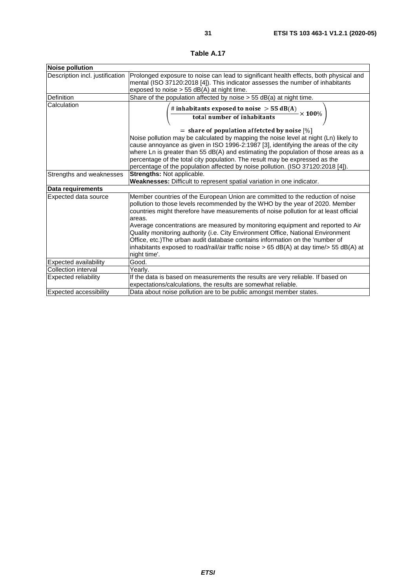| <b>Noise pollution</b>          |                                                                                                                                                                                                                                                                                                                                                                                                                                                                                                                                                                                                                                          |
|---------------------------------|------------------------------------------------------------------------------------------------------------------------------------------------------------------------------------------------------------------------------------------------------------------------------------------------------------------------------------------------------------------------------------------------------------------------------------------------------------------------------------------------------------------------------------------------------------------------------------------------------------------------------------------|
| Description incl. justification | Prolonged exposure to noise can lead to significant health effects, both physical and<br>mental (ISO 37120:2018 [4]). This indicator assesses the number of inhabitants<br>exposed to noise $> 55$ dB(A) at night time.                                                                                                                                                                                                                                                                                                                                                                                                                  |
| Definition                      | Share of the population affected by noise $> 55$ dB(a) at night time.                                                                                                                                                                                                                                                                                                                                                                                                                                                                                                                                                                    |
| Calculation                     | # inhabitants exposed to noise $> 55$ dB(A)<br>$- \times 100\%$<br>total number of inhabitants                                                                                                                                                                                                                                                                                                                                                                                                                                                                                                                                           |
|                                 | $=$ share of population affetcted by noise $[\%]$                                                                                                                                                                                                                                                                                                                                                                                                                                                                                                                                                                                        |
|                                 | Noise pollution may be calculated by mapping the noise level at night (Ln) likely to<br>cause annoyance as given in ISO 1996-2:1987 [3], identifying the areas of the city                                                                                                                                                                                                                                                                                                                                                                                                                                                               |
|                                 | where Ln is greater than 55 dB(A) and estimating the population of those areas as a                                                                                                                                                                                                                                                                                                                                                                                                                                                                                                                                                      |
|                                 | percentage of the total city population. The result may be expressed as the                                                                                                                                                                                                                                                                                                                                                                                                                                                                                                                                                              |
|                                 | percentage of the population affected by noise pollution. (ISO 37120:2018 [4]).<br>Strengths: Not applicable.                                                                                                                                                                                                                                                                                                                                                                                                                                                                                                                            |
| Strengths and weaknesses        | Weaknesses: Difficult to represent spatial variation in one indicator.                                                                                                                                                                                                                                                                                                                                                                                                                                                                                                                                                                   |
| Data requirements               |                                                                                                                                                                                                                                                                                                                                                                                                                                                                                                                                                                                                                                          |
| <b>Expected data source</b>     | Member countries of the European Union are committed to the reduction of noise<br>pollution to those levels recommended by the WHO by the year of 2020. Member<br>countries might therefore have measurements of noise pollution for at least official<br>areas.<br>Average concentrations are measured by monitoring equipment and reported to Air<br>Quality monitoring authority (i.e. City Environment Office, National Environment<br>Office, etc.) The urban audit database contains information on the 'number of<br>inhabitants exposed to road/rail/air traffic noise $> 65$ dB(A) at day time/ $> 55$ dB(A) at<br>night time'. |
| Expected availability           | Good.                                                                                                                                                                                                                                                                                                                                                                                                                                                                                                                                                                                                                                    |
| Collection interval             | Yearly.                                                                                                                                                                                                                                                                                                                                                                                                                                                                                                                                                                                                                                  |
| Expected reliability            | If the data is based on measurements the results are very reliable. If based on<br>expectations/calculations, the results are somewhat reliable.                                                                                                                                                                                                                                                                                                                                                                                                                                                                                         |
| Expected accessibility          | Data about noise pollution are to be public amongst member states.                                                                                                                                                                                                                                                                                                                                                                                                                                                                                                                                                                       |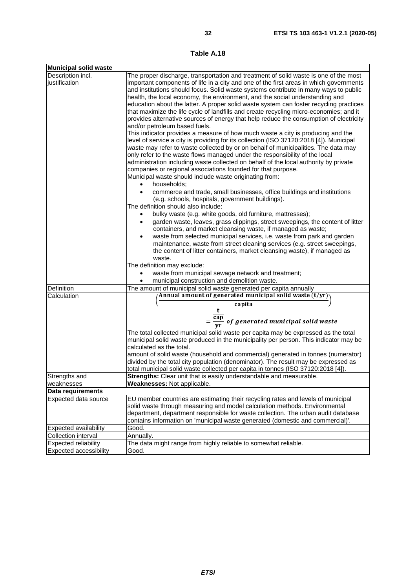**Table A.18** 

| Municipal solid waste              |                                                                                                                                                                                                                                                                                                                                                                                                                                                                                                                                                                                                                                                                                                                                                                                                                                                                                                                                                                                                                                                                                                                                                                                                                                                                                                                                                                                                                                                                                                                                                                                                                                                                                                                                                                                                                                                                                                                                                                                                                                                                                       |
|------------------------------------|---------------------------------------------------------------------------------------------------------------------------------------------------------------------------------------------------------------------------------------------------------------------------------------------------------------------------------------------------------------------------------------------------------------------------------------------------------------------------------------------------------------------------------------------------------------------------------------------------------------------------------------------------------------------------------------------------------------------------------------------------------------------------------------------------------------------------------------------------------------------------------------------------------------------------------------------------------------------------------------------------------------------------------------------------------------------------------------------------------------------------------------------------------------------------------------------------------------------------------------------------------------------------------------------------------------------------------------------------------------------------------------------------------------------------------------------------------------------------------------------------------------------------------------------------------------------------------------------------------------------------------------------------------------------------------------------------------------------------------------------------------------------------------------------------------------------------------------------------------------------------------------------------------------------------------------------------------------------------------------------------------------------------------------------------------------------------------------|
| Description incl.<br>justification | The proper discharge, transportation and treatment of solid waste is one of the most<br>important components of life in a city and one of the first areas in which governments<br>and institutions should focus. Solid waste systems contribute in many ways to public<br>health, the local economy, the environment, and the social understanding and<br>education about the latter. A proper solid waste system can foster recycling practices<br>that maximize the life cycle of landfills and create recycling micro-economies; and it<br>provides alternative sources of energy that help reduce the consumption of electricity<br>and/or petroleum based fuels.<br>This indicator provides a measure of how much waste a city is producing and the<br>level of service a city is providing for its collection (ISO 37120:2018 [4]). Municipal<br>waste may refer to waste collected by or on behalf of municipalities. The data may<br>only refer to the waste flows managed under the responsibility of the local<br>administration including waste collected on behalf of the local authority by private<br>companies or regional associations founded for that purpose.<br>Municipal waste should include waste originating from:<br>households:<br>$\bullet$<br>commerce and trade, small businesses, office buildings and institutions<br>(e.g. schools, hospitals, government buildings).<br>The definition should also include:<br>bulky waste (e.g. white goods, old furniture, mattresses);<br>$\bullet$<br>garden waste, leaves, grass clippings, street sweepings, the content of litter<br>$\bullet$<br>containers, and market cleansing waste, if managed as waste;<br>waste from selected municipal services, i.e. waste from park and garden<br>maintenance, waste from street cleaning services (e.g. street sweepings,<br>the content of litter containers, market cleansing waste), if managed as<br>waste.<br>The definition may exclude:<br>waste from municipal sewage network and treatment;<br>$\bullet$<br>municipal construction and demolition waste. |
| Definition                         | The amount of municipal solid waste generated per capita annually                                                                                                                                                                                                                                                                                                                                                                                                                                                                                                                                                                                                                                                                                                                                                                                                                                                                                                                                                                                                                                                                                                                                                                                                                                                                                                                                                                                                                                                                                                                                                                                                                                                                                                                                                                                                                                                                                                                                                                                                                     |
| Calculation                        | Annual amount of generated municipal solid waste $({\rm t/yr})^2$                                                                                                                                                                                                                                                                                                                                                                                                                                                                                                                                                                                                                                                                                                                                                                                                                                                                                                                                                                                                                                                                                                                                                                                                                                                                                                                                                                                                                                                                                                                                                                                                                                                                                                                                                                                                                                                                                                                                                                                                                     |
|                                    | capita                                                                                                                                                                                                                                                                                                                                                                                                                                                                                                                                                                                                                                                                                                                                                                                                                                                                                                                                                                                                                                                                                                                                                                                                                                                                                                                                                                                                                                                                                                                                                                                                                                                                                                                                                                                                                                                                                                                                                                                                                                                                                |
|                                    | $=\frac{\overline{cap}}{\overline{vr}}$ of generated municipal solid waste                                                                                                                                                                                                                                                                                                                                                                                                                                                                                                                                                                                                                                                                                                                                                                                                                                                                                                                                                                                                                                                                                                                                                                                                                                                                                                                                                                                                                                                                                                                                                                                                                                                                                                                                                                                                                                                                                                                                                                                                            |
|                                    | The total collected municipal solid waste per capita may be expressed as the total<br>municipal solid waste produced in the municipality per person. This indicator may be<br>calculated as the total.<br>amount of solid waste (household and commercial) generated in tonnes (numerator)<br>divided by the total city population (denominator). The result may be expressed as<br>total municipal solid waste collected per capita in tonnes (ISO 37120:2018 [4]).                                                                                                                                                                                                                                                                                                                                                                                                                                                                                                                                                                                                                                                                                                                                                                                                                                                                                                                                                                                                                                                                                                                                                                                                                                                                                                                                                                                                                                                                                                                                                                                                                  |
| Strengths and                      | <b>Strengths:</b> Clear unit that is easily understandable and measurable.                                                                                                                                                                                                                                                                                                                                                                                                                                                                                                                                                                                                                                                                                                                                                                                                                                                                                                                                                                                                                                                                                                                                                                                                                                                                                                                                                                                                                                                                                                                                                                                                                                                                                                                                                                                                                                                                                                                                                                                                            |
| weaknesses                         | Weaknesses: Not applicable.                                                                                                                                                                                                                                                                                                                                                                                                                                                                                                                                                                                                                                                                                                                                                                                                                                                                                                                                                                                                                                                                                                                                                                                                                                                                                                                                                                                                                                                                                                                                                                                                                                                                                                                                                                                                                                                                                                                                                                                                                                                           |
| Data requirements                  |                                                                                                                                                                                                                                                                                                                                                                                                                                                                                                                                                                                                                                                                                                                                                                                                                                                                                                                                                                                                                                                                                                                                                                                                                                                                                                                                                                                                                                                                                                                                                                                                                                                                                                                                                                                                                                                                                                                                                                                                                                                                                       |
| Expected data source               | EU member countries are estimating their recycling rates and levels of municipal<br>solid waste through measuring and model calculation methods. Environmental<br>department, department responsible for waste collection. The urban audit database<br>contains information on 'municipal waste generated (domestic and commercial)'.                                                                                                                                                                                                                                                                                                                                                                                                                                                                                                                                                                                                                                                                                                                                                                                                                                                                                                                                                                                                                                                                                                                                                                                                                                                                                                                                                                                                                                                                                                                                                                                                                                                                                                                                                 |
| Expected availability              | Good.                                                                                                                                                                                                                                                                                                                                                                                                                                                                                                                                                                                                                                                                                                                                                                                                                                                                                                                                                                                                                                                                                                                                                                                                                                                                                                                                                                                                                                                                                                                                                                                                                                                                                                                                                                                                                                                                                                                                                                                                                                                                                 |
| Collection interval                | Annually.                                                                                                                                                                                                                                                                                                                                                                                                                                                                                                                                                                                                                                                                                                                                                                                                                                                                                                                                                                                                                                                                                                                                                                                                                                                                                                                                                                                                                                                                                                                                                                                                                                                                                                                                                                                                                                                                                                                                                                                                                                                                             |
| <b>Expected reliability</b>        | The data might range from highly reliable to somewhat reliable.                                                                                                                                                                                                                                                                                                                                                                                                                                                                                                                                                                                                                                                                                                                                                                                                                                                                                                                                                                                                                                                                                                                                                                                                                                                                                                                                                                                                                                                                                                                                                                                                                                                                                                                                                                                                                                                                                                                                                                                                                       |
| <b>Expected accessibility</b>      | Good.                                                                                                                                                                                                                                                                                                                                                                                                                                                                                                                                                                                                                                                                                                                                                                                                                                                                                                                                                                                                                                                                                                                                                                                                                                                                                                                                                                                                                                                                                                                                                                                                                                                                                                                                                                                                                                                                                                                                                                                                                                                                                 |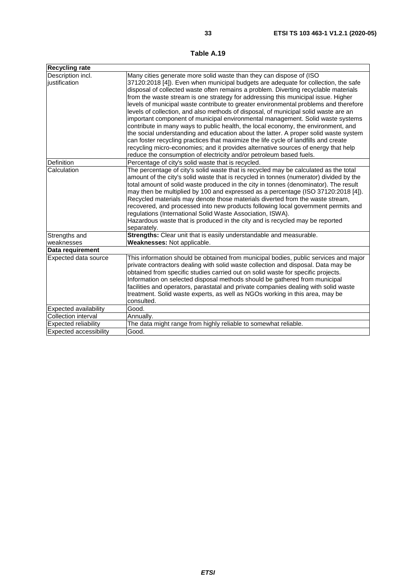**Table A.19** 

| <b>Recycling rate</b>         |                                                                                        |
|-------------------------------|----------------------------------------------------------------------------------------|
| Description incl.             | Many cities generate more solid waste than they can dispose of (ISO                    |
| liustification                | 37120:2018 [4]). Even when municipal budgets are adequate for collection, the safe     |
|                               | disposal of collected waste often remains a problem. Diverting recyclable materials    |
|                               | from the waste stream is one strategy for addressing this municipal issue. Higher      |
|                               | levels of municipal waste contribute to greater environmental problems and therefore   |
|                               | levels of collection, and also methods of disposal, of municipal solid waste are an    |
|                               | important component of municipal environmental management. Solid waste systems         |
|                               | contribute in many ways to public health, the local economy, the environment, and      |
|                               | the social understanding and education about the latter. A proper solid waste system   |
|                               | can foster recycling practices that maximize the life cycle of landfills and create    |
|                               | recycling micro-economies; and it provides alternative sources of energy that help     |
|                               | reduce the consumption of electricity and/or petroleum based fuels.                    |
| <b>Definition</b>             | Percentage of city's solid waste that is recycled.                                     |
| Calculation                   | The percentage of city's solid waste that is recycled may be calculated as the total   |
|                               | amount of the city's solid waste that is recycled in tonnes (numerator) divided by the |
|                               | total amount of solid waste produced in the city in tonnes (denominator). The result   |
|                               | may then be multiplied by 100 and expressed as a percentage (ISO 37120:2018 [4]).      |
|                               | Recycled materials may denote those materials diverted from the waste stream,          |
|                               | recovered, and processed into new products following local government permits and      |
|                               | regulations (International Solid Waste Association, ISWA).                             |
|                               | Hazardous waste that is produced in the city and is recycled may be reported           |
|                               | separately.                                                                            |
| Strengths and                 | Strengths: Clear unit that is easily understandable and measurable.                    |
| weaknesses                    | Weaknesses: Not applicable.                                                            |
| Data requirement              |                                                                                        |
| Expected data source          | This information should be obtained from municipal bodies, public services and major   |
|                               | private contractors dealing with solid waste collection and disposal. Data may be      |
|                               | obtained from specific studies carried out on solid waste for specific projects.       |
|                               | Information on selected disposal methods should be gathered from municipal             |
|                               | facilities and operators, parastatal and private companies dealing with solid waste    |
|                               | treatment. Solid waste experts, as well as NGOs working in this area, may be           |
|                               | consulted.                                                                             |
| Expected availability         | Good.                                                                                  |
| Collection interval           | Annually.                                                                              |
| <b>Expected reliability</b>   | The data might range from highly reliable to somewhat reliable.                        |
| <b>Expected accessibility</b> | Good.                                                                                  |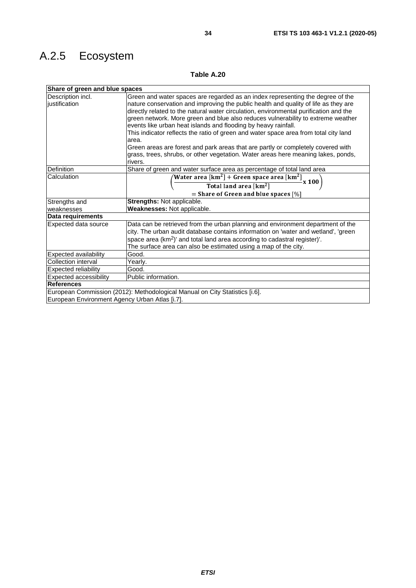## <span id="page-33-0"></span>A.2.5 Ecosystem

| Share of green and blue spaces                 |                                                                                       |  |
|------------------------------------------------|---------------------------------------------------------------------------------------|--|
| Description incl.                              | Green and water spaces are regarded as an index representing the degree of the        |  |
| justification                                  | nature conservation and improving the public health and quality of life as they are   |  |
|                                                | directly related to the natural water circulation, environmental purification and the |  |
|                                                | green network. More green and blue also reduces vulnerability to extreme weather      |  |
|                                                | events like urban heat islands and flooding by heavy rainfall.                        |  |
|                                                | This indicator reflects the ratio of green and water space area from total city land  |  |
|                                                | area.                                                                                 |  |
|                                                | Green areas are forest and park areas that are partly or completely covered with      |  |
|                                                | grass, trees, shrubs, or other vegetation. Water areas here meaning lakes, ponds,     |  |
|                                                | rivers.                                                                               |  |
| <b>Definition</b>                              | Share of green and water surface area as percentage of total land area                |  |
| Calculation                                    | $\sqrt{2}$ Water area [km $^2]$ + Green space area [km $^2]$                          |  |
|                                                | x 100<br>Total land area [km <sup>2</sup> ]                                           |  |
|                                                | $=$ Share of Green and blue spaces $[\%]$                                             |  |
| Strengths and                                  | Strengths: Not applicable.                                                            |  |
| weaknesses                                     | Weaknesses: Not applicable.                                                           |  |
| Data requirements                              |                                                                                       |  |
| Expected data source                           | Data can be retrieved from the urban planning and environment department of the       |  |
|                                                | city. The urban audit database contains information on 'water and wetland', 'green    |  |
|                                                | space area (km <sup>2</sup> )' and total land area according to cadastral register)'. |  |
|                                                | The surface area can also be estimated using a map of the city.                       |  |
| Expected availability                          | Good.                                                                                 |  |
| Collection interval                            | Yearly.                                                                               |  |
| <b>Expected reliability</b>                    | Good.                                                                                 |  |
| Expected accessibility                         | Public information.                                                                   |  |
| <b>References</b>                              |                                                                                       |  |
|                                                | European Commission (2012): Methodological Manual on City Statistics [i.6].           |  |
| European Environment Agency Urban Atlas [i.7]. |                                                                                       |  |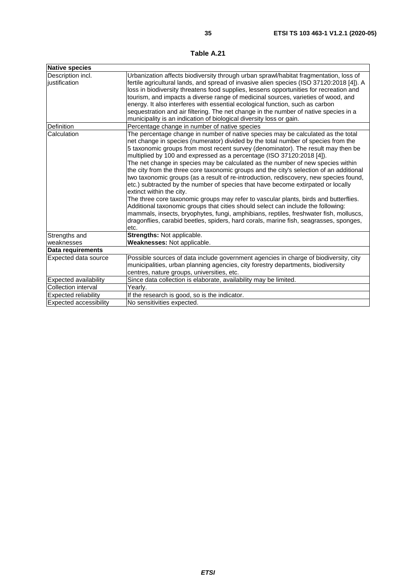| Table A.21 |  |
|------------|--|
|------------|--|

| Native species                     |                                                                                                                                                                                                                                                                                                                                                                                                                                                                                                                                                                                                                                                                                                                                                                                                                                                                                                                                                                                                                                                                                                 |
|------------------------------------|-------------------------------------------------------------------------------------------------------------------------------------------------------------------------------------------------------------------------------------------------------------------------------------------------------------------------------------------------------------------------------------------------------------------------------------------------------------------------------------------------------------------------------------------------------------------------------------------------------------------------------------------------------------------------------------------------------------------------------------------------------------------------------------------------------------------------------------------------------------------------------------------------------------------------------------------------------------------------------------------------------------------------------------------------------------------------------------------------|
| Description incl.<br>justification | Urbanization affects biodiversity through urban sprawl/habitat fragmentation, loss of<br>fertile agricultural lands, and spread of invasive alien species (ISO 37120:2018 [4]). A<br>loss in biodiversity threatens food supplies, lessens opportunities for recreation and<br>tourism, and impacts a diverse range of medicinal sources, varieties of wood, and<br>energy. It also interferes with essential ecological function, such as carbon<br>sequestration and air filtering. The net change in the number of native species in a<br>municipality is an indication of biological diversity loss or gain.                                                                                                                                                                                                                                                                                                                                                                                                                                                                                |
| Definition                         | Percentage change in number of native species                                                                                                                                                                                                                                                                                                                                                                                                                                                                                                                                                                                                                                                                                                                                                                                                                                                                                                                                                                                                                                                   |
| Calculation                        | The percentage change in number of native species may be calculated as the total<br>net change in species (numerator) divided by the total number of species from the<br>5 taxonomic groups from most recent survey (denominator). The result may then be<br>multiplied by 100 and expressed as a percentage (ISO 37120:2018 [4]).<br>The net change in species may be calculated as the number of new species within<br>the city from the three core taxonomic groups and the city's selection of an additional<br>two taxonomic groups (as a result of re-introduction, rediscovery, new species found,<br>etc.) subtracted by the number of species that have become extirpated or locally<br>extinct within the city.<br>The three core taxonomic groups may refer to vascular plants, birds and butterflies.<br>Additional taxonomic groups that cities should select can include the following:<br>mammals, insects, bryophytes, fungi, amphibians, reptiles, freshwater fish, molluscs,<br>dragonflies, carabid beetles, spiders, hard corals, marine fish, seagrasses, sponges,<br>etc. |
| Strengths and                      | Strengths: Not applicable.                                                                                                                                                                                                                                                                                                                                                                                                                                                                                                                                                                                                                                                                                                                                                                                                                                                                                                                                                                                                                                                                      |
| weaknesses                         | Weaknesses: Not applicable.                                                                                                                                                                                                                                                                                                                                                                                                                                                                                                                                                                                                                                                                                                                                                                                                                                                                                                                                                                                                                                                                     |
| Data requirements                  |                                                                                                                                                                                                                                                                                                                                                                                                                                                                                                                                                                                                                                                                                                                                                                                                                                                                                                                                                                                                                                                                                                 |
| Expected data source               | Possible sources of data include government agencies in charge of biodiversity, city<br>municipalities, urban planning agencies, city forestry departments, biodiversity<br>centres, nature groups, universities, etc.                                                                                                                                                                                                                                                                                                                                                                                                                                                                                                                                                                                                                                                                                                                                                                                                                                                                          |
| <b>Expected availability</b>       | Since data collection is elaborate, availability may be limited.                                                                                                                                                                                                                                                                                                                                                                                                                                                                                                                                                                                                                                                                                                                                                                                                                                                                                                                                                                                                                                |
| Collection interval                | Yearly.                                                                                                                                                                                                                                                                                                                                                                                                                                                                                                                                                                                                                                                                                                                                                                                                                                                                                                                                                                                                                                                                                         |
| <b>Expected reliability</b>        | If the research is good, so is the indicator.                                                                                                                                                                                                                                                                                                                                                                                                                                                                                                                                                                                                                                                                                                                                                                                                                                                                                                                                                                                                                                                   |
| Expected accessibility             | No sensitivities expected.                                                                                                                                                                                                                                                                                                                                                                                                                                                                                                                                                                                                                                                                                                                                                                                                                                                                                                                                                                                                                                                                      |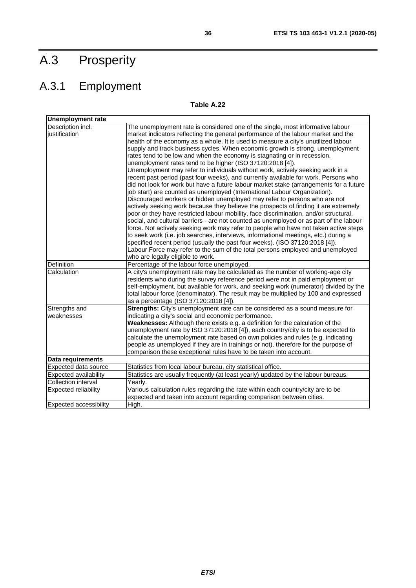## <span id="page-35-0"></span>A.3 Prosperity

## A.3.1 Employment

| Unemployment rate      |                                                                                                                       |
|------------------------|-----------------------------------------------------------------------------------------------------------------------|
| Description incl.      | The unemployment rate is considered one of the single, most informative labour                                        |
| justification          | market indicators reflecting the general performance of the labour market and the                                     |
|                        | health of the economy as a whole. It is used to measure a city's unutilized labour                                    |
|                        | supply and track business cycles. When economic growth is strong, unemployment                                        |
|                        | rates tend to be low and when the economy is stagnating or in recession,                                              |
|                        | unemployment rates tend to be higher (ISO 37120:2018 [4]).                                                            |
|                        | Unemployment may refer to individuals without work, actively seeking work in a                                        |
|                        | recent past period (past four weeks), and currently available for work. Persons who                                   |
|                        | did not look for work but have a future labour market stake (arrangements for a future                                |
|                        | job start) are counted as unemployed (International Labour Organization).                                             |
|                        | Discouraged workers or hidden unemployed may refer to persons who are not                                             |
|                        | actively seeking work because they believe the prospects of finding it are extremely                                  |
|                        | poor or they have restricted labour mobility, face discrimination, and/or structural,                                 |
|                        | social, and cultural barriers - are not counted as unemployed or as part of the labour                                |
|                        | force. Not actively seeking work may refer to people who have not taken active steps                                  |
|                        | to seek work (i.e. job searches, interviews, informational meetings, etc.) during a                                   |
|                        | specified recent period (usually the past four weeks). (ISO 37120:2018 [4]).                                          |
|                        | Labour Force may refer to the sum of the total persons employed and unemployed                                        |
|                        | who are legally eligible to work.                                                                                     |
| Definition             | Percentage of the labour force unemployed.                                                                            |
| Calculation            | A city's unemployment rate may be calculated as the number of working-age city                                        |
|                        | residents who during the survey reference period were not in paid employment or                                       |
|                        | self-employment, but available for work, and seeking work (numerator) divided by the                                  |
|                        | total labour force (denominator). The result may be multiplied by 100 and expressed                                   |
| Strengths and          | as a percentage (ISO 37120:2018 [4]).<br>Strengths: City's unemployment rate can be considered as a sound measure for |
| weaknesses             | indicating a city's social and economic performance.                                                                  |
|                        | Weaknesses: Although there exists e.g. a definition for the calculation of the                                        |
|                        | unemployment rate by ISO 37120:2018 [4]), each country/city is to be expected to                                      |
|                        | calculate the unemployment rate based on own policies and rules (e.g. indicating                                      |
|                        | people as unemployed if they are in trainings or not), therefore for the purpose of                                   |
|                        | comparison these exceptional rules have to be taken into account.                                                     |
| Data requirements      |                                                                                                                       |
| Expected data source   | Statistics from local labour bureau, city statistical office.                                                         |
| Expected availability  | Statistics are usually frequently (at least yearly) updated by the labour bureaus.                                    |
| Collection interval    | Yearly.                                                                                                               |
| Expected reliability   | Various calculation rules regarding the rate within each country/city are to be                                       |
|                        | expected and taken into account regarding comparison between cities.                                                  |
| Expected accessibility | High.                                                                                                                 |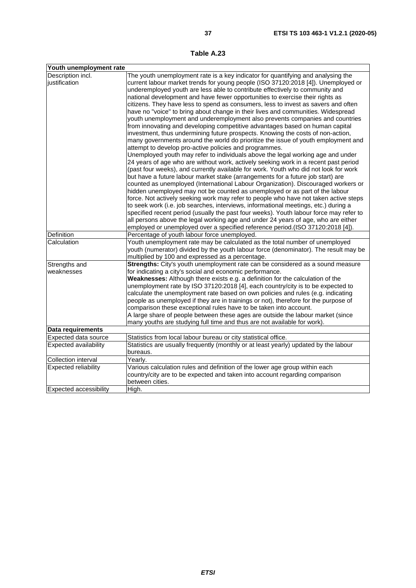**Table A.23** 

| Youth unemployment rate            |                                                                                                                                                                                                                                                                                                                                                                                                                                                                                                                                                                                                                                                                                                                                                                                                                                                                                                                                                                                                                                                                                                                                                                                                                                                                                                                                                                                                                                                                                                                                                                                                                                                                                                                                                                                                                                                                                             |
|------------------------------------|---------------------------------------------------------------------------------------------------------------------------------------------------------------------------------------------------------------------------------------------------------------------------------------------------------------------------------------------------------------------------------------------------------------------------------------------------------------------------------------------------------------------------------------------------------------------------------------------------------------------------------------------------------------------------------------------------------------------------------------------------------------------------------------------------------------------------------------------------------------------------------------------------------------------------------------------------------------------------------------------------------------------------------------------------------------------------------------------------------------------------------------------------------------------------------------------------------------------------------------------------------------------------------------------------------------------------------------------------------------------------------------------------------------------------------------------------------------------------------------------------------------------------------------------------------------------------------------------------------------------------------------------------------------------------------------------------------------------------------------------------------------------------------------------------------------------------------------------------------------------------------------------|
| Description incl.<br>justification | The youth unemployment rate is a key indicator for quantifying and analysing the<br>current labour market trends for young people (ISO 37120:2018 [4]). Unemployed or<br>underemployed youth are less able to contribute effectively to community and<br>national development and have fewer opportunities to exercise their rights as<br>citizens. They have less to spend as consumers, less to invest as savers and often<br>have no "voice" to bring about change in their lives and communities. Widespread<br>youth unemployment and underemployment also prevents companies and countries<br>from innovating and developing competitive advantages based on human capital<br>investment, thus undermining future prospects. Knowing the costs of non-action,<br>many governments around the world do prioritize the issue of youth employment and<br>attempt to develop pro-active policies and programmes.<br>Unemployed youth may refer to individuals above the legal working age and under<br>24 years of age who are without work, actively seeking work in a recent past period<br>(past four weeks), and currently available for work. Youth who did not look for work<br>but have a future labour market stake (arrangements for a future job start) are<br>counted as unemployed (International Labour Organization). Discouraged workers or<br>hidden unemployed may not be counted as unemployed or as part of the labour<br>force. Not actively seeking work may refer to people who have not taken active steps<br>to seek work (i.e. job searches, interviews, informational meetings, etc.) during a<br>specified recent period (usually the past four weeks). Youth labour force may refer to<br>all persons above the legal working age and under 24 years of age, who are either<br>employed or unemployed over a specified reference period.(ISO 37120:2018 [4]). |
| <b>Definition</b>                  | Percentage of youth labour force unemployed.                                                                                                                                                                                                                                                                                                                                                                                                                                                                                                                                                                                                                                                                                                                                                                                                                                                                                                                                                                                                                                                                                                                                                                                                                                                                                                                                                                                                                                                                                                                                                                                                                                                                                                                                                                                                                                                |
| Calculation                        | Youth unemployment rate may be calculated as the total number of unemployed<br>youth (numerator) divided by the youth labour force (denominator). The result may be<br>multiplied by 100 and expressed as a percentage.                                                                                                                                                                                                                                                                                                                                                                                                                                                                                                                                                                                                                                                                                                                                                                                                                                                                                                                                                                                                                                                                                                                                                                                                                                                                                                                                                                                                                                                                                                                                                                                                                                                                     |
| Strengths and<br>weaknesses        | Strengths: City's youth unemployment rate can be considered as a sound measure<br>for indicating a city's social and economic performance.<br>Weaknesses: Although there exists e.g. a definition for the calculation of the<br>unemployment rate by ISO 37120:2018 [4], each country/city is to be expected to<br>calculate the unemployment rate based on own policies and rules (e.g. indicating<br>people as unemployed if they are in trainings or not), therefore for the purpose of<br>comparison these exceptional rules have to be taken into account.<br>A large share of people between these ages are outside the labour market (since<br>many youths are studying full time and thus are not available for work).                                                                                                                                                                                                                                                                                                                                                                                                                                                                                                                                                                                                                                                                                                                                                                                                                                                                                                                                                                                                                                                                                                                                                              |
| <b>Data requirements</b>           |                                                                                                                                                                                                                                                                                                                                                                                                                                                                                                                                                                                                                                                                                                                                                                                                                                                                                                                                                                                                                                                                                                                                                                                                                                                                                                                                                                                                                                                                                                                                                                                                                                                                                                                                                                                                                                                                                             |
| Expected data source               | Statistics from local labour bureau or city statistical office.                                                                                                                                                                                                                                                                                                                                                                                                                                                                                                                                                                                                                                                                                                                                                                                                                                                                                                                                                                                                                                                                                                                                                                                                                                                                                                                                                                                                                                                                                                                                                                                                                                                                                                                                                                                                                             |
| Expected availability              | Statistics are usually frequently (monthly or at least yearly) updated by the labour<br>bureaus.                                                                                                                                                                                                                                                                                                                                                                                                                                                                                                                                                                                                                                                                                                                                                                                                                                                                                                                                                                                                                                                                                                                                                                                                                                                                                                                                                                                                                                                                                                                                                                                                                                                                                                                                                                                            |
| Collection interval                | Yearly.                                                                                                                                                                                                                                                                                                                                                                                                                                                                                                                                                                                                                                                                                                                                                                                                                                                                                                                                                                                                                                                                                                                                                                                                                                                                                                                                                                                                                                                                                                                                                                                                                                                                                                                                                                                                                                                                                     |
| <b>Expected reliability</b>        | Various calculation rules and definition of the lower age group within each<br>country/city are to be expected and taken into account regarding comparison<br>between cities.                                                                                                                                                                                                                                                                                                                                                                                                                                                                                                                                                                                                                                                                                                                                                                                                                                                                                                                                                                                                                                                                                                                                                                                                                                                                                                                                                                                                                                                                                                                                                                                                                                                                                                               |
| Expected accessibility             | High.                                                                                                                                                                                                                                                                                                                                                                                                                                                                                                                                                                                                                                                                                                                                                                                                                                                                                                                                                                                                                                                                                                                                                                                                                                                                                                                                                                                                                                                                                                                                                                                                                                                                                                                                                                                                                                                                                       |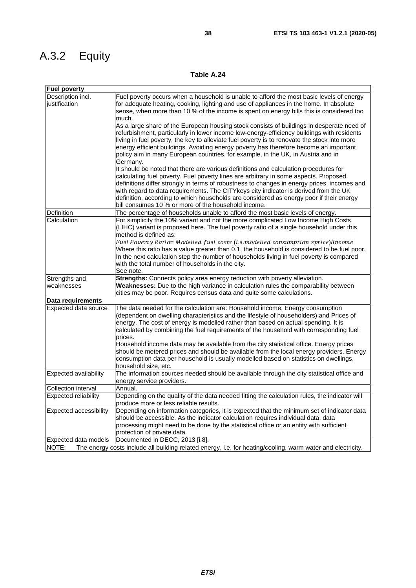## <span id="page-37-0"></span>A.3.2 Equity

| <b>Fuel poverty</b>                |                                                                                                                                                                                                                                                                                                                                                                                                                                                                                                                                                                                    |
|------------------------------------|------------------------------------------------------------------------------------------------------------------------------------------------------------------------------------------------------------------------------------------------------------------------------------------------------------------------------------------------------------------------------------------------------------------------------------------------------------------------------------------------------------------------------------------------------------------------------------|
| Description incl.<br>iustification | Fuel poverty occurs when a household is unable to afford the most basic levels of energy<br>for adequate heating, cooking, lighting and use of appliances in the home. In absolute<br>sense, when more than 10 % of the income is spent on energy bills this is considered too<br>much.<br>As a large share of the European housing stock consists of buildings in desperate need of<br>refurbishment, particularly in lower income low-energy-efficiency buildings with residents<br>living in fuel poverty, the key to alleviate fuel poverty is to renovate the stock into more |
|                                    | energy efficient buildings. Avoiding energy poverty has therefore become an important<br>policy aim in many European countries, for example, in the UK, in Austria and in<br>Germany.                                                                                                                                                                                                                                                                                                                                                                                              |
|                                    | It should be noted that there are various definitions and calculation procedures for<br>calculating fuel poverty. Fuel poverty lines are arbitrary in some aspects. Proposed<br>definitions differ strongly in terms of robustness to changes in energy prices, incomes and<br>with regard to data requirements. The CITYkeys city indicator is derived from the UK<br>definition, according to which households are considered as energy poor if their energy<br>bill consumes 10 % or more of the household income.                                                              |
| Definition                         | The percentage of households unable to afford the most basic levels of energy.                                                                                                                                                                                                                                                                                                                                                                                                                                                                                                     |
| Calculation                        | For simplicity the 10% variant and not the more complicated Low Income High Costs<br>(LIHC) variant is proposed here. The fuel poverty ratio of a single household under this<br>method is defined as:<br>Fuel Poverty Ratio= Modelled fuel costs (i.e.modelled consumption xprice)/Income                                                                                                                                                                                                                                                                                         |
|                                    | Where this ratio has a value greater than 0.1, the household is considered to be fuel poor.<br>In the next calculation step the number of households living in fuel poverty is compared<br>with the total number of households in the city.<br>See note.                                                                                                                                                                                                                                                                                                                           |
| Strengths and<br>weaknesses        | Strengths: Connects policy area energy reduction with poverty alleviation.<br><b>Weaknesses:</b> Due to the high variance in calculation rules the comparability between<br>cities may be poor. Requires census data and quite some calculations.                                                                                                                                                                                                                                                                                                                                  |
| Data requirements                  |                                                                                                                                                                                                                                                                                                                                                                                                                                                                                                                                                                                    |
| Expected data source               | The data needed for the calculation are: Household income; Energy consumption<br>(dependent on dwelling characteristics and the lifestyle of householders) and Prices of<br>energy. The cost of energy is modelled rather than based on actual spending. It is<br>calculated by combining the fuel requirements of the household with corresponding fuel<br>prices.<br>Household income data may be available from the city statistical office. Energy prices<br>should be metered prices and should be available from the local energy providers. Energy                          |
|                                    | consumption data per household is usually modelled based on statistics on dwellings,<br>household size, etc.                                                                                                                                                                                                                                                                                                                                                                                                                                                                       |
| <b>Expected availability</b>       | The information sources needed should be available through the city statistical office and<br>energy service providers.                                                                                                                                                                                                                                                                                                                                                                                                                                                            |
| Collection interval                | Annual.                                                                                                                                                                                                                                                                                                                                                                                                                                                                                                                                                                            |
| <b>Expected reliability</b>        | Depending on the quality of the data needed fitting the calculation rules, the indicator will<br>produce more or less reliable results.                                                                                                                                                                                                                                                                                                                                                                                                                                            |
| <b>Expected accessibility</b>      | Depending on information categories, it is expected that the minimum set of indicator data<br>should be accessible. As the indicator calculation requires individual data, data<br>processing might need to be done by the statistical office or an entity with sufficient<br>protection of private data.                                                                                                                                                                                                                                                                          |
| Expected data models               | Documented in DECC, 2013 [i.8].                                                                                                                                                                                                                                                                                                                                                                                                                                                                                                                                                    |
| NOTE:                              | The energy costs include all building related energy, i.e. for heating/cooling, warm water and electricity.                                                                                                                                                                                                                                                                                                                                                                                                                                                                        |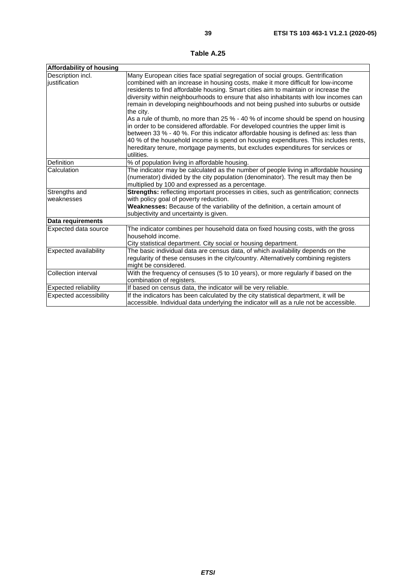**Table A.25** 

| <b>Affordability of housing</b>    |                                                                                                                                                                                                                                                                                                                                                                                                                                                                                                                                                                                                                                                                                                                                                                                                                                                                                                            |
|------------------------------------|------------------------------------------------------------------------------------------------------------------------------------------------------------------------------------------------------------------------------------------------------------------------------------------------------------------------------------------------------------------------------------------------------------------------------------------------------------------------------------------------------------------------------------------------------------------------------------------------------------------------------------------------------------------------------------------------------------------------------------------------------------------------------------------------------------------------------------------------------------------------------------------------------------|
| Description incl.<br>iustification | Many European cities face spatial segregation of social groups. Gentrification<br>combined with an increase in housing costs, make it more difficult for low-income<br>residents to find affordable housing. Smart cities aim to maintain or increase the<br>diversity within neighbourhoods to ensure that also inhabitants with low incomes can<br>remain in developing neighbourhoods and not being pushed into suburbs or outside<br>the city.<br>As a rule of thumb, no more than 25 % - 40 % of income should be spend on housing<br>in order to be considered affordable. For developed countries the upper limit is<br>between 33 % - 40 %. For this indicator affordable housing is defined as: less than<br>40 % of the household income is spend on housing expenditures. This includes rents,<br>hereditary tenure, mortgage payments, but excludes expenditures for services or<br>utilities. |
| <b>Definition</b>                  | % of population living in affordable housing.                                                                                                                                                                                                                                                                                                                                                                                                                                                                                                                                                                                                                                                                                                                                                                                                                                                              |
| Calculation                        | The indicator may be calculated as the number of people living in affordable housing<br>(numerator) divided by the city population (denominator). The result may then be<br>multiplied by 100 and expressed as a percentage.                                                                                                                                                                                                                                                                                                                                                                                                                                                                                                                                                                                                                                                                               |
| Strengths and                      | Strengths: reflecting important processes in cities, such as gentrification; connects                                                                                                                                                                                                                                                                                                                                                                                                                                                                                                                                                                                                                                                                                                                                                                                                                      |
| weaknesses                         | with policy goal of poverty reduction.<br>Weaknesses: Because of the variability of the definition, a certain amount of<br>subjectivity and uncertainty is given.                                                                                                                                                                                                                                                                                                                                                                                                                                                                                                                                                                                                                                                                                                                                          |
| <b>Data requirements</b>           |                                                                                                                                                                                                                                                                                                                                                                                                                                                                                                                                                                                                                                                                                                                                                                                                                                                                                                            |
| Expected data source               | The indicator combines per household data on fixed housing costs, with the gross<br>household income.<br>City statistical department. City social or housing department.                                                                                                                                                                                                                                                                                                                                                                                                                                                                                                                                                                                                                                                                                                                                   |
| <b>Expected availability</b>       | The basic individual data are census data, of which availability depends on the<br>regularity of these censuses in the city/country. Alternatively combining registers<br>might be considered.                                                                                                                                                                                                                                                                                                                                                                                                                                                                                                                                                                                                                                                                                                             |
| Collection interval                | With the frequency of censuses (5 to 10 years), or more regularly if based on the<br>combination of registers.                                                                                                                                                                                                                                                                                                                                                                                                                                                                                                                                                                                                                                                                                                                                                                                             |
| <b>Expected reliability</b>        | If based on census data, the indicator will be very reliable.                                                                                                                                                                                                                                                                                                                                                                                                                                                                                                                                                                                                                                                                                                                                                                                                                                              |
| Expected accessibility             | If the indicators has been calculated by the city statistical department, it will be<br>accessible. Individual data underlying the indicator will as a rule not be accessible.                                                                                                                                                                                                                                                                                                                                                                                                                                                                                                                                                                                                                                                                                                                             |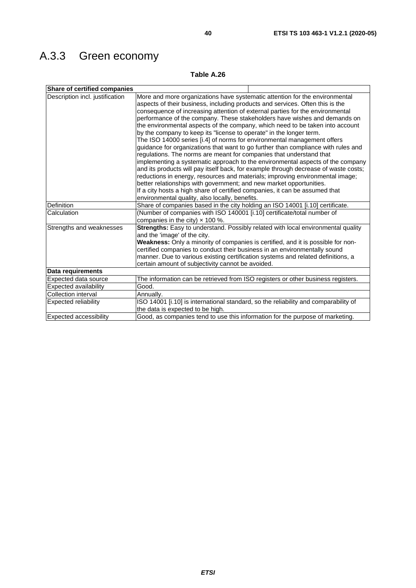## <span id="page-39-0"></span>A.3.3 Green economy

| Share of certified companies    |                                                                                                                  |                                                                                     |
|---------------------------------|------------------------------------------------------------------------------------------------------------------|-------------------------------------------------------------------------------------|
| Description incl. justification | More and more organizations have systematic attention for the environmental                                      |                                                                                     |
|                                 | aspects of their business, including products and services. Often this is the                                    |                                                                                     |
|                                 | consequence of increasing attention of external parties for the environmental                                    |                                                                                     |
|                                 |                                                                                                                  | performance of the company. These stakeholders have wishes and demands on           |
|                                 | the environmental aspects of the company, which need to be taken into account                                    |                                                                                     |
|                                 | by the company to keep its "license to operate" in the longer term.                                              |                                                                                     |
|                                 | The ISO 14000 series [i.4] of norms for environmental management offers                                          |                                                                                     |
|                                 |                                                                                                                  | guidance for organizations that want to go further than compliance with rules and   |
|                                 | regulations. The norms are meant for companies that understand that                                              |                                                                                     |
|                                 |                                                                                                                  | implementing a systematic approach to the environmental aspects of the company      |
|                                 |                                                                                                                  | and its products will pay itself back, for example through decrease of waste costs; |
|                                 | reductions in energy, resources and materials; improving environmental image;                                    |                                                                                     |
|                                 | better relationships with government; and new market opportunities.                                              |                                                                                     |
|                                 | If a city hosts a high share of certified companies, it can be assumed that                                      |                                                                                     |
|                                 | environmental quality, also locally, benefits.                                                                   |                                                                                     |
| Definition                      | Share of companies based in the city holding an ISO 14001 [i.10] certificate.                                    |                                                                                     |
| Calculation                     | (Number of companies with ISO 140001 [i.10] certificate/total number of                                          |                                                                                     |
|                                 | companies in the city) $\times$ 100 %.                                                                           |                                                                                     |
| Strengths and weaknesses        |                                                                                                                  | Strengths: Easy to understand. Possibly related with local environmental quality    |
|                                 | and the 'image' of the city.<br>Weakness: Only a minority of companies is certified, and it is possible for non- |                                                                                     |
|                                 | certified companies to conduct their business in an environmentally sound                                        |                                                                                     |
|                                 | manner. Due to various existing certification systems and related definitions, a                                 |                                                                                     |
|                                 | certain amount of subjectivity cannot be avoided.                                                                |                                                                                     |
| Data requirements               |                                                                                                                  |                                                                                     |
| Expected data source            | The information can be retrieved from ISO registers or other business registers.                                 |                                                                                     |
| Expected availability           | Good.                                                                                                            |                                                                                     |
| Collection interval             | Annually.                                                                                                        |                                                                                     |
| Expected reliability            | ISO 14001 [i.10] is international standard, so the reliability and comparability of                              |                                                                                     |
|                                 | the data is expected to be high.                                                                                 |                                                                                     |
| Expected accessibility          | Good, as companies tend to use this information for the purpose of marketing.                                    |                                                                                     |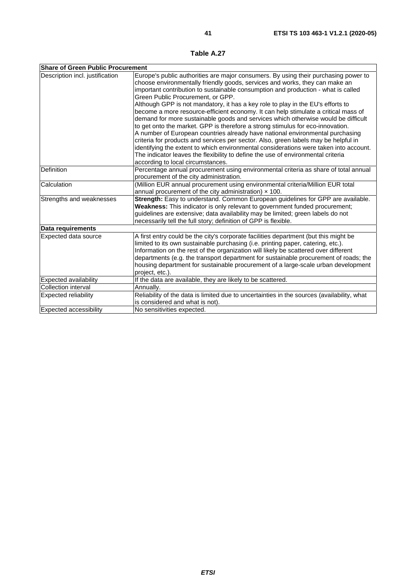**Table A.27** 

| <b>Share of Green Public Procurement</b> |                                                                                                                                                                                                                                                                                                                                                                                                                                                                                                                                                                                                                                                                                                                                                                                                                                                                                                                                                                                                                                        |  |
|------------------------------------------|----------------------------------------------------------------------------------------------------------------------------------------------------------------------------------------------------------------------------------------------------------------------------------------------------------------------------------------------------------------------------------------------------------------------------------------------------------------------------------------------------------------------------------------------------------------------------------------------------------------------------------------------------------------------------------------------------------------------------------------------------------------------------------------------------------------------------------------------------------------------------------------------------------------------------------------------------------------------------------------------------------------------------------------|--|
| Description incl. justification          | Europe's public authorities are major consumers. By using their purchasing power to<br>choose environmentally friendly goods, services and works, they can make an<br>important contribution to sustainable consumption and production - what is called<br>Green Public Procurement, or GPP.<br>Although GPP is not mandatory, it has a key role to play in the EU's efforts to<br>become a more resource-efficient economy. It can help stimulate a critical mass of<br>demand for more sustainable goods and services which otherwise would be difficult<br>to get onto the market. GPP is therefore a strong stimulus for eco-innovation.<br>A number of European countries already have national environmental purchasing<br>criteria for products and services per sector. Also, green labels may be helpful in<br>identifying the extent to which environmental considerations were taken into account.<br>The indicator leaves the flexibility to define the use of environmental criteria<br>according to local circumstances. |  |
| Definition                               | Percentage annual procurement using environmental criteria as share of total annual                                                                                                                                                                                                                                                                                                                                                                                                                                                                                                                                                                                                                                                                                                                                                                                                                                                                                                                                                    |  |
|                                          | procurement of the city administration.                                                                                                                                                                                                                                                                                                                                                                                                                                                                                                                                                                                                                                                                                                                                                                                                                                                                                                                                                                                                |  |
| Calculation                              | (Million EUR annual procurement using environmental criteria/Million EUR total<br>annual procurement of the city administration) $\times$ 100.                                                                                                                                                                                                                                                                                                                                                                                                                                                                                                                                                                                                                                                                                                                                                                                                                                                                                         |  |
| Strengths and weaknesses                 | Strength: Easy to understand. Common European guidelines for GPP are available.<br>Weakness: This indicator is only relevant to government funded procurement;<br>guidelines are extensive; data availability may be limited; green labels do not<br>necessarily tell the full story; definition of GPP is flexible.                                                                                                                                                                                                                                                                                                                                                                                                                                                                                                                                                                                                                                                                                                                   |  |
| Data requirements                        |                                                                                                                                                                                                                                                                                                                                                                                                                                                                                                                                                                                                                                                                                                                                                                                                                                                                                                                                                                                                                                        |  |
| Expected data source                     | A first entry could be the city's corporate facilities department (but this might be<br>limited to its own sustainable purchasing (i.e. printing paper, catering, etc.).<br>Information on the rest of the organization will likely be scattered over different<br>departments (e.g. the transport department for sustainable procurement of roads; the<br>housing department for sustainable procurement of a large-scale urban development<br>project, etc.).                                                                                                                                                                                                                                                                                                                                                                                                                                                                                                                                                                        |  |
| <b>Expected availability</b>             | If the data are available, they are likely to be scattered.                                                                                                                                                                                                                                                                                                                                                                                                                                                                                                                                                                                                                                                                                                                                                                                                                                                                                                                                                                            |  |
| Collection interval                      | Annually.                                                                                                                                                                                                                                                                                                                                                                                                                                                                                                                                                                                                                                                                                                                                                                                                                                                                                                                                                                                                                              |  |
| <b>Expected reliability</b>              | Reliability of the data is limited due to uncertainties in the sources (availability, what<br>is considered and what is not).                                                                                                                                                                                                                                                                                                                                                                                                                                                                                                                                                                                                                                                                                                                                                                                                                                                                                                          |  |
| Expected accessibility                   | No sensitivities expected.                                                                                                                                                                                                                                                                                                                                                                                                                                                                                                                                                                                                                                                                                                                                                                                                                                                                                                                                                                                                             |  |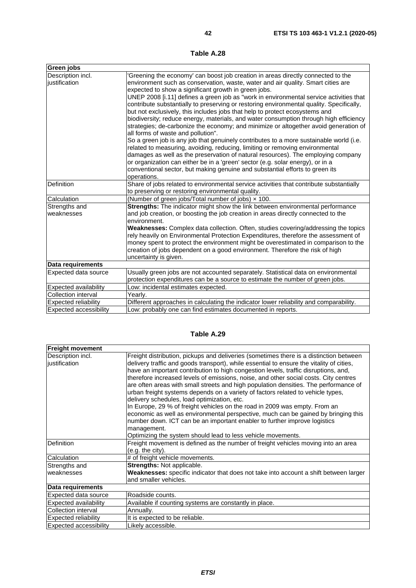| Table A.28 |  |
|------------|--|
|------------|--|

| Green jobs                         |                                                                                                                                                                                                                                                                                                                                                                                                                                                                                                                                                                                                                                                                                                                                                                                                                                                                                                                                                                                                                                                                                                                                                                         |  |  |
|------------------------------------|-------------------------------------------------------------------------------------------------------------------------------------------------------------------------------------------------------------------------------------------------------------------------------------------------------------------------------------------------------------------------------------------------------------------------------------------------------------------------------------------------------------------------------------------------------------------------------------------------------------------------------------------------------------------------------------------------------------------------------------------------------------------------------------------------------------------------------------------------------------------------------------------------------------------------------------------------------------------------------------------------------------------------------------------------------------------------------------------------------------------------------------------------------------------------|--|--|
| Description incl.<br>justification | 'Greening the economy' can boost job creation in areas directly connected to the<br>environment such as conservation, waste, water and air quality. Smart cities are<br>expected to show a significant growth in green jobs.<br>UNEP 2008 [i.11] defines a green job as "work in environmental service activities that<br>contribute substantially to preserving or restoring environmental quality. Specifically,<br>but not exclusively, this includes jobs that help to protect ecosystems and<br>biodiversity; reduce energy, materials, and water consumption through high efficiency<br>strategies; de-carbonize the economy; and minimize or altogether avoid generation of<br>all forms of waste and pollution".<br>So a green job is any job that genuinely contributes to a more sustainable world (i.e.<br>related to measuring, avoiding, reducing, limiting or removing environmental<br>damages as well as the preservation of natural resources). The employing company<br>or organization can either be in a 'green' sector (e.g. solar energy), or in a<br>conventional sector, but making genuine and substantial efforts to green its<br>operations. |  |  |
| Definition                         | Share of jobs related to environmental service activities that contribute substantially<br>to preserving or restoring environmental quality.                                                                                                                                                                                                                                                                                                                                                                                                                                                                                                                                                                                                                                                                                                                                                                                                                                                                                                                                                                                                                            |  |  |
| Calculation                        | (Number of green jobs/Total number of jobs) x 100.                                                                                                                                                                                                                                                                                                                                                                                                                                                                                                                                                                                                                                                                                                                                                                                                                                                                                                                                                                                                                                                                                                                      |  |  |
| Strengths and<br>weaknesses        | Strengths: The indicator might show the link between environmental performance<br>and job creation, or boosting the job creation in areas directly connected to the<br>environment.<br>Weaknesses: Complex data collection. Often, studies covering/addressing the topics<br>rely heavily on Environmental Protection Expenditures, therefore the assessment of<br>money spent to protect the environment might be overestimated in comparison to the<br>creation of jobs dependent on a good environment. Therefore the risk of high<br>uncertainty is given.                                                                                                                                                                                                                                                                                                                                                                                                                                                                                                                                                                                                          |  |  |
| Data requirements                  |                                                                                                                                                                                                                                                                                                                                                                                                                                                                                                                                                                                                                                                                                                                                                                                                                                                                                                                                                                                                                                                                                                                                                                         |  |  |
| Expected data source               | Usually green jobs are not accounted separately. Statistical data on environmental<br>protection expenditures can be a source to estimate the number of green jobs.                                                                                                                                                                                                                                                                                                                                                                                                                                                                                                                                                                                                                                                                                                                                                                                                                                                                                                                                                                                                     |  |  |
| Expected availability              | Low: incidental estimates expected.                                                                                                                                                                                                                                                                                                                                                                                                                                                                                                                                                                                                                                                                                                                                                                                                                                                                                                                                                                                                                                                                                                                                     |  |  |
| Collection interval                | Yearly.                                                                                                                                                                                                                                                                                                                                                                                                                                                                                                                                                                                                                                                                                                                                                                                                                                                                                                                                                                                                                                                                                                                                                                 |  |  |
| <b>Expected reliability</b>        | Different approaches in calculating the indicator lower reliability and comparability.                                                                                                                                                                                                                                                                                                                                                                                                                                                                                                                                                                                                                                                                                                                                                                                                                                                                                                                                                                                                                                                                                  |  |  |
| Expected accessibility             | Low: probably one can find estimates documented in reports.                                                                                                                                                                                                                                                                                                                                                                                                                                                                                                                                                                                                                                                                                                                                                                                                                                                                                                                                                                                                                                                                                                             |  |  |

| <b>Freight movement</b>            |                                                                                                                                                                                                                                                                                                                                                                                                                                                                                                                                                                                                                                                                                                                                                                                                                                                                                                                             |
|------------------------------------|-----------------------------------------------------------------------------------------------------------------------------------------------------------------------------------------------------------------------------------------------------------------------------------------------------------------------------------------------------------------------------------------------------------------------------------------------------------------------------------------------------------------------------------------------------------------------------------------------------------------------------------------------------------------------------------------------------------------------------------------------------------------------------------------------------------------------------------------------------------------------------------------------------------------------------|
| Description incl.<br>justification | Freight distribution, pickups and deliveries (sometimes there is a distinction between<br>delivery traffic and goods transport), while essential to ensure the vitality of cities,<br>have an important contribution to high congestion levels, traffic disruptions, and,<br>therefore increased levels of emissions, noise, and other social costs. City centres<br>are often areas with small streets and high population densities. The performance of<br>urban freight systems depends on a variety of factors related to vehicle types,<br>delivery schedules, load optimization, etc.<br>In Europe, 29 % of freight vehicles on the road in 2009 was empty. From an<br>economic as well as environmental perspective, much can be gained by bringing this<br>number down. ICT can be an important enabler to further improve logistics<br>management.<br>Optimizing the system should lead to less vehicle movements. |
| Definition                         | Freight movement is defined as the number of freight vehicles moving into an area<br>(e.g. the city).                                                                                                                                                                                                                                                                                                                                                                                                                                                                                                                                                                                                                                                                                                                                                                                                                       |
| Calculation                        | # of freight vehicle movements.                                                                                                                                                                                                                                                                                                                                                                                                                                                                                                                                                                                                                                                                                                                                                                                                                                                                                             |
| Strengths and                      | <b>Strengths: Not applicable.</b>                                                                                                                                                                                                                                                                                                                                                                                                                                                                                                                                                                                                                                                                                                                                                                                                                                                                                           |
| weaknesses                         | <b>Weaknesses:</b> specific indicator that does not take into account a shift between larger<br>and smaller vehicles.                                                                                                                                                                                                                                                                                                                                                                                                                                                                                                                                                                                                                                                                                                                                                                                                       |
| <b>Data requirements</b>           |                                                                                                                                                                                                                                                                                                                                                                                                                                                                                                                                                                                                                                                                                                                                                                                                                                                                                                                             |
| Expected data source               | Roadside counts.                                                                                                                                                                                                                                                                                                                                                                                                                                                                                                                                                                                                                                                                                                                                                                                                                                                                                                            |
| Expected availability              | Available if counting systems are constantly in place.                                                                                                                                                                                                                                                                                                                                                                                                                                                                                                                                                                                                                                                                                                                                                                                                                                                                      |
| Collection interval                | Annually.                                                                                                                                                                                                                                                                                                                                                                                                                                                                                                                                                                                                                                                                                                                                                                                                                                                                                                                   |
| Expected reliability               | It is expected to be reliable.                                                                                                                                                                                                                                                                                                                                                                                                                                                                                                                                                                                                                                                                                                                                                                                                                                                                                              |
| Expected accessibility             | Likely accessible.                                                                                                                                                                                                                                                                                                                                                                                                                                                                                                                                                                                                                                                                                                                                                                                                                                                                                                          |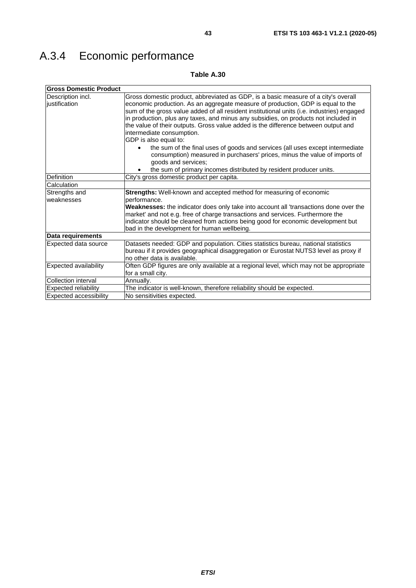## <span id="page-42-0"></span>A.3.4 Economic performance

| <b>Gross Domestic Product</b>       |                                                                                                                                                                                                                                                                                                                                                                                                                                                                                                                                                                                                                                                                                                                                                                    |
|-------------------------------------|--------------------------------------------------------------------------------------------------------------------------------------------------------------------------------------------------------------------------------------------------------------------------------------------------------------------------------------------------------------------------------------------------------------------------------------------------------------------------------------------------------------------------------------------------------------------------------------------------------------------------------------------------------------------------------------------------------------------------------------------------------------------|
| Description incl.<br>liustification | Gross domestic product, abbreviated as GDP, is a basic measure of a city's overall<br>economic production. As an aggregate measure of production, GDP is equal to the<br>sum of the gross value added of all resident institutional units (i.e. industries) engaged<br>in production, plus any taxes, and minus any subsidies, on products not included in<br>the value of their outputs. Gross value added is the difference between output and<br>intermediate consumption.<br>GDP is also equal to:<br>the sum of the final uses of goods and services (all uses except intermediate<br>consumption) measured in purchasers' prices, minus the value of imports of<br>goods and services;<br>the sum of primary incomes distributed by resident producer units. |
| <b>Definition</b>                   | City's gross domestic product per capita.                                                                                                                                                                                                                                                                                                                                                                                                                                                                                                                                                                                                                                                                                                                          |
| Calculation                         |                                                                                                                                                                                                                                                                                                                                                                                                                                                                                                                                                                                                                                                                                                                                                                    |
| Strengths and                       | Strengths: Well-known and accepted method for measuring of economic                                                                                                                                                                                                                                                                                                                                                                                                                                                                                                                                                                                                                                                                                                |
| weaknesses                          | performance.                                                                                                                                                                                                                                                                                                                                                                                                                                                                                                                                                                                                                                                                                                                                                       |
|                                     | Weaknesses: the indicator does only take into account all 'transactions done over the<br>market' and not e.g. free of charge transactions and services. Furthermore the<br>indicator should be cleaned from actions being good for economic development but<br>bad in the development for human wellbeing.                                                                                                                                                                                                                                                                                                                                                                                                                                                         |
| Data requirements                   |                                                                                                                                                                                                                                                                                                                                                                                                                                                                                                                                                                                                                                                                                                                                                                    |
| Expected data source                | Datasets needed: GDP and population. Cities statistics bureau, national statistics<br>bureau if it provides geographical disaggregation or Eurostat NUTS3 level as proxy if<br>no other data is available.                                                                                                                                                                                                                                                                                                                                                                                                                                                                                                                                                         |
| <b>Expected availability</b>        | Often GDP figures are only available at a regional level, which may not be appropriate<br>for a small city.                                                                                                                                                                                                                                                                                                                                                                                                                                                                                                                                                                                                                                                        |
| Collection interval                 | Annually.                                                                                                                                                                                                                                                                                                                                                                                                                                                                                                                                                                                                                                                                                                                                                          |
| <b>Expected reliability</b>         | The indicator is well-known, therefore reliability should be expected.                                                                                                                                                                                                                                                                                                                                                                                                                                                                                                                                                                                                                                                                                             |
| Expected accessibility              | No sensitivities expected.                                                                                                                                                                                                                                                                                                                                                                                                                                                                                                                                                                                                                                                                                                                                         |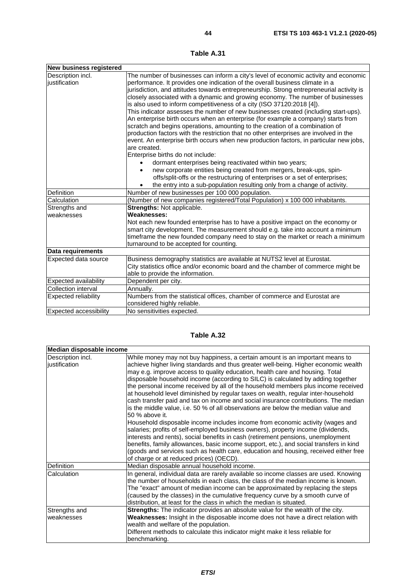| <b>New business registered</b>     |                                                                                                                                                                                                                                                                                                                                                                                                                                                                                                                                                                                                                                                                                                                                                                                                                                                                                                                                                                                                                                                                                                                                                                                                                                       |  |
|------------------------------------|---------------------------------------------------------------------------------------------------------------------------------------------------------------------------------------------------------------------------------------------------------------------------------------------------------------------------------------------------------------------------------------------------------------------------------------------------------------------------------------------------------------------------------------------------------------------------------------------------------------------------------------------------------------------------------------------------------------------------------------------------------------------------------------------------------------------------------------------------------------------------------------------------------------------------------------------------------------------------------------------------------------------------------------------------------------------------------------------------------------------------------------------------------------------------------------------------------------------------------------|--|
| Description incl.<br>justification | The number of businesses can inform a city's level of economic activity and economic<br>performance. It provides one indication of the overall business climate in a<br>jurisdiction, and attitudes towards entrepreneurship. Strong entrepreneurial activity is<br>closely associated with a dynamic and growing economy. The number of businesses<br>is also used to inform competitiveness of a city (ISO 37120:2018 [4]).<br>This indicator assesses the number of new businesses created (including start-ups).<br>An enterprise birth occurs when an enterprise (for example a company) starts from<br>scratch and begins operations, amounting to the creation of a combination of<br>production factors with the restriction that no other enterprises are involved in the<br>event. An enterprise birth occurs when new production factors, in particular new jobs,<br>are created.<br>Enterprise births do not include:<br>dormant enterprises being reactivated within two years;<br>new corporate entities being created from mergers, break-ups, spin-<br>٠<br>offs/split-offs or the restructuring of enterprises or a set of enterprises;<br>the entry into a sub-population resulting only from a change of activity. |  |
| Definition                         | Number of new businesses per 100 000 population.                                                                                                                                                                                                                                                                                                                                                                                                                                                                                                                                                                                                                                                                                                                                                                                                                                                                                                                                                                                                                                                                                                                                                                                      |  |
| Calculation                        | (Number of new companies registered/Total Population) x 100 000 inhabitants.                                                                                                                                                                                                                                                                                                                                                                                                                                                                                                                                                                                                                                                                                                                                                                                                                                                                                                                                                                                                                                                                                                                                                          |  |
| Strengths and<br>weaknesses        | <b>Strengths: Not applicable.</b><br>Weaknesses:<br>Not each new founded enterprise has to have a positive impact on the economy or<br>smart city development. The measurement should e.g. take into account a minimum<br>timeframe the new founded company need to stay on the market or reach a minimum<br>turnaround to be accepted for counting.                                                                                                                                                                                                                                                                                                                                                                                                                                                                                                                                                                                                                                                                                                                                                                                                                                                                                  |  |
| Data requirements                  |                                                                                                                                                                                                                                                                                                                                                                                                                                                                                                                                                                                                                                                                                                                                                                                                                                                                                                                                                                                                                                                                                                                                                                                                                                       |  |
| Expected data source               | Business demography statistics are available at NUTS2 level at Eurostat.<br>City statistics office and/or economic board and the chamber of commerce might be<br>able to provide the information.                                                                                                                                                                                                                                                                                                                                                                                                                                                                                                                                                                                                                                                                                                                                                                                                                                                                                                                                                                                                                                     |  |
| <b>Expected availability</b>       | Dependent per city.                                                                                                                                                                                                                                                                                                                                                                                                                                                                                                                                                                                                                                                                                                                                                                                                                                                                                                                                                                                                                                                                                                                                                                                                                   |  |
| Collection interval                | Annually.                                                                                                                                                                                                                                                                                                                                                                                                                                                                                                                                                                                                                                                                                                                                                                                                                                                                                                                                                                                                                                                                                                                                                                                                                             |  |
| <b>Expected reliability</b>        | Numbers from the statistical offices, chamber of commerce and Eurostat are<br>considered highly reliable.                                                                                                                                                                                                                                                                                                                                                                                                                                                                                                                                                                                                                                                                                                                                                                                                                                                                                                                                                                                                                                                                                                                             |  |
| Expected accessibility             | No sensitivities expected.                                                                                                                                                                                                                                                                                                                                                                                                                                                                                                                                                                                                                                                                                                                                                                                                                                                                                                                                                                                                                                                                                                                                                                                                            |  |

| Median disposable income |                                                                                          |  |
|--------------------------|------------------------------------------------------------------------------------------|--|
| Description incl.        | While money may not buy happiness, a certain amount is an important means to             |  |
| justification            | achieve higher living standards and thus greater well-being. Higher economic wealth      |  |
|                          | may e.g. improve access to quality education, health care and housing. Total             |  |
|                          | disposable household income (according to SILC) is calculated by adding together         |  |
|                          | the personal income received by all of the household members plus income received        |  |
|                          | at household level diminished by regular taxes on wealth, regular inter-household        |  |
|                          | cash transfer paid and tax on income and social insurance contributions. The median      |  |
|                          | is the middle value, i.e. 50 % of all observations are below the median value and        |  |
|                          | 50 % above it.                                                                           |  |
|                          | Household disposable income includes income from economic activity (wages and            |  |
|                          | salaries; profits of self-employed business owners), property income (dividends,         |  |
|                          | interests and rents), social benefits in cash (retirement pensions, unemployment         |  |
|                          | benefits, family allowances, basic income support, etc.), and social transfers in kind   |  |
|                          | (goods and services such as health care, education and housing, received either free     |  |
|                          | of charge or at reduced prices) (OECD).                                                  |  |
| Definition               | Median disposable annual household income.                                               |  |
| Calculation              | In general, individual data are rarely available so income classes are used. Knowing     |  |
|                          | the number of households in each class, the class of the median income is known.         |  |
|                          | The "exact" amount of median income can be approximated by replacing the steps           |  |
|                          | (caused by the classes) in the cumulative frequency curve by a smooth curve of           |  |
|                          | distribution, at least for the class in which the median is situated.                    |  |
| Strengths and            | Strengths: The indicator provides an absolute value for the wealth of the city.          |  |
| weaknesses               | <b>Weaknesses:</b> Insight in the disposable income does not have a direct relation with |  |
|                          | wealth and welfare of the population.                                                    |  |
|                          | Different methods to calculate this indicator might make it less reliable for            |  |
|                          | benchmarking.                                                                            |  |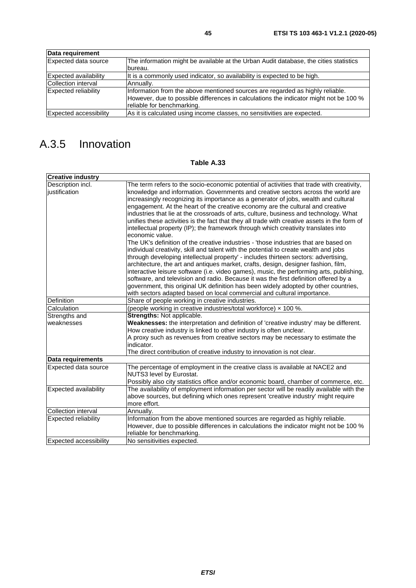<span id="page-44-0"></span>

| Data requirement            |                                                                                       |
|-----------------------------|---------------------------------------------------------------------------------------|
| Expected data source        | The information might be available at the Urban Audit database, the cities statistics |
|                             | Ibureau.                                                                              |
| Expected availability       | It is a commonly used indicator, so availability is expected to be high.              |
| Collection interval         | Annually.                                                                             |
| <b>Expected reliability</b> | Information from the above mentioned sources are regarded as highly reliable.         |
|                             | However, due to possible differences in calculations the indicator might not be 100 % |
|                             | reliable for benchmarking.                                                            |
| Expected accessibility      | As it is calculated using income classes, no sensitivities are expected.              |

## A.3.5 Innovation

| <b>Creative industry</b>           |                                                                                                                                                                                                                                                                                                                                                                                                                                                                                                                                                                                                                                                                                                                                                                                                                                                                                                                                                                                                                                                                                                                                                                                                                                                                                                                                                                             |  |
|------------------------------------|-----------------------------------------------------------------------------------------------------------------------------------------------------------------------------------------------------------------------------------------------------------------------------------------------------------------------------------------------------------------------------------------------------------------------------------------------------------------------------------------------------------------------------------------------------------------------------------------------------------------------------------------------------------------------------------------------------------------------------------------------------------------------------------------------------------------------------------------------------------------------------------------------------------------------------------------------------------------------------------------------------------------------------------------------------------------------------------------------------------------------------------------------------------------------------------------------------------------------------------------------------------------------------------------------------------------------------------------------------------------------------|--|
| Description incl.<br>justification | The term refers to the socio-economic potential of activities that trade with creativity,<br>knowledge and information. Governments and creative sectors across the world are<br>increasingly recognizing its importance as a generator of jobs, wealth and cultural<br>engagement. At the heart of the creative economy are the cultural and creative<br>industries that lie at the crossroads of arts, culture, business and technology. What<br>unifies these activities is the fact that they all trade with creative assets in the form of<br>intellectual property (IP); the framework through which creativity translates into<br>economic value.<br>The UK's definition of the creative industries - 'those industries that are based on<br>individual creativity, skill and talent with the potential to create wealth and jobs<br>through developing intellectual property' - includes thirteen sectors: advertising,<br>architecture, the art and antiques market, crafts, design, designer fashion, film,<br>interactive leisure software (i.e. video games), music, the performing arts, publishing,<br>software, and television and radio. Because it was the first definition offered by a<br>government, this original UK definition has been widely adopted by other countries,<br>with sectors adapted based on local commercial and cultural importance. |  |
| Definition                         | Share of people working in creative industries.                                                                                                                                                                                                                                                                                                                                                                                                                                                                                                                                                                                                                                                                                                                                                                                                                                                                                                                                                                                                                                                                                                                                                                                                                                                                                                                             |  |
| Calculation                        | (people working in creative industries/total workforce) $\times$ 100 %.                                                                                                                                                                                                                                                                                                                                                                                                                                                                                                                                                                                                                                                                                                                                                                                                                                                                                                                                                                                                                                                                                                                                                                                                                                                                                                     |  |
| Strengths and<br>weaknesses        | <b>Strengths: Not applicable.</b><br>Weaknesses: the interpretation and definition of 'creative industry' may be different.<br>How creative industry is linked to other industry is often unclear.<br>A proxy such as revenues from creative sectors may be necessary to estimate the<br>indicator.<br>The direct contribution of creative industry to innovation is not clear.                                                                                                                                                                                                                                                                                                                                                                                                                                                                                                                                                                                                                                                                                                                                                                                                                                                                                                                                                                                             |  |
| Data requirements                  |                                                                                                                                                                                                                                                                                                                                                                                                                                                                                                                                                                                                                                                                                                                                                                                                                                                                                                                                                                                                                                                                                                                                                                                                                                                                                                                                                                             |  |
| Expected data source               | The percentage of employment in the creative class is available at NACE2 and<br>NUTS3 level by Eurostat.<br>Possibly also city statistics office and/or economic board, chamber of commerce, etc.                                                                                                                                                                                                                                                                                                                                                                                                                                                                                                                                                                                                                                                                                                                                                                                                                                                                                                                                                                                                                                                                                                                                                                           |  |
| <b>Expected availability</b>       | The availability of employment information per sector will be readily available with the<br>above sources, but defining which ones represent 'creative industry' might require<br>more effort.                                                                                                                                                                                                                                                                                                                                                                                                                                                                                                                                                                                                                                                                                                                                                                                                                                                                                                                                                                                                                                                                                                                                                                              |  |
| Collection interval                | Annually.                                                                                                                                                                                                                                                                                                                                                                                                                                                                                                                                                                                                                                                                                                                                                                                                                                                                                                                                                                                                                                                                                                                                                                                                                                                                                                                                                                   |  |
| Expected reliability               | Information from the above mentioned sources are regarded as highly reliable.<br>However, due to possible differences in calculations the indicator might not be 100 %<br>reliable for benchmarking.                                                                                                                                                                                                                                                                                                                                                                                                                                                                                                                                                                                                                                                                                                                                                                                                                                                                                                                                                                                                                                                                                                                                                                        |  |
| Expected accessibility             | No sensitivities expected.                                                                                                                                                                                                                                                                                                                                                                                                                                                                                                                                                                                                                                                                                                                                                                                                                                                                                                                                                                                                                                                                                                                                                                                                                                                                                                                                                  |  |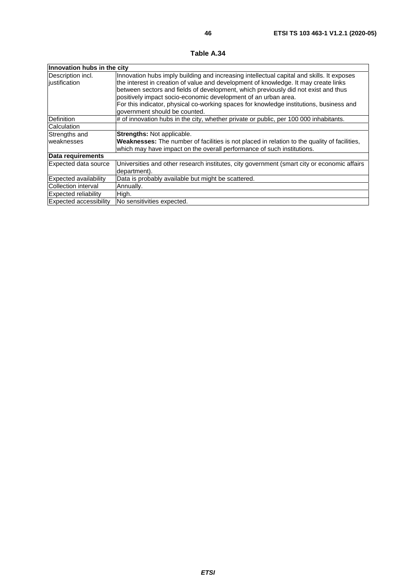| Innovation hubs in the city        |                                                                                                                                                                                                                                                                                                                                                                                                                                                                      |  |
|------------------------------------|----------------------------------------------------------------------------------------------------------------------------------------------------------------------------------------------------------------------------------------------------------------------------------------------------------------------------------------------------------------------------------------------------------------------------------------------------------------------|--|
| Description incl.<br>justification | Innovation hubs imply building and increasing intellectual capital and skills. It exposes<br>the interest in creation of value and development of knowledge. It may create links<br>between sectors and fields of development, which previously did not exist and thus<br>positively impact socio-economic development of an urban area.<br>For this indicator, physical co-working spaces for knowledge institutions, business and<br>government should be counted. |  |
| Definition                         | # of innovation hubs in the city, whether private or public, per 100 000 inhabitants.                                                                                                                                                                                                                                                                                                                                                                                |  |
| ICalculation                       |                                                                                                                                                                                                                                                                                                                                                                                                                                                                      |  |
| Strengths and                      | Strengths: Not applicable.                                                                                                                                                                                                                                                                                                                                                                                                                                           |  |
| lweaknesses                        | <b>Weaknesses:</b> The number of facilities is not placed in relation to the quality of facilities,<br>which may have impact on the overall performance of such institutions.                                                                                                                                                                                                                                                                                        |  |
| Data requirements                  |                                                                                                                                                                                                                                                                                                                                                                                                                                                                      |  |
| Expected data source               | Universities and other research institutes, city government (smart city or economic affairs<br>department).                                                                                                                                                                                                                                                                                                                                                          |  |
| Expected availability              | Data is probably available but might be scattered.                                                                                                                                                                                                                                                                                                                                                                                                                   |  |
| Collection interval                | Annually.                                                                                                                                                                                                                                                                                                                                                                                                                                                            |  |
| <b>Expected reliability</b>        | High.                                                                                                                                                                                                                                                                                                                                                                                                                                                                |  |
| <b>Expected accessibility</b>      | No sensitivities expected.                                                                                                                                                                                                                                                                                                                                                                                                                                           |  |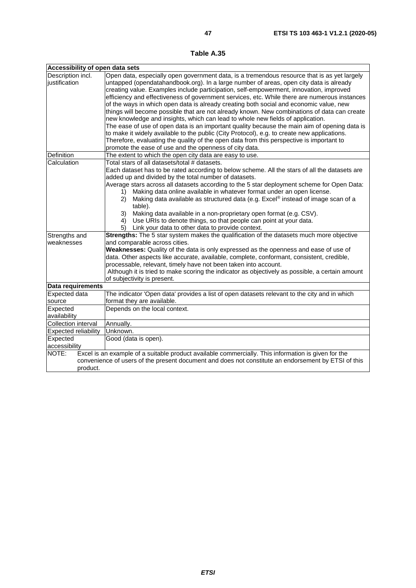**Table A.35** 

| Accessibility of open data sets            |                                                                                                                                                                                                                                                                                                                                                                                                                                                                                                                                                                                                                                                                                                                                                                                                                                                                                                                                                                                                                                                                                                                                                                                                  |  |
|--------------------------------------------|--------------------------------------------------------------------------------------------------------------------------------------------------------------------------------------------------------------------------------------------------------------------------------------------------------------------------------------------------------------------------------------------------------------------------------------------------------------------------------------------------------------------------------------------------------------------------------------------------------------------------------------------------------------------------------------------------------------------------------------------------------------------------------------------------------------------------------------------------------------------------------------------------------------------------------------------------------------------------------------------------------------------------------------------------------------------------------------------------------------------------------------------------------------------------------------------------|--|
| Description incl.<br>justification         | Open data, especially open government data, is a tremendous resource that is as yet largely<br>untapped (opendatahandbook.org). In a large number of areas, open city data is already<br>creating value. Examples include participation, self-empowerment, innovation, improved<br>efficiency and effectiveness of government services, etc. While there are numerous instances<br>of the ways in which open data is already creating both social and economic value, new<br>things will become possible that are not already known. New combinations of data can create<br>new knowledge and insights, which can lead to whole new fields of application.<br>The ease of use of open data is an important quality because the main aim of opening data is<br>to make it widely available to the public (City Protocol), e.g. to create new applications.<br>Therefore, evaluating the quality of the open data from this perspective is important to<br>promote the ease of use and the openness of city data.                                                                                                                                                                                  |  |
| Definition                                 | The extent to which the open city data are easy to use.                                                                                                                                                                                                                                                                                                                                                                                                                                                                                                                                                                                                                                                                                                                                                                                                                                                                                                                                                                                                                                                                                                                                          |  |
| Calculation<br>Strengths and<br>weaknesses | Total stars of all datasets/total # datasets.<br>Each dataset has to be rated according to below scheme. All the stars of all the datasets are<br>added up and divided by the total number of datasets.<br>Average stars across all datasets according to the 5 star deployment scheme for Open Data:<br>Making data online available in whatever format under an open license.<br>1)<br>Making data available as structured data (e.g. Excel® instead of image scan of a<br>2)<br>table).<br>Making data available in a non-proprietary open format (e.g. CSV).<br>3)<br>Use URIs to denote things, so that people can point at your data.<br>4)<br>5) Link your data to other data to provide context.<br>Strengths: The 5 star system makes the qualification of the datasets much more objective<br>and comparable across cities.<br>Weaknesses: Quality of the data is only expressed as the openness and ease of use of<br>data. Other aspects like accurate, available, complete, conformant, consistent, credible,<br>processable, relevant, timely have not been taken into account.<br>Although it is tried to make scoring the indicator as objectively as possible, a certain amount |  |
|                                            | of subjectivity is present.                                                                                                                                                                                                                                                                                                                                                                                                                                                                                                                                                                                                                                                                                                                                                                                                                                                                                                                                                                                                                                                                                                                                                                      |  |
| Data requirements                          |                                                                                                                                                                                                                                                                                                                                                                                                                                                                                                                                                                                                                                                                                                                                                                                                                                                                                                                                                                                                                                                                                                                                                                                                  |  |
| Expected data                              | The indicator 'Open data' provides a list of open datasets relevant to the city and in which                                                                                                                                                                                                                                                                                                                                                                                                                                                                                                                                                                                                                                                                                                                                                                                                                                                                                                                                                                                                                                                                                                     |  |
| source                                     | format they are available.                                                                                                                                                                                                                                                                                                                                                                                                                                                                                                                                                                                                                                                                                                                                                                                                                                                                                                                                                                                                                                                                                                                                                                       |  |
| Expected                                   | Depends on the local context.                                                                                                                                                                                                                                                                                                                                                                                                                                                                                                                                                                                                                                                                                                                                                                                                                                                                                                                                                                                                                                                                                                                                                                    |  |
| availability                               |                                                                                                                                                                                                                                                                                                                                                                                                                                                                                                                                                                                                                                                                                                                                                                                                                                                                                                                                                                                                                                                                                                                                                                                                  |  |
| Collection interval                        | Annually.                                                                                                                                                                                                                                                                                                                                                                                                                                                                                                                                                                                                                                                                                                                                                                                                                                                                                                                                                                                                                                                                                                                                                                                        |  |
| Expected reliability                       | Unknown.                                                                                                                                                                                                                                                                                                                                                                                                                                                                                                                                                                                                                                                                                                                                                                                                                                                                                                                                                                                                                                                                                                                                                                                         |  |
| Expected                                   | Good (data is open).                                                                                                                                                                                                                                                                                                                                                                                                                                                                                                                                                                                                                                                                                                                                                                                                                                                                                                                                                                                                                                                                                                                                                                             |  |
| accessibility<br>NOTE:                     | Excel is an example of a suitable product available commercially. This information is given for the                                                                                                                                                                                                                                                                                                                                                                                                                                                                                                                                                                                                                                                                                                                                                                                                                                                                                                                                                                                                                                                                                              |  |
| product.                                   | convenience of users of the present document and does not constitute an endorsement by ETSI of this                                                                                                                                                                                                                                                                                                                                                                                                                                                                                                                                                                                                                                                                                                                                                                                                                                                                                                                                                                                                                                                                                              |  |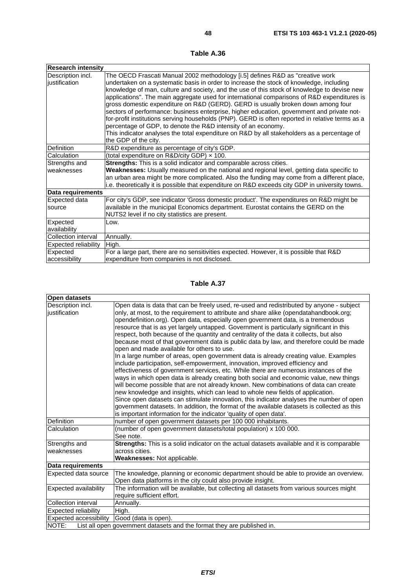| <b>Research intensity</b>           |                                                                                                                                                                                                                                                                                                                                                                                                                                                                                                                                                                                                                                                                                                                                                                                                                                                     |  |
|-------------------------------------|-----------------------------------------------------------------------------------------------------------------------------------------------------------------------------------------------------------------------------------------------------------------------------------------------------------------------------------------------------------------------------------------------------------------------------------------------------------------------------------------------------------------------------------------------------------------------------------------------------------------------------------------------------------------------------------------------------------------------------------------------------------------------------------------------------------------------------------------------------|--|
| Description incl.<br>liustification | The OECD Frascati Manual 2002 methodology [i.5] defines R&D as "creative work<br>undertaken on a systematic basis in order to increase the stock of knowledge, including<br>knowledge of man, culture and society, and the use of this stock of knowledge to devise new<br>applications". The main aggregate used for international comparisons of R&D expenditures is<br>gross domestic expenditure on R&D (GERD). GERD is usually broken down among four<br>sectors of performance: business enterprise, higher education, government and private not-<br>for-profit institutions serving households (PNP). GERD is often reported in relative terms as a<br>percentage of GDP, to denote the R&D intensity of an economy.<br>This indicator analyses the total expenditure on R&D by all stakeholders as a percentage of<br>the GDP of the city. |  |
| Definition                          | R&D expenditure as percentage of city's GDP.                                                                                                                                                                                                                                                                                                                                                                                                                                                                                                                                                                                                                                                                                                                                                                                                        |  |
| Calculation                         | (total expenditure on R&D/city GDP) x 100.                                                                                                                                                                                                                                                                                                                                                                                                                                                                                                                                                                                                                                                                                                                                                                                                          |  |
| Strengths and                       | Strengths: This is a solid indicator and comparable across cities.                                                                                                                                                                                                                                                                                                                                                                                                                                                                                                                                                                                                                                                                                                                                                                                  |  |
| weaknesses                          | Weaknesses: Usually measured on the national and regional level, getting data specific to<br>an urban area might be more complicated. Also the funding may come from a different place,<br>i.e. theoretically it is possible that expenditure on R&D exceeds city GDP in university towns.                                                                                                                                                                                                                                                                                                                                                                                                                                                                                                                                                          |  |
| Data requirements                   |                                                                                                                                                                                                                                                                                                                                                                                                                                                                                                                                                                                                                                                                                                                                                                                                                                                     |  |
| Expected data<br>source             | For city's GDP, see indicator 'Gross domestic product'. The expenditures on R&D might be<br>available in the municipal Economics department. Eurostat contains the GERD on the<br>NUTS2 level if no city statistics are present.                                                                                                                                                                                                                                                                                                                                                                                                                                                                                                                                                                                                                    |  |
| Expected<br>availability            | Low.                                                                                                                                                                                                                                                                                                                                                                                                                                                                                                                                                                                                                                                                                                                                                                                                                                                |  |
| Collection interval                 | Annually.                                                                                                                                                                                                                                                                                                                                                                                                                                                                                                                                                                                                                                                                                                                                                                                                                                           |  |
| <b>Expected reliability</b>         | High.                                                                                                                                                                                                                                                                                                                                                                                                                                                                                                                                                                                                                                                                                                                                                                                                                                               |  |
| Expected<br>accessibility           | For a large part, there are no sensitivities expected. However, it is possible that R&D<br>expenditure from companies is not disclosed.                                                                                                                                                                                                                                                                                                                                                                                                                                                                                                                                                                                                                                                                                                             |  |

| Open datasets               |                                                                                                                                                                      |  |
|-----------------------------|----------------------------------------------------------------------------------------------------------------------------------------------------------------------|--|
| Description incl.           | Open data is data that can be freely used, re-used and redistributed by anyone - subject                                                                             |  |
| iustification               | only, at most, to the requirement to attribute and share alike (opendatahandbook.org;                                                                                |  |
|                             | opendefinition.org). Open data, especially open government data, is a tremendous                                                                                     |  |
|                             | resource that is as yet largely untapped. Government is particularly significant in this                                                                             |  |
|                             | respect, both because of the quantity and centrality of the data it collects, but also                                                                               |  |
|                             | because most of that government data is public data by law, and therefore could be made                                                                              |  |
|                             | open and made available for others to use.                                                                                                                           |  |
|                             | In a large number of areas, open government data is already creating value. Examples<br>include participation, self-empowerment, innovation, improved efficiency and |  |
|                             | effectiveness of government services, etc. While there are numerous instances of the                                                                                 |  |
|                             | ways in which open data is already creating both social and economic value, new things                                                                               |  |
|                             | will become possible that are not already known. New combinations of data can create                                                                                 |  |
|                             | new knowledge and insights, which can lead to whole new fields of application.                                                                                       |  |
|                             | Since open datasets can stimulate innovation, this indicator analyses the number of open                                                                             |  |
|                             | government datasets. In addition, the format of the available datasets is collected as this                                                                          |  |
| <b>Definition</b>           | is important information for the indicator 'quality of open data'.                                                                                                   |  |
|                             | number of open government datasets per 100 000 inhabitants.                                                                                                          |  |
| Calculation                 | (number of open government datasets/total population) x 100 000.<br>See note.                                                                                        |  |
| Strengths and               | Strengths: This is a solid indicator on the actual datasets available and it is comparable                                                                           |  |
| weaknesses                  | across cities.                                                                                                                                                       |  |
|                             | Weaknesses: Not applicable.                                                                                                                                          |  |
| Data requirements           |                                                                                                                                                                      |  |
| Expected data source        | The knowledge, planning or economic department should be able to provide an overview.                                                                                |  |
|                             | Open data platforms in the city could also provide insight.                                                                                                          |  |
| Expected availability       | The information will be available, but collecting all datasets from various sources might                                                                            |  |
|                             | require sufficient effort.                                                                                                                                           |  |
| Collection interval         | Annually.                                                                                                                                                            |  |
| <b>Expected reliability</b> | High.                                                                                                                                                                |  |
| Expected accessibility      | Good (data is open).                                                                                                                                                 |  |
| NOTE:                       | List all open government datasets and the format they are published in.                                                                                              |  |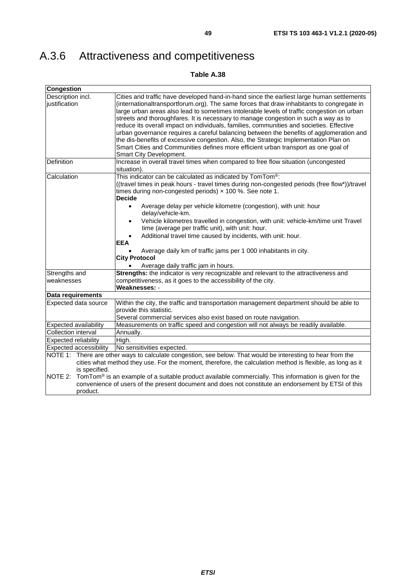## <span id="page-48-0"></span>A.3.6 Attractiveness and competitiveness

| <b>Congestion</b>           |                                                                                                                                                                                                                      |
|-----------------------------|----------------------------------------------------------------------------------------------------------------------------------------------------------------------------------------------------------------------|
| Description incl.           | Cities and traffic have developed hand-in-hand since the earliest large human settlements                                                                                                                            |
| iustification               | (internationaltransportforum.org). The same forces that draw inhabitants to congregate in                                                                                                                            |
|                             | large urban areas also lead to sometimes intolerable levels of traffic congestion on urban                                                                                                                           |
|                             | streets and thoroughfares. It is necessary to manage congestion in such a way as to                                                                                                                                  |
|                             | reduce its overall impact on individuals, families, communities and societies. Effective                                                                                                                             |
|                             | urban governance requires a careful balancing between the benefits of agglomeration and                                                                                                                              |
|                             | the dis-benefits of excessive congestion. Also, the Strategic Implementation Plan on                                                                                                                                 |
|                             | Smart Cities and Communities defines more efficient urban transport as one goal of                                                                                                                                   |
|                             | Smart City Development.                                                                                                                                                                                              |
| Definition                  | Increase in overall travel times when compared to free flow situation (uncongested                                                                                                                                   |
|                             | situation).                                                                                                                                                                                                          |
| Calculation                 | This indicator can be calculated as indicated by TomTom®:                                                                                                                                                            |
|                             | ((travel times in peak hours - travel times during non-congested periods (free flow*))/travel                                                                                                                        |
|                             | times during non-congested periods) $\times$ 100 %. See note 1.<br><b>Decide</b>                                                                                                                                     |
|                             |                                                                                                                                                                                                                      |
|                             | Average delay per vehicle kilometre (congestion), with unit: hour<br>$\bullet$<br>delay/vehicle-km.                                                                                                                  |
|                             | Vehicle kilometres travelled in congestion, with unit: vehicle-km/time unit Travel<br>$\bullet$                                                                                                                      |
|                             | time (average per traffic unit), with unit: hour.                                                                                                                                                                    |
|                             | Additional travel time caused by incidents, with unit: hour.                                                                                                                                                         |
|                             | <b>EEA</b>                                                                                                                                                                                                           |
|                             | Average daily km of traffic jams per 1 000 inhabitants in city.                                                                                                                                                      |
|                             | <b>City Protocol</b>                                                                                                                                                                                                 |
|                             | Average daily traffic jam in hours.<br>$\bullet$                                                                                                                                                                     |
| Strengths and               | Strengths: the indicator is very recognizable and relevant to the attractiveness and                                                                                                                                 |
| weaknesses                  | competitiveness, as it goes to the accessibility of the city.                                                                                                                                                        |
|                             | <b>Weaknesses: -</b>                                                                                                                                                                                                 |
| Data requirements           |                                                                                                                                                                                                                      |
| Expected data source        | Within the city, the traffic and transportation management department should be able to                                                                                                                              |
|                             | provide this statistic.                                                                                                                                                                                              |
|                             | Several commercial services also exist based on route navigation.                                                                                                                                                    |
| Expected availability       | Measurements on traffic speed and congestion will not always be readily available.                                                                                                                                   |
| Collection interval         | Annually.                                                                                                                                                                                                            |
| <b>Expected reliability</b> | High.                                                                                                                                                                                                                |
| Expected accessibility      | No sensitivities expected.                                                                                                                                                                                           |
|                             | NOTE 1: There are other ways to calculate congestion, see below. That would be interesting to hear from the                                                                                                          |
|                             | cities what method they use. For the moment, therefore, the calculation method is flexible, as long as it                                                                                                            |
| is specified.               |                                                                                                                                                                                                                      |
|                             | NOTE 2: TomTom® is an example of a suitable product available commercially. This information is given for the<br>convenience of users of the present document and does not constitute an endorsement by ETSI of this |
| product.                    |                                                                                                                                                                                                                      |
|                             |                                                                                                                                                                                                                      |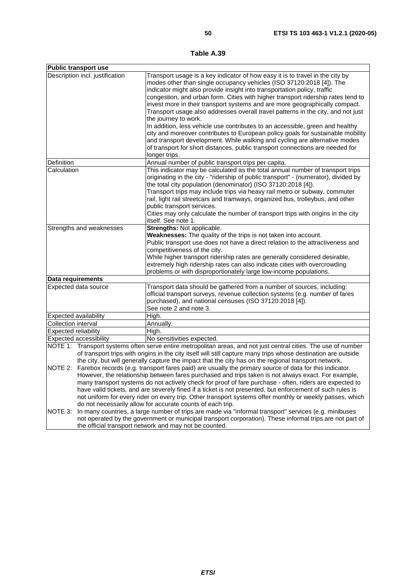**Table A.39** 

| <b>Public transport use</b> |                                                                                                                                                                                                                                                                                                                                                                                                                                                                                                                                                                                                                                                                                                                                                                                            |                                                                                                                                                                                                                                                                                                                                                                                                                                                                                                                                                                                                                                                                                                                                                                                                                                                                      |
|-----------------------------|--------------------------------------------------------------------------------------------------------------------------------------------------------------------------------------------------------------------------------------------------------------------------------------------------------------------------------------------------------------------------------------------------------------------------------------------------------------------------------------------------------------------------------------------------------------------------------------------------------------------------------------------------------------------------------------------------------------------------------------------------------------------------------------------|----------------------------------------------------------------------------------------------------------------------------------------------------------------------------------------------------------------------------------------------------------------------------------------------------------------------------------------------------------------------------------------------------------------------------------------------------------------------------------------------------------------------------------------------------------------------------------------------------------------------------------------------------------------------------------------------------------------------------------------------------------------------------------------------------------------------------------------------------------------------|
|                             | Description incl. justification                                                                                                                                                                                                                                                                                                                                                                                                                                                                                                                                                                                                                                                                                                                                                            | Transport usage is a key indicator of how easy it is to travel in the city by<br>modes other than single occupancy vehicles (ISO 37120:2018 [4]). The<br>indicator might also provide insight into transportation policy, traffic<br>congestion, and urban form. Cities with higher transport ridership rates tend to<br>invest more in their transport systems and are more geographically compact.<br>Transport usage also addresses overall travel patterns in the city, and not just<br>the journey to work.<br>In addition, less vehicle use contributes to an accessible, green and healthy<br>city and moreover contributes to European policy goals for sustainable mobility<br>and transport development. While walking and cycling are alternative modes<br>of transport for short distances, public transport connections are needed for<br>longer trips. |
| Definition                  |                                                                                                                                                                                                                                                                                                                                                                                                                                                                                                                                                                                                                                                                                                                                                                                            | Annual number of public transport trips per capita.                                                                                                                                                                                                                                                                                                                                                                                                                                                                                                                                                                                                                                                                                                                                                                                                                  |
| Calculation                 |                                                                                                                                                                                                                                                                                                                                                                                                                                                                                                                                                                                                                                                                                                                                                                                            | This indicator may be calculated as the total annual number of transport trips<br>originating in the city - "ridership of public transport" - (numerator), divided by<br>the total city population (denominator) (ISO 37120:2018 [4]).<br>Transport trips may include trips via heavy rail metro or subway, commuter<br>rail, light rail streetcars and tramways, organized bus, trolleybus, and other<br>public transport services.<br>Cities may only calculate the number of transport trips with origins in the city<br>itself. See note 1.                                                                                                                                                                                                                                                                                                                      |
|                             | Strengths and weaknesses                                                                                                                                                                                                                                                                                                                                                                                                                                                                                                                                                                                                                                                                                                                                                                   | Strengths: Not applicable.                                                                                                                                                                                                                                                                                                                                                                                                                                                                                                                                                                                                                                                                                                                                                                                                                                           |
|                             |                                                                                                                                                                                                                                                                                                                                                                                                                                                                                                                                                                                                                                                                                                                                                                                            | Weaknesses: The quality of the trips is not taken into account.<br>Public transport use does not have a direct relation to the attractiveness and<br>competitiveness of the city.<br>While higher transport ridership rates are generally considered desirable,<br>extremely high ridership rates can also indicate cities with overcrowding<br>problems or with disproportionately large low-income populations.                                                                                                                                                                                                                                                                                                                                                                                                                                                    |
|                             | Data requirements                                                                                                                                                                                                                                                                                                                                                                                                                                                                                                                                                                                                                                                                                                                                                                          |                                                                                                                                                                                                                                                                                                                                                                                                                                                                                                                                                                                                                                                                                                                                                                                                                                                                      |
| Expected data source        |                                                                                                                                                                                                                                                                                                                                                                                                                                                                                                                                                                                                                                                                                                                                                                                            | Transport data should be gathered from a number of sources, including:<br>official transport surveys, revenue collection systems (e.g. number of fares<br>purchased), and national censuses (ISO 37120:2018 [4]).<br>See note 2 and note 3.                                                                                                                                                                                                                                                                                                                                                                                                                                                                                                                                                                                                                          |
|                             | Expected availability                                                                                                                                                                                                                                                                                                                                                                                                                                                                                                                                                                                                                                                                                                                                                                      | High.                                                                                                                                                                                                                                                                                                                                                                                                                                                                                                                                                                                                                                                                                                                                                                                                                                                                |
| Collection interval         |                                                                                                                                                                                                                                                                                                                                                                                                                                                                                                                                                                                                                                                                                                                                                                                            | Annually.                                                                                                                                                                                                                                                                                                                                                                                                                                                                                                                                                                                                                                                                                                                                                                                                                                                            |
| <b>Expected reliability</b> |                                                                                                                                                                                                                                                                                                                                                                                                                                                                                                                                                                                                                                                                                                                                                                                            | High.                                                                                                                                                                                                                                                                                                                                                                                                                                                                                                                                                                                                                                                                                                                                                                                                                                                                |
|                             | Expected accessibility                                                                                                                                                                                                                                                                                                                                                                                                                                                                                                                                                                                                                                                                                                                                                                     | No sensitivities expected.                                                                                                                                                                                                                                                                                                                                                                                                                                                                                                                                                                                                                                                                                                                                                                                                                                           |
|                             | NOTE 1: Transport systems often serve entire metropolitan areas, and not just central cities. The use of number<br>of transport trips with origins in the city itself will still capture many trips whose destination are outside<br>the city, but will generally capture the impact that the city has on the regional transport network.<br>NOTE 2: Farebox records (e.g. transport fares paid) are usually the primary source of data for this indicator.<br>However, the relationship between fares purchased and trips taken is not always exact. For example,<br>many transport systems do not actively check for proof of fare purchase - often, riders are expected to<br>have valid tickets, and are severely fined if a ticket is not presented, but enforcement of such rules is |                                                                                                                                                                                                                                                                                                                                                                                                                                                                                                                                                                                                                                                                                                                                                                                                                                                                      |
| NOTE 3:                     | not uniform for every rider on every trip. Other transport systems offer monthly or weekly passes, which<br>do not necessarily allow for accurate counts of each trip.<br>In many countries, a large number of trips are made via "informal transport" services (e.g. minibuses<br>not operated by the government or municipal transport corporation). These informal trips are not part of<br>the official transport network and may not be counted.                                                                                                                                                                                                                                                                                                                                      |                                                                                                                                                                                                                                                                                                                                                                                                                                                                                                                                                                                                                                                                                                                                                                                                                                                                      |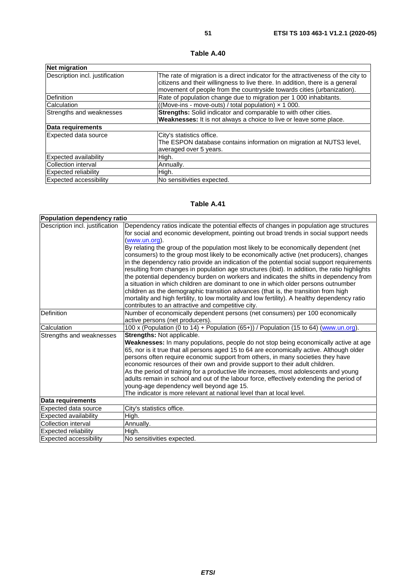| <b>Net migration</b>            |                                                                                                                                                                                                                                              |
|---------------------------------|----------------------------------------------------------------------------------------------------------------------------------------------------------------------------------------------------------------------------------------------|
| Description incl. justification | The rate of migration is a direct indicator for the attractiveness of the city to<br>citizens and their willingness to live there. In addition, there is a general<br>movement of people from the countryside towards cities (urbanization). |
| <b>Definition</b>               | Rate of population change due to migration per 1 000 inhabitants.                                                                                                                                                                            |
| <b>Calculation</b>              | ((Move-ins - move-outs) / total population) $\times$ 1 000.                                                                                                                                                                                  |
| Strengths and weaknesses        | Strengths: Solid indicator and comparable to with other cities.                                                                                                                                                                              |
|                                 | Weaknesses: It is not always a choice to live or leave some place.                                                                                                                                                                           |
| Data requirements               |                                                                                                                                                                                                                                              |
| Expected data source            | City's statistics office.<br>The ESPON database contains information on migration at NUTS3 level,<br>averaged over 5 years.                                                                                                                  |
| Expected availability           | High.                                                                                                                                                                                                                                        |
| Collection interval             | Annually.                                                                                                                                                                                                                                    |
| <b>Expected reliability</b>     | High.                                                                                                                                                                                                                                        |
| Expected accessibility          | No sensitivities expected.                                                                                                                                                                                                                   |

| Population dependency ratio     |                                                                                                                     |
|---------------------------------|---------------------------------------------------------------------------------------------------------------------|
| Description incl. justification | Dependency ratios indicate the potential effects of changes in population age structures                            |
|                                 | for social and economic development, pointing out broad trends in social support needs                              |
|                                 | (www.un.org).                                                                                                       |
|                                 | By relating the group of the population most likely to be economically dependent (net                               |
|                                 | consumers) to the group most likely to be economically active (net producers), changes                              |
|                                 | in the dependency ratio provide an indication of the potential social support requirements                          |
|                                 | resulting from changes in population age structures (ibid). In addition, the ratio highlights                       |
|                                 | the potential dependency burden on workers and indicates the shifts in dependency from                              |
|                                 | a situation in which children are dominant to one in which older persons outnumber                                  |
|                                 | children as the demographic transition advances (that is, the transition from high                                  |
|                                 | mortality and high fertility, to low mortality and low fertility). A healthy dependency ratio                       |
| Definition                      | contributes to an attractive and competitive city.                                                                  |
|                                 | Number of economically dependent persons (net consumers) per 100 economically                                       |
| Calculation                     | active persons (net producers).                                                                                     |
| Strengths and weaknesses        | 100 x (Population (0 to 14) + Population (65+)) / Population (15 to 64) (www.un.org).<br>Strengths: Not applicable. |
|                                 | Weaknesses: In many populations, people do not stop being economically active at age                                |
|                                 | 65, nor is it true that all persons aged 15 to 64 are economically active. Although older                           |
|                                 | persons often require economic support from others, in many societies they have                                     |
|                                 | economic resources of their own and provide support to their adult children.                                        |
|                                 | As the period of training for a productive life increases, most adolescents and young                               |
|                                 | adults remain in school and out of the labour force, effectively extending the period of                            |
|                                 | young-age dependency well beyond age 15.                                                                            |
|                                 | The indicator is more relevant at national level than at local level.                                               |
| Data requirements               |                                                                                                                     |
| Expected data source            | City's statistics office.                                                                                           |
| Expected availability           | High.                                                                                                               |
| Collection interval             | Annually.                                                                                                           |
| Expected reliability            | High.                                                                                                               |
| Expected accessibility          | No sensitivities expected.                                                                                          |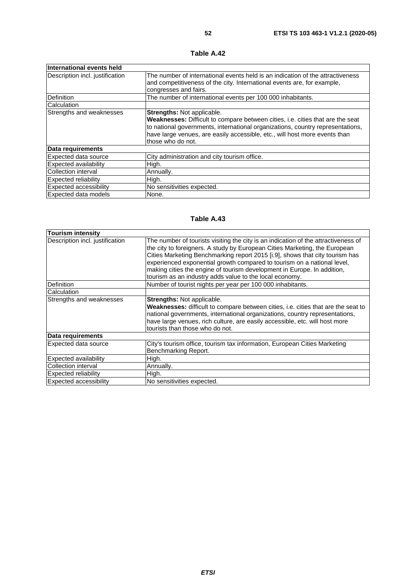| International events held       |                                                                                                                                                                                                                                                                                                   |
|---------------------------------|---------------------------------------------------------------------------------------------------------------------------------------------------------------------------------------------------------------------------------------------------------------------------------------------------|
| Description incl. justification | The number of international events held is an indication of the attractiveness<br>and competitiveness of the city. International events are, for example,<br>congresses and fairs.                                                                                                                |
| <b>Definition</b>               | The number of international events per 100 000 inhabitants.                                                                                                                                                                                                                                       |
| <b>Calculation</b>              |                                                                                                                                                                                                                                                                                                   |
| Strengths and weaknesses        | Strengths: Not applicable.<br>Weaknesses: Difficult to compare between cities, i.e. cities that are the seat<br>to national governments, international organizations, country representations,<br>have large venues, are easily accessible, etc., will host more events than<br>those who do not. |
| Data requirements               |                                                                                                                                                                                                                                                                                                   |
| Expected data source            | City administration and city tourism office.                                                                                                                                                                                                                                                      |
| Expected availability           | High.                                                                                                                                                                                                                                                                                             |
| Collection interval             | Annually.                                                                                                                                                                                                                                                                                         |
| <b>Expected reliability</b>     | High.                                                                                                                                                                                                                                                                                             |
| Expected accessibility          | No sensitivities expected.                                                                                                                                                                                                                                                                        |
| Expected data models            | None.                                                                                                                                                                                                                                                                                             |

| <b>Tourism intensity</b>        |                                                                                                                                                                                                                                                                                                                                                                                                                                                                   |
|---------------------------------|-------------------------------------------------------------------------------------------------------------------------------------------------------------------------------------------------------------------------------------------------------------------------------------------------------------------------------------------------------------------------------------------------------------------------------------------------------------------|
| Description incl. justification | The number of tourists visiting the city is an indication of the attractiveness of<br>the city to foreigners. A study by European Cities Marketing, the European<br>Cities Marketing Benchmarking report 2015 [i.9], shows that city tourism has<br>experienced exponential growth compared to tourism on a national level,<br>making cities the engine of tourism development in Europe. In addition,<br>tourism as an industry adds value to the local economy. |
| <b>Definition</b>               | Number of tourist nights per year per 100 000 inhabitants.                                                                                                                                                                                                                                                                                                                                                                                                        |
| Calculation                     |                                                                                                                                                                                                                                                                                                                                                                                                                                                                   |
| Strengths and weaknesses        | <b>Strengths: Not applicable.</b><br><b>Weaknesses:</b> difficult to compare between cities, i.e. cities that are the seat to<br>national governments, international organizations, country representations,<br>have large venues, rich culture, are easily accessible, etc. will host more<br>tourists than those who do not.                                                                                                                                    |
| Data requirements               |                                                                                                                                                                                                                                                                                                                                                                                                                                                                   |
| Expected data source            | City's tourism office, tourism tax information, European Cities Marketing<br>Benchmarking Report.                                                                                                                                                                                                                                                                                                                                                                 |
| Expected availability           | High.                                                                                                                                                                                                                                                                                                                                                                                                                                                             |
| Collection interval             | Annually.                                                                                                                                                                                                                                                                                                                                                                                                                                                         |
| Expected reliability            | High.                                                                                                                                                                                                                                                                                                                                                                                                                                                             |
| <b>Expected accessibility</b>   | No sensitivities expected.                                                                                                                                                                                                                                                                                                                                                                                                                                        |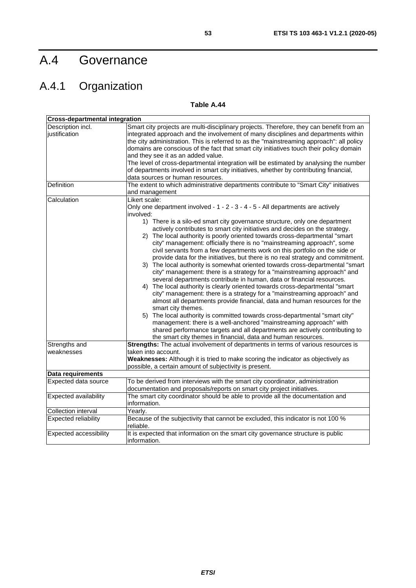## <span id="page-52-0"></span>A.4 Governance

## A.4.1 Organization

| <b>Cross-departmental integration</b> |                                                                                                                                                                                                                                                                                                                                                                                                                                                                                                                                                                                                                                                                                                                                                                                                                                                                                                                                                                                                                                                                                                                                                                                                                                                                                                                                                                                                                     |
|---------------------------------------|---------------------------------------------------------------------------------------------------------------------------------------------------------------------------------------------------------------------------------------------------------------------------------------------------------------------------------------------------------------------------------------------------------------------------------------------------------------------------------------------------------------------------------------------------------------------------------------------------------------------------------------------------------------------------------------------------------------------------------------------------------------------------------------------------------------------------------------------------------------------------------------------------------------------------------------------------------------------------------------------------------------------------------------------------------------------------------------------------------------------------------------------------------------------------------------------------------------------------------------------------------------------------------------------------------------------------------------------------------------------------------------------------------------------|
| Description incl.<br>justification    | Smart city projects are multi-disciplinary projects. Therefore, they can benefit from an<br>integrated approach and the involvement of many disciplines and departments within<br>the city administration. This is referred to as the "mainstreaming approach": all policy<br>domains are conscious of the fact that smart city initiatives touch their policy domain<br>and they see it as an added value.<br>The level of cross-departmental integration will be estimated by analysing the number<br>of departments involved in smart city initiatives, whether by contributing financial,<br>data sources or human resources.                                                                                                                                                                                                                                                                                                                                                                                                                                                                                                                                                                                                                                                                                                                                                                                   |
| Definition                            | The extent to which administrative departments contribute to "Smart City" initiatives<br>and management                                                                                                                                                                                                                                                                                                                                                                                                                                                                                                                                                                                                                                                                                                                                                                                                                                                                                                                                                                                                                                                                                                                                                                                                                                                                                                             |
| Calculation                           | Likert scale:<br>Only one department involved - 1 - 2 - 3 - 4 - 5 - All departments are actively<br>involved:<br>1) There is a silo-ed smart city governance structure, only one department<br>actively contributes to smart city initiatives and decides on the strategy.<br>2) The local authority is poorly oriented towards cross-departmental "smart<br>city" management: officially there is no "mainstreaming approach", some<br>civil servants from a few departments work on this portfolio on the side or<br>provide data for the initiatives, but there is no real strategy and commitment.<br>3) The local authority is somewhat oriented towards cross-departmental "smart"<br>city" management: there is a strategy for a "mainstreaming approach" and<br>several departments contribute in human, data or financial resources.<br>4) The local authority is clearly oriented towards cross-departmental "smart"<br>city" management: there is a strategy for a "mainstreaming approach" and<br>almost all departments provide financial, data and human resources for the<br>smart city themes.<br>5) The local authority is committed towards cross-departmental "smart city"<br>management: there is a well-anchored "mainstreaming approach" with<br>shared performance targets and all departments are actively contributing to<br>the smart city themes in financial, data and human resources. |
| Strengths and<br>weaknesses           | Strengths: The actual involvement of departments in terms of various resources is<br>taken into account.<br>Weaknesses: Although it is tried to make scoring the indicator as objectively as                                                                                                                                                                                                                                                                                                                                                                                                                                                                                                                                                                                                                                                                                                                                                                                                                                                                                                                                                                                                                                                                                                                                                                                                                        |
|                                       | possible, a certain amount of subjectivity is present.                                                                                                                                                                                                                                                                                                                                                                                                                                                                                                                                                                                                                                                                                                                                                                                                                                                                                                                                                                                                                                                                                                                                                                                                                                                                                                                                                              |
| <b>Data requirements</b>              |                                                                                                                                                                                                                                                                                                                                                                                                                                                                                                                                                                                                                                                                                                                                                                                                                                                                                                                                                                                                                                                                                                                                                                                                                                                                                                                                                                                                                     |
| Expected data source                  | To be derived from interviews with the smart city coordinator, administration<br>documentation and proposals/reports on smart city project initiatives.                                                                                                                                                                                                                                                                                                                                                                                                                                                                                                                                                                                                                                                                                                                                                                                                                                                                                                                                                                                                                                                                                                                                                                                                                                                             |
| Expected availability                 | The smart city coordinator should be able to provide all the documentation and<br>information.                                                                                                                                                                                                                                                                                                                                                                                                                                                                                                                                                                                                                                                                                                                                                                                                                                                                                                                                                                                                                                                                                                                                                                                                                                                                                                                      |
| Collection interval                   | Yearly.                                                                                                                                                                                                                                                                                                                                                                                                                                                                                                                                                                                                                                                                                                                                                                                                                                                                                                                                                                                                                                                                                                                                                                                                                                                                                                                                                                                                             |
| <b>Expected reliability</b>           | Because of the subjectivity that cannot be excluded, this indicator is not 100 %<br>reliable.                                                                                                                                                                                                                                                                                                                                                                                                                                                                                                                                                                                                                                                                                                                                                                                                                                                                                                                                                                                                                                                                                                                                                                                                                                                                                                                       |
| Expected accessibility                | It is expected that information on the smart city governance structure is public<br>information.                                                                                                                                                                                                                                                                                                                                                                                                                                                                                                                                                                                                                                                                                                                                                                                                                                                                                                                                                                                                                                                                                                                                                                                                                                                                                                                    |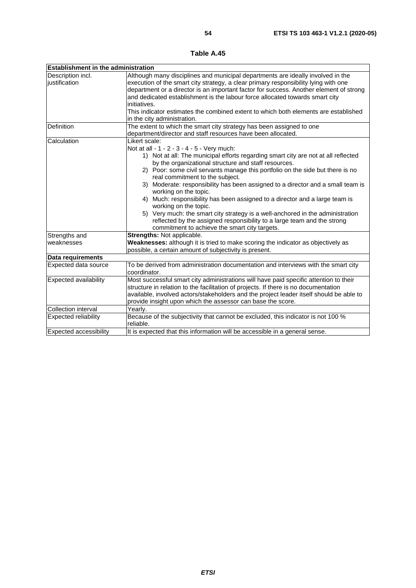| <b>Establishment in the administration</b> |                                                                                                                                                                                                                                                                                                                                                                                                                                                                                                                                                                                                                                                                                                                                                                   |
|--------------------------------------------|-------------------------------------------------------------------------------------------------------------------------------------------------------------------------------------------------------------------------------------------------------------------------------------------------------------------------------------------------------------------------------------------------------------------------------------------------------------------------------------------------------------------------------------------------------------------------------------------------------------------------------------------------------------------------------------------------------------------------------------------------------------------|
| Description incl.<br>liustification        | Although many disciplines and municipal departments are ideally involved in the<br>execution of the smart city strategy, a clear primary responsibility lying with one<br>department or a director is an important factor for success. Another element of strong<br>and dedicated establishment is the labour force allocated towards smart city<br>initiatives.<br>This indicator estimates the combined extent to which both elements are established<br>in the city administration.                                                                                                                                                                                                                                                                            |
| Definition                                 | The extent to which the smart city strategy has been assigned to one<br>department/director and staff resources have been allocated.                                                                                                                                                                                                                                                                                                                                                                                                                                                                                                                                                                                                                              |
| Calculation                                | Likert scale:<br>Not at all - 1 - 2 - 3 - 4 - 5 - Very much:<br>1) Not at all: The municipal efforts regarding smart city are not at all reflected<br>by the organizational structure and staff resources.<br>2) Poor: some civil servants manage this portfolio on the side but there is no<br>real commitment to the subject.<br>3) Moderate: responsibility has been assigned to a director and a small team is<br>working on the topic.<br>4) Much: responsibility has been assigned to a director and a large team is<br>working on the topic.<br>5) Very much: the smart city strategy is a well-anchored in the administration<br>reflected by the assigned responsibility to a large team and the strong<br>commitment to achieve the smart city targets. |
| Strengths and                              | Strengths: Not applicable.                                                                                                                                                                                                                                                                                                                                                                                                                                                                                                                                                                                                                                                                                                                                        |
| weaknesses                                 | Weaknesses: although it is tried to make scoring the indicator as objectively as<br>possible, a certain amount of subjectivity is present.                                                                                                                                                                                                                                                                                                                                                                                                                                                                                                                                                                                                                        |
| Data requirements                          |                                                                                                                                                                                                                                                                                                                                                                                                                                                                                                                                                                                                                                                                                                                                                                   |
| <b>Expected data source</b>                | To be derived from administration documentation and interviews with the smart city<br>coordinator.                                                                                                                                                                                                                                                                                                                                                                                                                                                                                                                                                                                                                                                                |
| Expected availability                      | Most successful smart city administrations will have paid specific attention to their<br>structure in relation to the facilitation of projects. If there is no documentation<br>available, involved actors/stakeholders and the project leader itself should be able to<br>provide insight upon which the assessor can base the score.                                                                                                                                                                                                                                                                                                                                                                                                                            |
| Collection interval                        | Yearly.                                                                                                                                                                                                                                                                                                                                                                                                                                                                                                                                                                                                                                                                                                                                                           |
| <b>Expected reliability</b>                | Because of the subjectivity that cannot be excluded, this indicator is not 100 %<br>reliable.                                                                                                                                                                                                                                                                                                                                                                                                                                                                                                                                                                                                                                                                     |
| Expected accessibility                     | It is expected that this information will be accessible in a general sense.                                                                                                                                                                                                                                                                                                                                                                                                                                                                                                                                                                                                                                                                                       |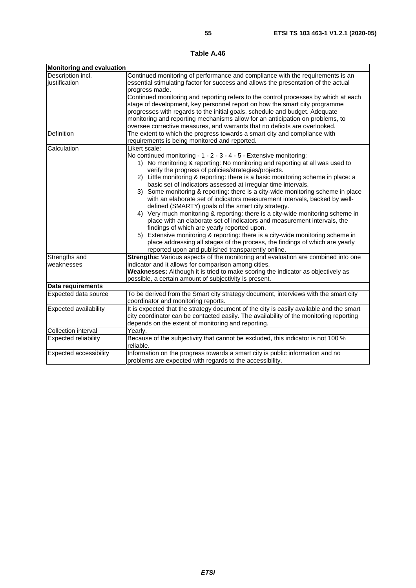**Table A.46** 

| <b>Monitoring and evaluation</b>   |                                                                                                                                                                                                                                                                                                                                                                                                                                                                                                                                                                                                                                                                                                                                                                                                                                                                                                                                                                                                                                              |
|------------------------------------|----------------------------------------------------------------------------------------------------------------------------------------------------------------------------------------------------------------------------------------------------------------------------------------------------------------------------------------------------------------------------------------------------------------------------------------------------------------------------------------------------------------------------------------------------------------------------------------------------------------------------------------------------------------------------------------------------------------------------------------------------------------------------------------------------------------------------------------------------------------------------------------------------------------------------------------------------------------------------------------------------------------------------------------------|
| Description incl.<br>justification | Continued monitoring of performance and compliance with the requirements is an<br>essential stimulating factor for success and allows the presentation of the actual<br>progress made.<br>Continued monitoring and reporting refers to the control processes by which at each<br>stage of development, key personnel report on how the smart city programme<br>progresses with regards to the initial goals, schedule and budget. Adequate<br>monitoring and reporting mechanisms allow for an anticipation on problems, to<br>oversee corrective measures, and warrants that no deficits are overlooked.                                                                                                                                                                                                                                                                                                                                                                                                                                    |
| Definition                         | The extent to which the progress towards a smart city and compliance with<br>requirements is being monitored and reported.                                                                                                                                                                                                                                                                                                                                                                                                                                                                                                                                                                                                                                                                                                                                                                                                                                                                                                                   |
| Calculation                        | Likert scale:<br>No continued monitoring - 1 - 2 - 3 - 4 - 5 - Extensive monitoring:<br>1) No monitoring & reporting: No monitoring and reporting at all was used to<br>verify the progress of policies/strategies/projects.<br>2) Little monitoring & reporting: there is a basic monitoring scheme in place: a<br>basic set of indicators assessed at irregular time intervals.<br>3) Some monitoring & reporting: there is a city-wide monitoring scheme in place<br>with an elaborate set of indicators measurement intervals, backed by well-<br>defined (SMARTY) goals of the smart city strategy.<br>4) Very much monitoring & reporting: there is a city-wide monitoring scheme in<br>place with an elaborate set of indicators and measurement intervals, the<br>findings of which are yearly reported upon.<br>5) Extensive monitoring & reporting: there is a city-wide monitoring scheme in<br>place addressing all stages of the process, the findings of which are yearly<br>reported upon and published transparently online. |
| Strengths and<br>weaknesses        | Strengths: Various aspects of the monitoring and evaluation are combined into one<br>indicator and it allows for comparison among cities.<br>Weaknesses: Although it is tried to make scoring the indicator as objectively as<br>possible, a certain amount of subjectivity is present.                                                                                                                                                                                                                                                                                                                                                                                                                                                                                                                                                                                                                                                                                                                                                      |
| <b>Data requirements</b>           |                                                                                                                                                                                                                                                                                                                                                                                                                                                                                                                                                                                                                                                                                                                                                                                                                                                                                                                                                                                                                                              |
| Expected data source               | To be derived from the Smart city strategy document, interviews with the smart city<br>coordinator and monitoring reports.                                                                                                                                                                                                                                                                                                                                                                                                                                                                                                                                                                                                                                                                                                                                                                                                                                                                                                                   |
| <b>Expected availability</b>       | It is expected that the strategy document of the city is easily available and the smart<br>city coordinator can be contacted easily. The availability of the monitoring reporting<br>depends on the extent of monitoring and reporting.                                                                                                                                                                                                                                                                                                                                                                                                                                                                                                                                                                                                                                                                                                                                                                                                      |
| Collection interval                | Yearly.                                                                                                                                                                                                                                                                                                                                                                                                                                                                                                                                                                                                                                                                                                                                                                                                                                                                                                                                                                                                                                      |
| <b>Expected reliability</b>        | Because of the subjectivity that cannot be excluded, this indicator is not 100 %<br>reliable.                                                                                                                                                                                                                                                                                                                                                                                                                                                                                                                                                                                                                                                                                                                                                                                                                                                                                                                                                |
| Expected accessibility             | Information on the progress towards a smart city is public information and no<br>problems are expected with regards to the accessibility.                                                                                                                                                                                                                                                                                                                                                                                                                                                                                                                                                                                                                                                                                                                                                                                                                                                                                                    |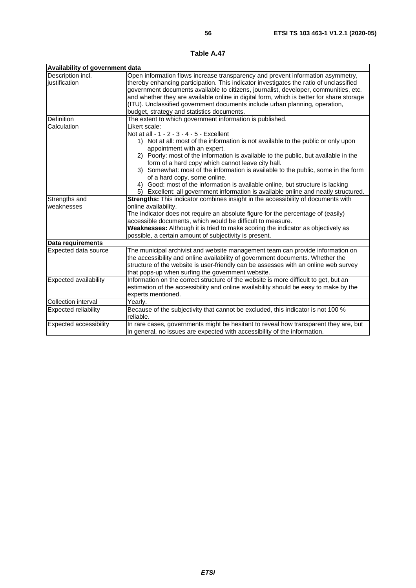| Availability of government data            |                                                                                                                                                                                                                                                                                                                                                                                                                                                                                                                                                                                                                                                                                                                                                                                                                                                                                           |
|--------------------------------------------|-------------------------------------------------------------------------------------------------------------------------------------------------------------------------------------------------------------------------------------------------------------------------------------------------------------------------------------------------------------------------------------------------------------------------------------------------------------------------------------------------------------------------------------------------------------------------------------------------------------------------------------------------------------------------------------------------------------------------------------------------------------------------------------------------------------------------------------------------------------------------------------------|
| Description incl.<br>liustification        | Open information flows increase transparency and prevent information asymmetry,<br>thereby enhancing participation. This indicator investigates the ratio of unclassified<br>government documents available to citizens, journalist, developer, communities, etc.<br>and whether they are available online in digital form, which is better for share storage<br>(ITU). Unclassified government documents include urban planning, operation,<br>budget, strategy and statistics documents.                                                                                                                                                                                                                                                                                                                                                                                                |
| Definition                                 | The extent to which government information is published.                                                                                                                                                                                                                                                                                                                                                                                                                                                                                                                                                                                                                                                                                                                                                                                                                                  |
| Calculation<br>Strengths and<br>weaknesses | Likert scale:<br>Not at all - 1 - 2 - 3 - 4 - 5 - Excellent<br>1) Not at all: most of the information is not available to the public or only upon<br>appointment with an expert.<br>2) Poorly: most of the information is available to the public, but available in the<br>form of a hard copy which cannot leave city hall.<br>3) Somewhat: most of the information is available to the public, some in the form<br>of a hard copy, some online.<br>4) Good: most of the information is available online, but structure is lacking<br>5) Excellent: all government information is available online and neatly structured.<br>Strengths: This indicator combines insight in the accessibility of documents with<br>online availability.<br>The indicator does not require an absolute figure for the percentage of (easily)<br>accessible documents, which would be difficult to measure. |
|                                            | <b>Weaknesses:</b> Although it is tried to make scoring the indicator as objectively as<br>possible, a certain amount of subjectivity is present.                                                                                                                                                                                                                                                                                                                                                                                                                                                                                                                                                                                                                                                                                                                                         |
| Data requirements                          |                                                                                                                                                                                                                                                                                                                                                                                                                                                                                                                                                                                                                                                                                                                                                                                                                                                                                           |
| Expected data source                       | The municipal archivist and website management team can provide information on<br>the accessibility and online availability of government documents. Whether the<br>structure of the website is user-friendly can be assesses with an online web survey<br>that pops-up when surfing the government website.                                                                                                                                                                                                                                                                                                                                                                                                                                                                                                                                                                              |
| Expected availability                      | Information on the correct structure of the website is more difficult to get, but an<br>estimation of the accessibility and online availability should be easy to make by the<br>experts mentioned.                                                                                                                                                                                                                                                                                                                                                                                                                                                                                                                                                                                                                                                                                       |
| Collection interval                        | Yearly.                                                                                                                                                                                                                                                                                                                                                                                                                                                                                                                                                                                                                                                                                                                                                                                                                                                                                   |
| <b>Expected reliability</b>                | Because of the subjectivity that cannot be excluded, this indicator is not 100 %<br>reliable.                                                                                                                                                                                                                                                                                                                                                                                                                                                                                                                                                                                                                                                                                                                                                                                             |
| Expected accessibility                     | In rare cases, governments might be hesitant to reveal how transparent they are, but<br>in general, no issues are expected with accessibility of the information.                                                                                                                                                                                                                                                                                                                                                                                                                                                                                                                                                                                                                                                                                                                         |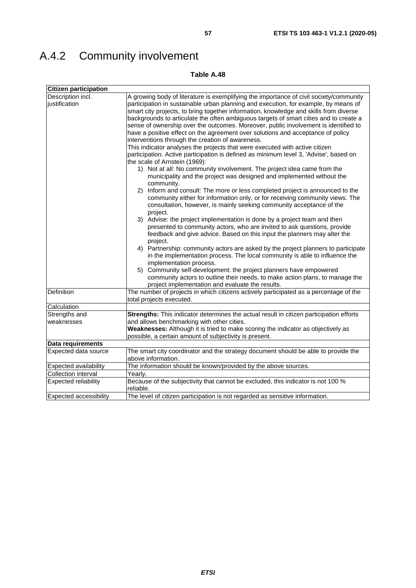## <span id="page-56-0"></span>A.4.2 Community involvement

| <b>Citizen participation</b> |                                                                                                                                                                |
|------------------------------|----------------------------------------------------------------------------------------------------------------------------------------------------------------|
| Description incl.            | A growing body of literature is exemplifying the importance of civil society/community                                                                         |
| justification                | participation in sustainable urban planning and execution, for example, by means of                                                                            |
|                              | smart city projects, to bring together information, knowledge and skills from diverse                                                                          |
|                              | backgrounds to articulate the often ambiguous targets of smart cities and to create a                                                                          |
|                              | sense of ownership over the outcomes. Moreover, public involvement is identified to                                                                            |
|                              | have a positive effect on the agreement over solutions and acceptance of policy                                                                                |
|                              | interventions through the creation of awareness.                                                                                                               |
|                              | This indicator analyses the projects that were executed with active citizen                                                                                    |
|                              | participation. Active participation is defined as minimum level 3, 'Advise', based on                                                                          |
|                              | the scale of Arnstein (1969):                                                                                                                                  |
|                              | 1) Not at all: No community involvement. The project idea came from the<br>municipality and the project was designed and implemented without the<br>community. |
|                              | 2) Inform and consult: The more or less completed project is announced to the                                                                                  |
|                              | community either for information only, or for receiving community views. The                                                                                   |
|                              | consultation, however, is mainly seeking community acceptance of the                                                                                           |
|                              | project.                                                                                                                                                       |
|                              | 3) Advise: the project implementation is done by a project team and then                                                                                       |
|                              | presented to community actors, who are invited to ask questions, provide                                                                                       |
|                              | feedback and give advice. Based on this input the planners may alter the                                                                                       |
|                              | project.                                                                                                                                                       |
|                              | 4) Partnership: community actors are asked by the project planners to participate                                                                              |
|                              | in the implementation process. The local community is able to influence the                                                                                    |
|                              | implementation process.                                                                                                                                        |
|                              | 5) Community self-development: the project planners have empowered                                                                                             |
|                              | community actors to outline their needs, to make action plans, to manage the                                                                                   |
|                              | project implementation and evaluate the results.                                                                                                               |
| Definition                   | The number of projects in which citizens actively participated as a percentage of the                                                                          |
|                              | total projects executed.                                                                                                                                       |
| Calculation                  |                                                                                                                                                                |
| Strengths and                | Strengths: This indicator determines the actual result in citizen participation efforts                                                                        |
| weaknesses                   | and allows benchmarking with other cities.                                                                                                                     |
|                              | Weaknesses: Although it is tried to make scoring the indicator as objectively as                                                                               |
|                              | possible, a certain amount of subjectivity is present.                                                                                                         |
| Data requirements            |                                                                                                                                                                |
| Expected data source         | The smart city coordinator and the strategy document should be able to provide the                                                                             |
|                              | above information.                                                                                                                                             |
| Expected availability        | The information should be known/provided by the above sources.                                                                                                 |
| Collection interval          | Yearly.                                                                                                                                                        |
| Expected reliability         | Because of the subjectivity that cannot be excluded, this indicator is not 100 %<br>reliable.                                                                  |
| Expected accessibility       | The level of citizen participation is not regarded as sensitive information.                                                                                   |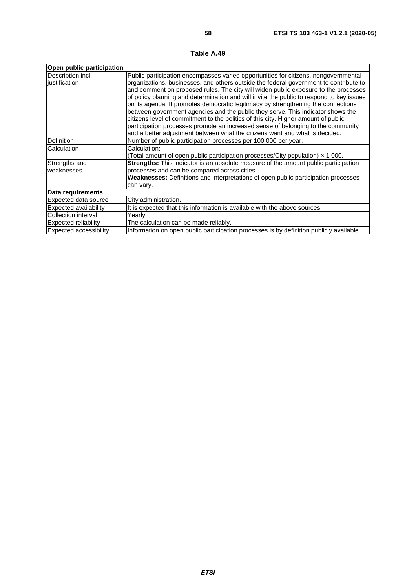| <b>Open public participation</b> |                                                                                            |  |
|----------------------------------|--------------------------------------------------------------------------------------------|--|
| Description incl.                | Public participation encompasses varied opportunities for citizens, nongovernmental        |  |
| liustification                   | organizations, businesses, and others outside the federal government to contribute to      |  |
|                                  | and comment on proposed rules. The city will widen public exposure to the processes        |  |
|                                  | of policy planning and determination and will invite the public to respond to key issues   |  |
|                                  | on its agenda. It promotes democratic legitimacy by strengthening the connections          |  |
|                                  | between government agencies and the public they serve. This indicator shows the            |  |
|                                  | citizens level of commitment to the politics of this city. Higher amount of public         |  |
|                                  | participation processes promote an increased sense of belonging to the community           |  |
|                                  | and a better adjustment between what the citizens want and what is decided.                |  |
| Definition                       | Number of public participation processes per 100 000 per year.                             |  |
| Calculation                      | Calculation:                                                                               |  |
|                                  | (Total amount of open public participation processes/City population) $\times$ 1 000.      |  |
| Strengths and                    | <b>Strengths:</b> This indicator is an absolute measure of the amount public participation |  |
| lweaknesses                      | processes and can be compared across cities.                                               |  |
|                                  | Weaknesses: Definitions and interpretations of open public participation processes         |  |
|                                  | can vary.                                                                                  |  |
| Data requirements                |                                                                                            |  |
| Expected data source             | City administration.                                                                       |  |
| <b>Expected availability</b>     | It is expected that this information is available with the above sources.                  |  |
| Collection interval              | Yearly.                                                                                    |  |
| <b>Expected reliability</b>      | The calculation can be made reliably.                                                      |  |
| Expected accessibility           | Information on open public participation processes is by definition publicly available.    |  |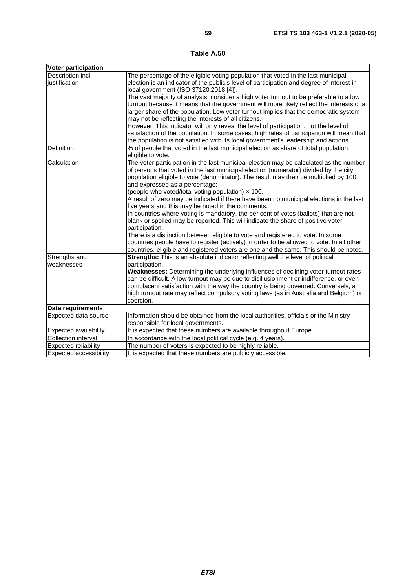**Table A.50** 

| Voter participation                |                                                                                                                                                                                                                                                                                                                                                                                                                                                                                                                                                                                                                                                                                                                                                                                                                                                                                                                                                                                     |
|------------------------------------|-------------------------------------------------------------------------------------------------------------------------------------------------------------------------------------------------------------------------------------------------------------------------------------------------------------------------------------------------------------------------------------------------------------------------------------------------------------------------------------------------------------------------------------------------------------------------------------------------------------------------------------------------------------------------------------------------------------------------------------------------------------------------------------------------------------------------------------------------------------------------------------------------------------------------------------------------------------------------------------|
| Description incl.<br>iustification | The percentage of the eligible voting population that voted in the last municipal<br>election is an indicator of the public's level of participation and degree of interest in<br>local government (ISO 37120:2018 [4]).<br>The vast majority of analysts, consider a high voter turnout to be preferable to a low<br>turnout because it means that the government will more likely reflect the interests of a<br>larger share of the population. Low voter turnout implies that the democratic system<br>may not be reflecting the interests of all citizens.<br>However, This indicator will only reveal the level of participation, not the level of<br>satisfaction of the population. In some cases, high rates of participation will mean that<br>the population is not satisfied with its local government's leadership and actions.                                                                                                                                         |
| Definition                         | % of people that voted in the last municipal election as share of total population<br>eligible to vote.                                                                                                                                                                                                                                                                                                                                                                                                                                                                                                                                                                                                                                                                                                                                                                                                                                                                             |
| Calculation                        | The voter participation in the last municipal election may be calculated as the number<br>of persons that voted in the last municipal election (numerator) divided by the city<br>population eligible to vote (denominator). The result may then be multiplied by 100<br>and expressed as a percentage:<br>(people who voted/total voting population) x 100.<br>A result of zero may be indicated if there have been no municipal elections in the last<br>five years and this may be noted in the comments.<br>In countries where voting is mandatory, the per cent of votes (ballots) that are not<br>blank or spoiled may be reported. This will indicate the share of positive voter<br>participation.<br>There is a distinction between eligible to vote and registered to vote. In some<br>countries people have to register (actively) in order to be allowed to vote. In all other<br>countries, eligible and registered voters are one and the same. This should be noted. |
| Strengths and<br>weaknesses        | Strengths: This is an absolute indicator reflecting well the level of political<br>participation.                                                                                                                                                                                                                                                                                                                                                                                                                                                                                                                                                                                                                                                                                                                                                                                                                                                                                   |
|                                    | Weaknesses: Determining the underlying influences of declining voter turnout rates<br>can be difficult. A low turnout may be due to disillusionment or indifference, or even<br>complacent satisfaction with the way the country is being governed. Conversely, a<br>high turnout rate may reflect compulsory voting laws (as in Australia and Belgium) or<br>coercion.                                                                                                                                                                                                                                                                                                                                                                                                                                                                                                                                                                                                             |
| Data requirements                  |                                                                                                                                                                                                                                                                                                                                                                                                                                                                                                                                                                                                                                                                                                                                                                                                                                                                                                                                                                                     |
| Expected data source               | Information should be obtained from the local authorities, officials or the Ministry<br>responsible for local governments.                                                                                                                                                                                                                                                                                                                                                                                                                                                                                                                                                                                                                                                                                                                                                                                                                                                          |
| Expected availability              | It is expected that these numbers are available throughout Europe.                                                                                                                                                                                                                                                                                                                                                                                                                                                                                                                                                                                                                                                                                                                                                                                                                                                                                                                  |
| Collection interval                | In accordance with the local political cycle (e.g. 4 years).                                                                                                                                                                                                                                                                                                                                                                                                                                                                                                                                                                                                                                                                                                                                                                                                                                                                                                                        |
| <b>Expected reliability</b>        | The number of voters is expected to be highly reliable.                                                                                                                                                                                                                                                                                                                                                                                                                                                                                                                                                                                                                                                                                                                                                                                                                                                                                                                             |
| Expected accessibility             | It is expected that these numbers are publicly accessible.                                                                                                                                                                                                                                                                                                                                                                                                                                                                                                                                                                                                                                                                                                                                                                                                                                                                                                                          |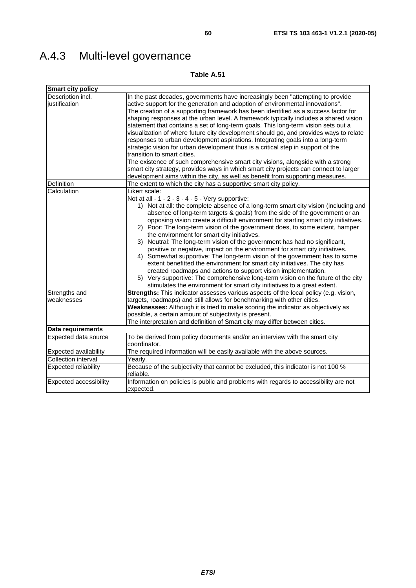## <span id="page-59-0"></span>A.4.3 Multi-level governance

| <b>Smart city policy</b>                   |                                                                                                                                                                                                                                                                                                                                                                                                                                                                                                                                                                                                                                                                                                                                                                                                                                                                                                                                                                                                                                                                                                                                                                                                                                                                                                                                              |  |
|--------------------------------------------|----------------------------------------------------------------------------------------------------------------------------------------------------------------------------------------------------------------------------------------------------------------------------------------------------------------------------------------------------------------------------------------------------------------------------------------------------------------------------------------------------------------------------------------------------------------------------------------------------------------------------------------------------------------------------------------------------------------------------------------------------------------------------------------------------------------------------------------------------------------------------------------------------------------------------------------------------------------------------------------------------------------------------------------------------------------------------------------------------------------------------------------------------------------------------------------------------------------------------------------------------------------------------------------------------------------------------------------------|--|
| Description incl.<br>justification         | In the past decades, governments have increasingly been "attempting to provide<br>active support for the generation and adoption of environmental innovations".<br>The creation of a supporting framework has been identified as a success factor for<br>shaping responses at the urban level. A framework typically includes a shared vision<br>statement that contains a set of long-term goals. This long-term vision sets out a<br>visualization of where future city development should go, and provides ways to relate<br>responses to urban development aspirations. Integrating goals into a long-term<br>strategic vision for urban development thus is a critical step in support of the<br>transition to smart cities.<br>The existence of such comprehensive smart city visions, alongside with a strong<br>smart city strategy, provides ways in which smart city projects can connect to larger<br>development aims within the city, as well as benefit from supporting measures.                                                                                                                                                                                                                                                                                                                                              |  |
| Definition                                 | The extent to which the city has a supportive smart city policy.                                                                                                                                                                                                                                                                                                                                                                                                                                                                                                                                                                                                                                                                                                                                                                                                                                                                                                                                                                                                                                                                                                                                                                                                                                                                             |  |
| Calculation<br>Strengths and<br>weaknesses | Likert scale:<br>Not at all - $1 - 2 - 3 - 4 - 5 -$ Very supportive:<br>1) Not at all: the complete absence of a long-term smart city vision (including and<br>absence of long-term targets & goals) from the side of the government or an<br>opposing vision create a difficult environment for starting smart city initiatives.<br>2) Poor: The long-term vision of the government does, to some extent, hamper<br>the environment for smart city initiatives.<br>3) Neutral: The long-term vision of the government has had no significant,<br>positive or negative, impact on the environment for smart city initiatives.<br>4) Somewhat supportive: The long-term vision of the government has to some<br>extent benefitted the environment for smart city initiatives. The city has<br>created roadmaps and actions to support vision implementation.<br>5) Very supportive: The comprehensive long-term vision on the future of the city<br>stimulates the environment for smart city initiatives to a great extent.<br>Strengths: This indicator assesses various aspects of the local policy (e.g. vision,<br>targets, roadmaps) and still allows for benchmarking with other cities.<br>Weaknesses: Although it is tried to make scoring the indicator as objectively as<br>possible, a certain amount of subjectivity is present. |  |
|                                            | The interpretation and definition of Smart city may differ between cities.                                                                                                                                                                                                                                                                                                                                                                                                                                                                                                                                                                                                                                                                                                                                                                                                                                                                                                                                                                                                                                                                                                                                                                                                                                                                   |  |
| Data requirements                          |                                                                                                                                                                                                                                                                                                                                                                                                                                                                                                                                                                                                                                                                                                                                                                                                                                                                                                                                                                                                                                                                                                                                                                                                                                                                                                                                              |  |
| Expected data source                       | To be derived from policy documents and/or an interview with the smart city<br>coordinator.                                                                                                                                                                                                                                                                                                                                                                                                                                                                                                                                                                                                                                                                                                                                                                                                                                                                                                                                                                                                                                                                                                                                                                                                                                                  |  |
| Expected availability                      | The required information will be easily available with the above sources.                                                                                                                                                                                                                                                                                                                                                                                                                                                                                                                                                                                                                                                                                                                                                                                                                                                                                                                                                                                                                                                                                                                                                                                                                                                                    |  |
| <b>Collection interval</b>                 | Yearly.                                                                                                                                                                                                                                                                                                                                                                                                                                                                                                                                                                                                                                                                                                                                                                                                                                                                                                                                                                                                                                                                                                                                                                                                                                                                                                                                      |  |
| <b>Expected reliability</b>                | Because of the subjectivity that cannot be excluded, this indicator is not 100 %<br>reliable.                                                                                                                                                                                                                                                                                                                                                                                                                                                                                                                                                                                                                                                                                                                                                                                                                                                                                                                                                                                                                                                                                                                                                                                                                                                |  |
| <b>Expected accessibility</b>              | Information on policies is public and problems with regards to accessibility are not<br>expected.                                                                                                                                                                                                                                                                                                                                                                                                                                                                                                                                                                                                                                                                                                                                                                                                                                                                                                                                                                                                                                                                                                                                                                                                                                            |  |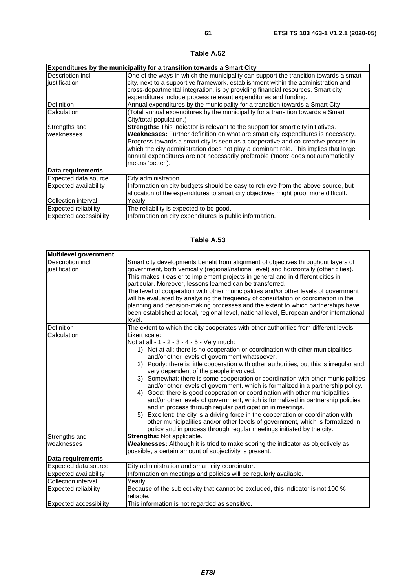| Expenditures by the municipality for a transition towards a Smart City |                                                                                                                                                                                                                                                                                                                                                                        |  |  |
|------------------------------------------------------------------------|------------------------------------------------------------------------------------------------------------------------------------------------------------------------------------------------------------------------------------------------------------------------------------------------------------------------------------------------------------------------|--|--|
| Description incl.<br>iustification                                     | One of the ways in which the municipality can support the transition towards a smart<br>city, next to a supportive framework, establishment within the administration and<br>cross-departmental integration, is by providing financial resources. Smart city<br>expenditures include process relevant expenditures and funding.                                        |  |  |
| <b>Definition</b>                                                      | Annual expenditures by the municipality for a transition towards a Smart City.                                                                                                                                                                                                                                                                                         |  |  |
| Calculation                                                            | (Total annual expenditures by the municipality for a transition towards a Smart<br>City/total population.)                                                                                                                                                                                                                                                             |  |  |
| Strengths and                                                          | <b>Strengths:</b> This indicator is relevant to the support for smart city initiatives.                                                                                                                                                                                                                                                                                |  |  |
| weaknesses                                                             | Weaknesses: Further definition on what are smart city expenditures is necessary.<br>Progress towards a smart city is seen as a cooperative and co-creative process in<br>which the city administration does not play a dominant role. This implies that large<br>annual expenditures are not necessarily preferable ('more' does not automatically<br>means 'better'). |  |  |
| Data requirements                                                      |                                                                                                                                                                                                                                                                                                                                                                        |  |  |
| Expected data source                                                   | City administration.                                                                                                                                                                                                                                                                                                                                                   |  |  |
| Expected availability                                                  | Information on city budgets should be easy to retrieve from the above source, but<br>allocation of the expenditures to smart city objectives might proof more difficult.                                                                                                                                                                                               |  |  |
| Collection interval                                                    | Yearly.                                                                                                                                                                                                                                                                                                                                                                |  |  |
| Expected reliability                                                   | The reliability is expected to be good.                                                                                                                                                                                                                                                                                                                                |  |  |
| Expected accessibility                                                 | Information on city expenditures is public information.                                                                                                                                                                                                                                                                                                                |  |  |

| Multilevel government              |                                                                                                                                                                                                                                                                                                                                                                                                                                                                                                                                                                                                                                                                                                                                                                                                                                                                                                                                                                                                  |  |
|------------------------------------|--------------------------------------------------------------------------------------------------------------------------------------------------------------------------------------------------------------------------------------------------------------------------------------------------------------------------------------------------------------------------------------------------------------------------------------------------------------------------------------------------------------------------------------------------------------------------------------------------------------------------------------------------------------------------------------------------------------------------------------------------------------------------------------------------------------------------------------------------------------------------------------------------------------------------------------------------------------------------------------------------|--|
| Description incl.<br>iustification | Smart city developments benefit from alignment of objectives throughout layers of<br>government, both vertically (regional/national level) and horizontally (other cities).<br>This makes it easier to implement projects in general and in different cities in<br>particular. Moreover, lessons learned can be transferred.<br>The level of cooperation with other municipalities and/or other levels of government<br>will be evaluated by analysing the frequency of consultation or coordination in the<br>planning and decision-making processes and the extent to which partnerships have<br>been established at local, regional level, national level, European and/or international<br>level.                                                                                                                                                                                                                                                                                            |  |
| Definition                         | The extent to which the city cooperates with other authorities from different levels.                                                                                                                                                                                                                                                                                                                                                                                                                                                                                                                                                                                                                                                                                                                                                                                                                                                                                                            |  |
| Calculation                        | Likert scale:<br>Not at all - 1 - 2 - 3 - 4 - 5 - Very much:<br>1) Not at all: there is no cooperation or coordination with other municipalities<br>and/or other levels of government whatsoever.<br>2) Poorly: there is little cooperation with other authorities, but this is irregular and<br>very dependent of the people involved.<br>3) Somewhat: there is some cooperation or coordination with other municipalities<br>and/or other levels of government, which is formalized in a partnership policy.<br>Good: there is good cooperation or coordination with other municipalities<br>4)<br>and/or other levels of government, which is formalized in partnership policies<br>and in process through regular participation in meetings.<br>5) Excellent: the city is a driving force in the cooperation or coordination with<br>other municipalities and/or other levels of government, which is formalized in<br>policy and in process through regular meetings initiated by the city. |  |
| Strengths and                      | Strengths: Not applicable.                                                                                                                                                                                                                                                                                                                                                                                                                                                                                                                                                                                                                                                                                                                                                                                                                                                                                                                                                                       |  |
| weaknesses                         | Weaknesses: Although it is tried to make scoring the indicator as objectively as<br>possible, a certain amount of subjectivity is present.                                                                                                                                                                                                                                                                                                                                                                                                                                                                                                                                                                                                                                                                                                                                                                                                                                                       |  |
| Data requirements                  |                                                                                                                                                                                                                                                                                                                                                                                                                                                                                                                                                                                                                                                                                                                                                                                                                                                                                                                                                                                                  |  |
| Expected data source               | City administration and smart city coordinator.                                                                                                                                                                                                                                                                                                                                                                                                                                                                                                                                                                                                                                                                                                                                                                                                                                                                                                                                                  |  |
| Expected availability              | Information on meetings and policies will be regularly available.                                                                                                                                                                                                                                                                                                                                                                                                                                                                                                                                                                                                                                                                                                                                                                                                                                                                                                                                |  |
| Collection interval                | Yearly.                                                                                                                                                                                                                                                                                                                                                                                                                                                                                                                                                                                                                                                                                                                                                                                                                                                                                                                                                                                          |  |
| Expected reliability               | Because of the subjectivity that cannot be excluded, this indicator is not 100 %<br>reliable.                                                                                                                                                                                                                                                                                                                                                                                                                                                                                                                                                                                                                                                                                                                                                                                                                                                                                                    |  |
| <b>Expected accessibility</b>      | This information is not regarded as sensitive.                                                                                                                                                                                                                                                                                                                                                                                                                                                                                                                                                                                                                                                                                                                                                                                                                                                                                                                                                   |  |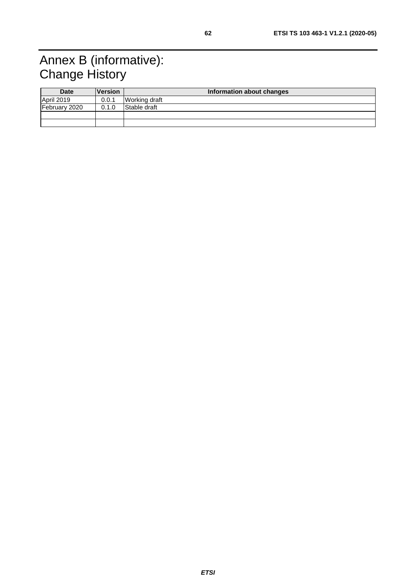## <span id="page-61-0"></span>Annex B (informative): Change History

| <b>Date</b>   | <b>Version</b> | Information about changes |
|---------------|----------------|---------------------------|
| April 2019    | 0.0.1          | Working draft             |
| February 2020 | 0.1.0          | Stable draft              |
|               |                |                           |
|               |                |                           |